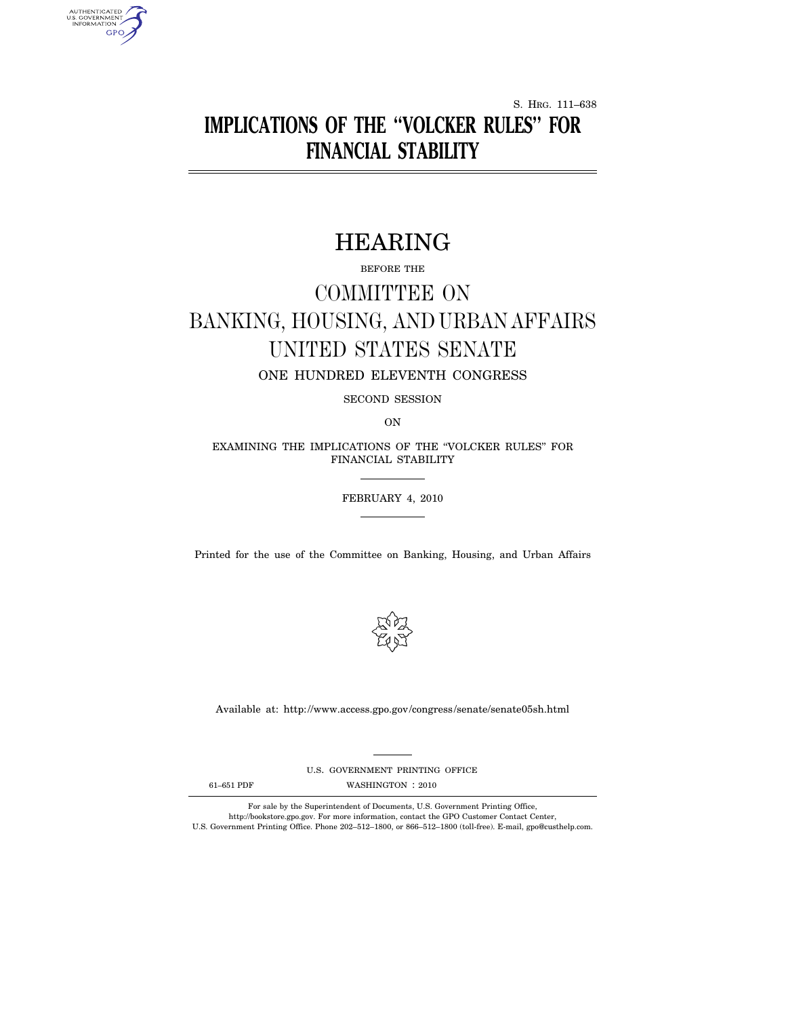S. HRG. 111–638

# **IMPLICATIONS OF THE ''VOLCKER RULES'' FOR FINANCIAL STABILITY**

# HEARING

BEFORE THE

# COMMITTEE ON BANKING, HOUSING, AND URBAN AFFAIRS UNITED STATES SENATE

ONE HUNDRED ELEVENTH CONGRESS

SECOND SESSION

ON

EXAMINING THE IMPLICATIONS OF THE ''VOLCKER RULES'' FOR FINANCIAL STABILITY

FEBRUARY 4, 2010

Printed for the use of the Committee on Banking, Housing, and Urban Affairs



Available at: http://www.access.gpo.gov/congress/senate/senate05sh.html

U.S. GOVERNMENT PRINTING OFFICE

AUTHENTICATED<br>U.S. GOVERNMENT<br>INFORMATION **GPO** 

61-651 PDF WASHINGTON : 2010

For sale by the Superintendent of Documents, U.S. Government Printing Office, http://bookstore.gpo.gov. For more information, contact the GPO Customer Contact Center, U.S. Government Printing Office. Phone 202–512–1800, or 866–512–1800 (toll-free). E-mail, gpo@custhelp.com.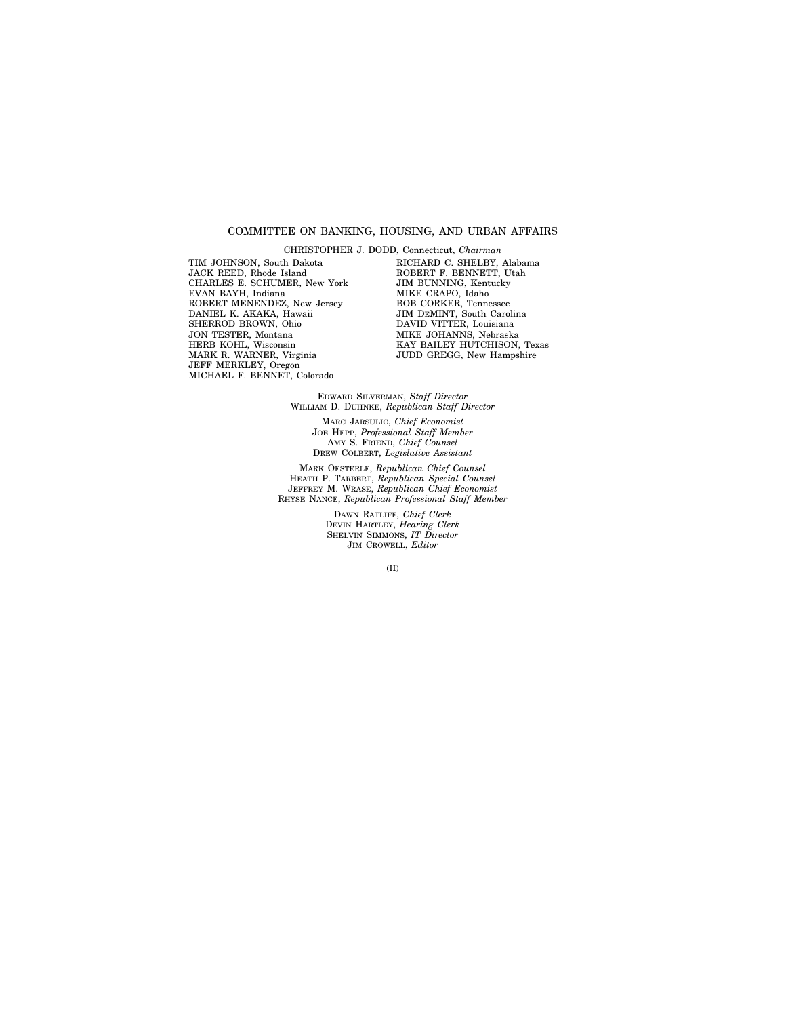# COMMITTEE ON BANKING, HOUSING, AND URBAN AFFAIRS

TIM JOHNSON, South Dakota JACK REED, Rhode Island CHARLES E. SCHUMER, New York EVAN BAYH, Indiana ROBERT MENENDEZ, New Jersey DANIEL K. AKAKA, Hawaii SHERROD BROWN, Ohio JON TESTER, Montana HERB KOHL, Wisconsin MARK R. WARNER, Virginia JEFF MERKLEY, Oregon MICHAEL F. BENNET, Colorado

CHRISTOPHER J. DODD, Connecticut, *Chairman*  RICHARD C. SHELBY, Alabama ROBERT F. BENNETT, Utah JIM BUNNING, Kentucky MIKE CRAPO, Idaho BOB CORKER, Tennessee JIM DEMINT, South Carolina DAVID VITTER, Louisiana MIKE JOHANNS, Nebraska KAY BAILEY HUTCHISON, Texas JUDD GREGG, New Hampshire

EDWARD SILVERMAN, *Staff Director*  WILLIAM D. DUHNKE, *Republican Staff Director* 

> MARC JARSULIC, *Chief Economist*  JOE HEPP, *Professional Staff Member*  AMY S. FRIEND, *Chief Counsel*  DREW COLBERT, *Legislative Assistant*

MARK OESTERLE, *Republican Chief Counsel*  HEATH P. TARBERT, *Republican Special Counsel*  JEFFREY M. WRASE, *Republican Chief Economist*  RHYSE NANCE, *Republican Professional Staff Member* 

> DAWN RATLIFF, *Chief Clerk*  DEVIN HARTLEY, *Hearing Clerk*  SHELVIN SIMMONS, *IT Director*  JIM CROWELL, *Editor*

> > (II)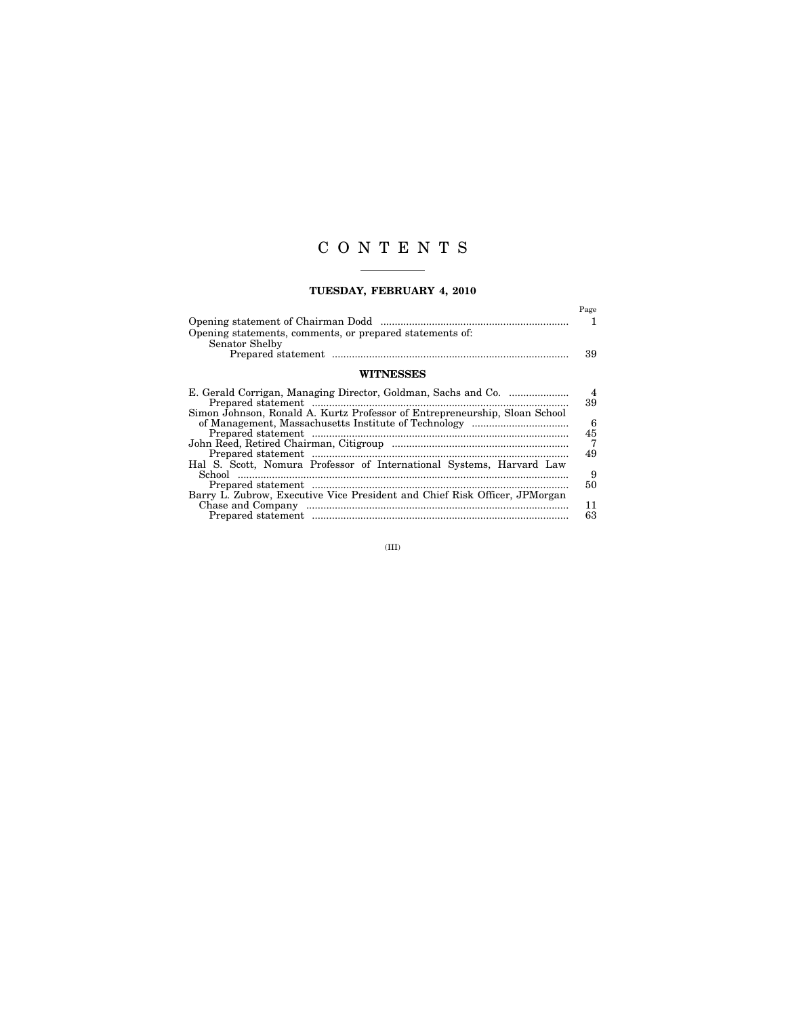# C O N T E N T S

# **TUESDAY, FEBRUARY 4, 2010**

|                                                                            | Page           |
|----------------------------------------------------------------------------|----------------|
| Opening statements, comments, or prepared statements of:<br>Senator Shelby | ı              |
|                                                                            | 39             |
| <b>WITNESSES</b>                                                           |                |
|                                                                            | $\overline{4}$ |
| Simon Johnson, Ronald A. Kurtz Professor of Entrepreneurship, Sloan School | 39             |
|                                                                            | 6              |
|                                                                            | 45             |
|                                                                            | $\overline{7}$ |
|                                                                            | 49             |
| Hal S. Scott, Nomura Professor of International Systems, Harvard Law       |                |
|                                                                            | 9              |
|                                                                            | 50             |
| Barry L. Zubrow, Executive Vice President and Chief Risk Officer, JPMorgan |                |
|                                                                            | 11             |
|                                                                            | 63             |

(III)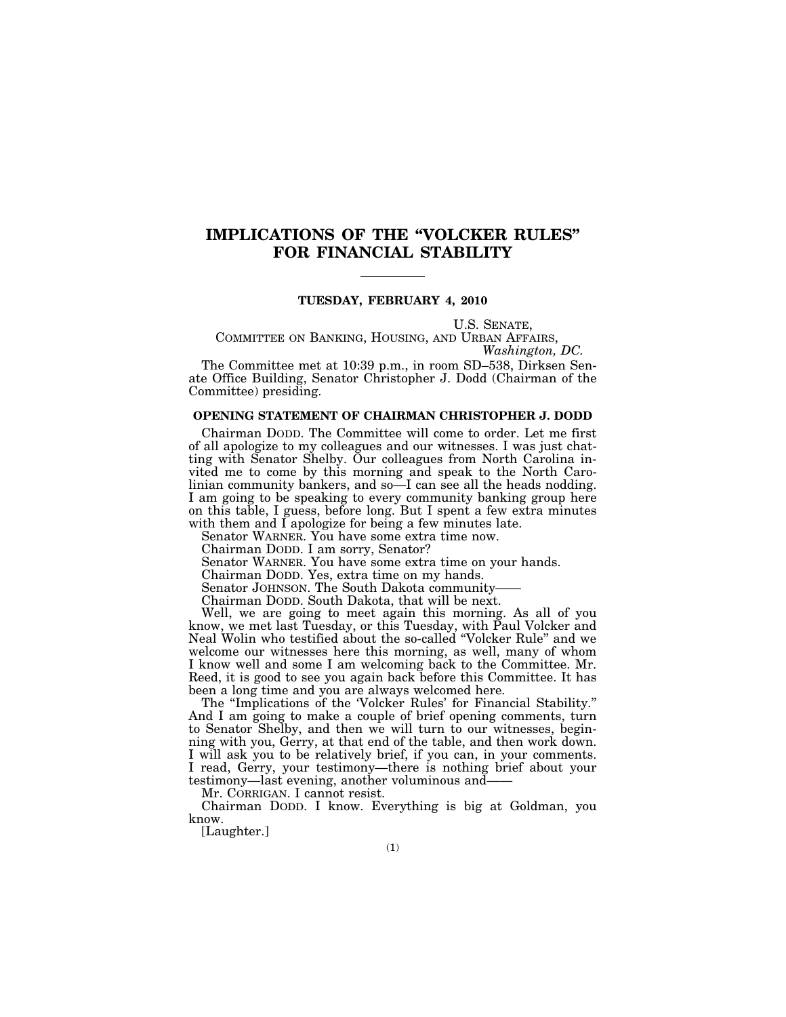# **IMPLICATIONS OF THE ''VOLCKER RULES'' FOR FINANCIAL STABILITY**

# **TUESDAY, FEBRUARY 4, 2010**

U.S. SENATE, COMMITTEE ON BANKING, HOUSING, AND URBAN AFFAIRS, *Washington, DC.* 

The Committee met at 10:39 p.m., in room SD–538, Dirksen Senate Office Building, Senator Christopher J. Dodd (Chairman of the Committee) presiding.

## **OPENING STATEMENT OF CHAIRMAN CHRISTOPHER J. DODD**

Chairman DODD. The Committee will come to order. Let me first of all apologize to my colleagues and our witnesses. I was just chatting with Senator Shelby. Our colleagues from North Carolina invited me to come by this morning and speak to the North Carolinian community bankers, and so—I can see all the heads nodding. I am going to be speaking to every community banking group here on this table, I guess, before long. But I spent a few extra minutes with them and I apologize for being a few minutes late.

Senator WARNER. You have some extra time now.

Chairman DODD. I am sorry, Senator?

Senator WARNER. You have some extra time on your hands.

Chairman DODD. Yes, extra time on my hands.

Senator JOHNSON. The South Dakota community-

Chairman DODD. South Dakota, that will be next.

Well, we are going to meet again this morning. As all of you know, we met last Tuesday, or this Tuesday, with Paul Volcker and Neal Wolin who testified about the so-called ''Volcker Rule'' and we welcome our witnesses here this morning, as well, many of whom I know well and some I am welcoming back to the Committee. Mr. Reed, it is good to see you again back before this Committee. It has been a long time and you are always welcomed here.

The "Implications of the 'Volcker Rules' for Financial Stability." And I am going to make a couple of brief opening comments, turn to Senator Shelby, and then we will turn to our witnesses, beginning with you, Gerry, at that end of the table, and then work down. I will ask you to be relatively brief, if you can, in your comments. I read, Gerry, your testimony—there is nothing brief about your testimony—last evening, another voluminous and——

Mr. CORRIGAN. I cannot resist.

Chairman DODD. I know. Everything is big at Goldman, you know.

[Laughter.]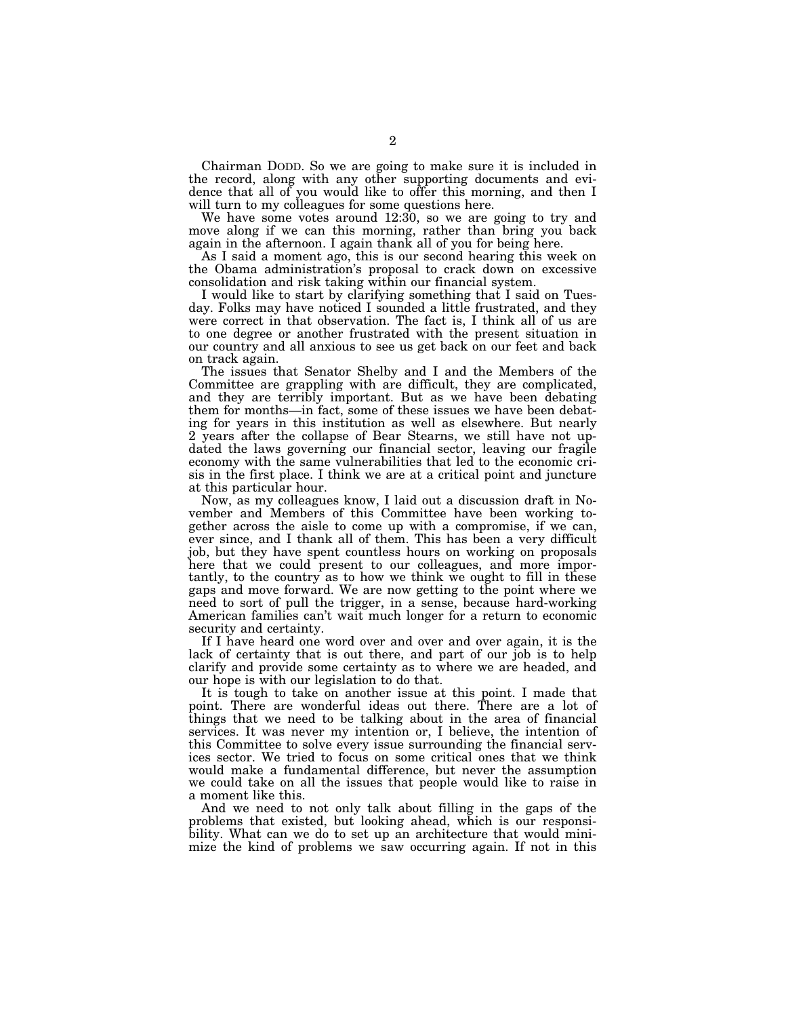Chairman DODD. So we are going to make sure it is included in the record, along with any other supporting documents and evidence that all of you would like to offer this morning, and then I will turn to my colleagues for some questions here.

We have some votes around 12:30, so we are going to try and move along if we can this morning, rather than bring you back again in the afternoon. I again thank all of you for being here.

As I said a moment ago, this is our second hearing this week on the Obama administration's proposal to crack down on excessive consolidation and risk taking within our financial system.

I would like to start by clarifying something that I said on Tuesday. Folks may have noticed I sounded a little frustrated, and they were correct in that observation. The fact is, I think all of us are to one degree or another frustrated with the present situation in our country and all anxious to see us get back on our feet and back on track again.

The issues that Senator Shelby and I and the Members of the Committee are grappling with are difficult, they are complicated, and they are terribly important. But as we have been debating them for months—in fact, some of these issues we have been debating for years in this institution as well as elsewhere. But nearly 2 years after the collapse of Bear Stearns, we still have not updated the laws governing our financial sector, leaving our fragile economy with the same vulnerabilities that led to the economic crisis in the first place. I think we are at a critical point and juncture at this particular hour.

Now, as my colleagues know, I laid out a discussion draft in November and Members of this Committee have been working together across the aisle to come up with a compromise, if we can, ever since, and I thank all of them. This has been a very difficult job, but they have spent countless hours on working on proposals here that we could present to our colleagues, and more importantly, to the country as to how we think we ought to fill in these gaps and move forward. We are now getting to the point where we need to sort of pull the trigger, in a sense, because hard-working American families can't wait much longer for a return to economic security and certainty.

If I have heard one word over and over and over again, it is the lack of certainty that is out there, and part of our job is to help clarify and provide some certainty as to where we are headed, and our hope is with our legislation to do that.

It is tough to take on another issue at this point. I made that point. There are wonderful ideas out there. There are a lot of things that we need to be talking about in the area of financial services. It was never my intention or, I believe, the intention of this Committee to solve every issue surrounding the financial services sector. We tried to focus on some critical ones that we think would make a fundamental difference, but never the assumption we could take on all the issues that people would like to raise in a moment like this.

And we need to not only talk about filling in the gaps of the problems that existed, but looking ahead, which is our responsibility. What can we do to set up an architecture that would minimize the kind of problems we saw occurring again. If not in this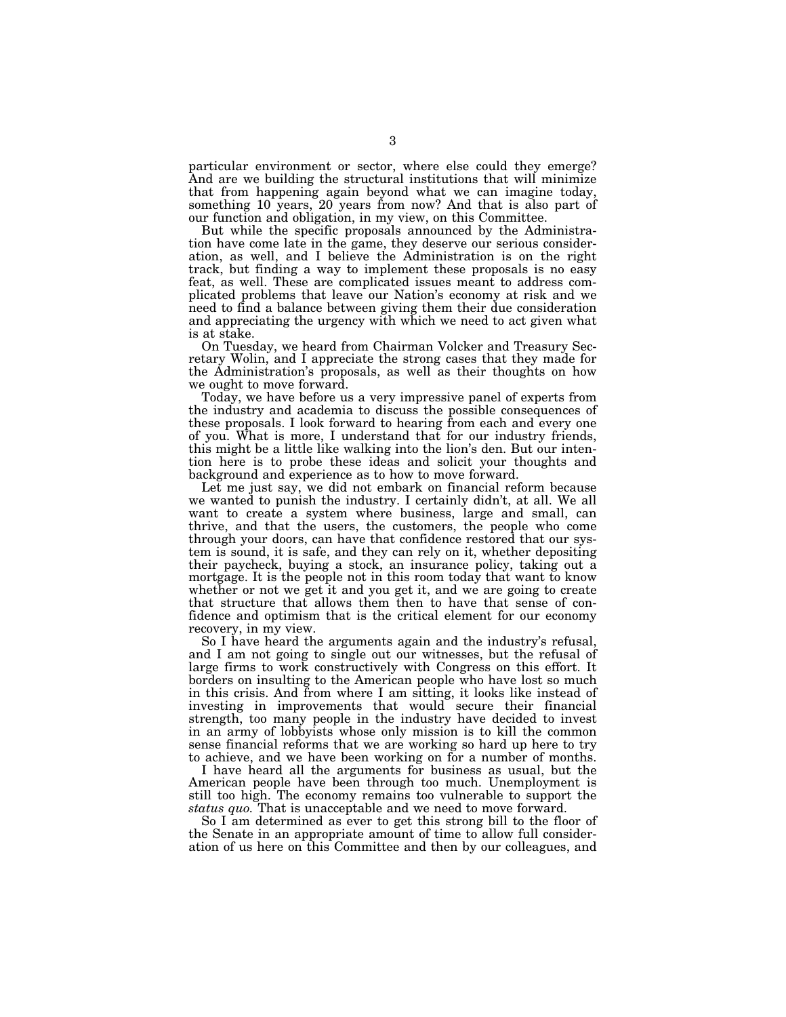particular environment or sector, where else could they emerge? And are we building the structural institutions that will minimize that from happening again beyond what we can imagine today, something 10 years, 20 years from now? And that is also part of our function and obligation, in my view, on this Committee.

But while the specific proposals announced by the Administration have come late in the game, they deserve our serious consideration, as well, and I believe the Administration is on the right track, but finding a way to implement these proposals is no easy feat, as well. These are complicated issues meant to address complicated problems that leave our Nation's economy at risk and we need to find a balance between giving them their due consideration and appreciating the urgency with which we need to act given what is at stake.

On Tuesday, we heard from Chairman Volcker and Treasury Secretary Wolin, and I appreciate the strong cases that they made for the Administration's proposals, as well as their thoughts on how we ought to move forward.

Today, we have before us a very impressive panel of experts from the industry and academia to discuss the possible consequences of these proposals. I look forward to hearing from each and every one of you. What is more, I understand that for our industry friends, this might be a little like walking into the lion's den. But our intention here is to probe these ideas and solicit your thoughts and background and experience as to how to move forward.

Let me just say, we did not embark on financial reform because we wanted to punish the industry. I certainly didn't, at all. We all want to create a system where business, large and small, can thrive, and that the users, the customers, the people who come through your doors, can have that confidence restored that our system is sound, it is safe, and they can rely on it, whether depositing their paycheck, buying a stock, an insurance policy, taking out a mortgage. It is the people not in this room today that want to know whether or not we get it and you get it, and we are going to create that structure that allows them then to have that sense of confidence and optimism that is the critical element for our economy recovery, in my view.

So I have heard the arguments again and the industry's refusal, and I am not going to single out our witnesses, but the refusal of large firms to work constructively with Congress on this effort. It borders on insulting to the American people who have lost so much in this crisis. And from where I am sitting, it looks like instead of investing in improvements that would secure their financial strength, too many people in the industry have decided to invest in an army of lobbyists whose only mission is to kill the common sense financial reforms that we are working so hard up here to try to achieve, and we have been working on for a number of months.

I have heard all the arguments for business as usual, but the American people have been through too much. Unemployment is still too high. The economy remains too vulnerable to support the *status quo.* That is unacceptable and we need to move forward.

So I am determined as ever to get this strong bill to the floor of the Senate in an appropriate amount of time to allow full consideration of us here on this Committee and then by our colleagues, and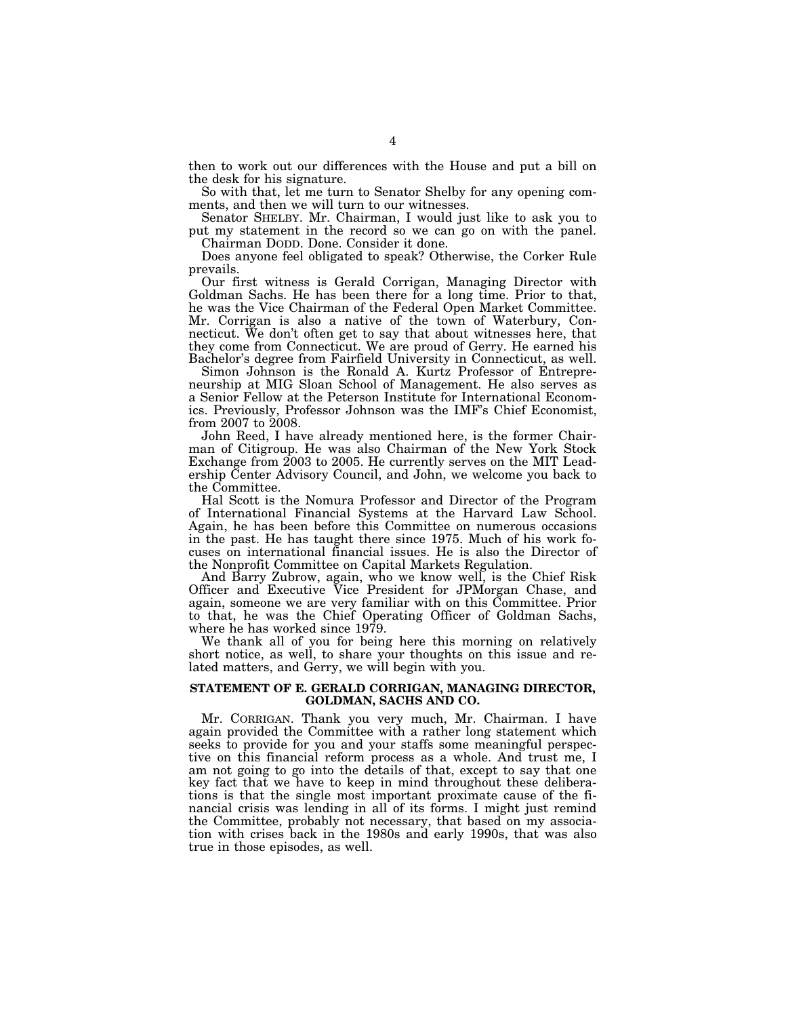then to work out our differences with the House and put a bill on the desk for his signature.

So with that, let me turn to Senator Shelby for any opening comments, and then we will turn to our witnesses.

Senator SHELBY. Mr. Chairman, I would just like to ask you to put my statement in the record so we can go on with the panel. Chairman DODD. Done. Consider it done.

Does anyone feel obligated to speak? Otherwise, the Corker Rule prevails.

Our first witness is Gerald Corrigan, Managing Director with Goldman Sachs. He has been there for a long time. Prior to that, he was the Vice Chairman of the Federal Open Market Committee. Mr. Corrigan is also a native of the town of Waterbury, Connecticut. We don't often get to say that about witnesses here, that they come from Connecticut. We are proud of Gerry. He earned his Bachelor's degree from Fairfield University in Connecticut, as well.

Simon Johnson is the Ronald A. Kurtz Professor of Entrepreneurship at MIG Sloan School of Management. He also serves as a Senior Fellow at the Peterson Institute for International Economics. Previously, Professor Johnson was the IMF's Chief Economist, from 2007 to 2008.

John Reed, I have already mentioned here, is the former Chairman of Citigroup. He was also Chairman of the New York Stock Exchange from 2003 to 2005. He currently serves on the MIT Leadership Center Advisory Council, and John, we welcome you back to the Committee.

Hal Scott is the Nomura Professor and Director of the Program of International Financial Systems at the Harvard Law School. Again, he has been before this Committee on numerous occasions in the past. He has taught there since 1975. Much of his work focuses on international financial issues. He is also the Director of the Nonprofit Committee on Capital Markets Regulation.

And Barry Zubrow, again, who we know well, is the Chief Risk Officer and Executive Vice President for JPMorgan Chase, and again, someone we are very familiar with on this Committee. Prior to that, he was the Chief Operating Officer of Goldman Sachs, where he has worked since 1979.

We thank all of you for being here this morning on relatively short notice, as well, to share your thoughts on this issue and related matters, and Gerry, we will begin with you.

# **STATEMENT OF E. GERALD CORRIGAN, MANAGING DIRECTOR, GOLDMAN, SACHS AND CO.**

Mr. CORRIGAN. Thank you very much, Mr. Chairman. I have again provided the Committee with a rather long statement which seeks to provide for you and your staffs some meaningful perspective on this financial reform process as a whole. And trust me, I am not going to go into the details of that, except to say that one key fact that we have to keep in mind throughout these deliberations is that the single most important proximate cause of the financial crisis was lending in all of its forms. I might just remind the Committee, probably not necessary, that based on my association with crises back in the 1980s and early 1990s, that was also true in those episodes, as well.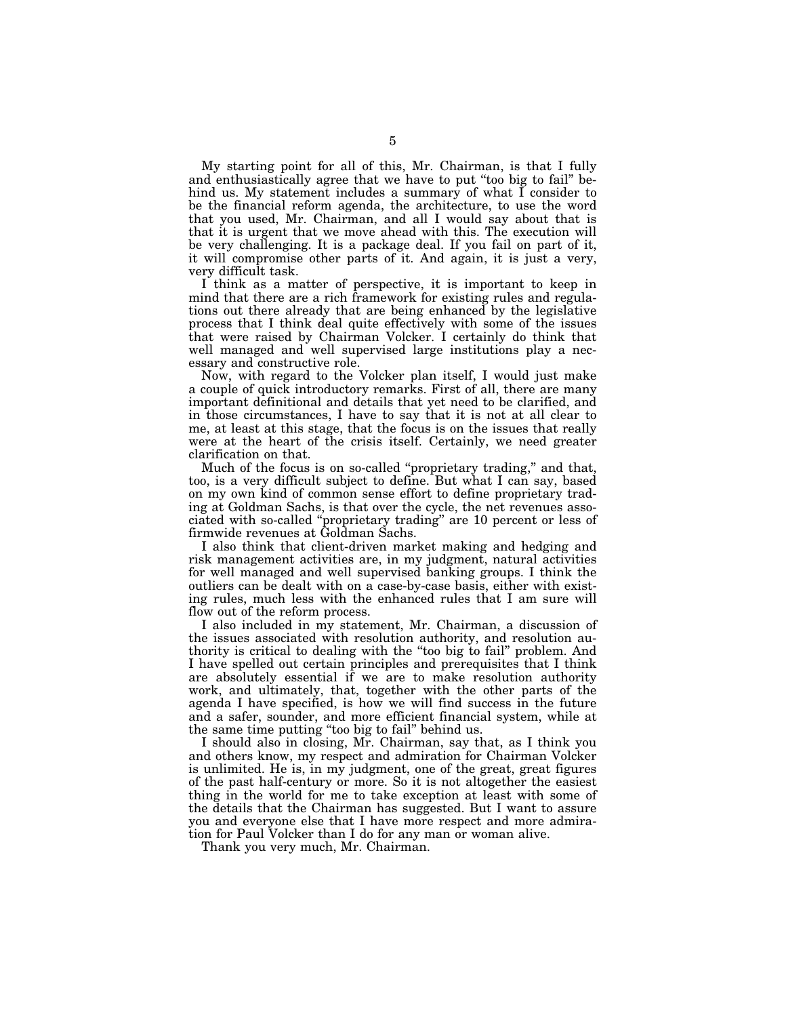My starting point for all of this, Mr. Chairman, is that I fully and enthusiastically agree that we have to put ''too big to fail'' behind us. My statement includes a summary of what I consider to be the financial reform agenda, the architecture, to use the word that you used, Mr. Chairman, and all I would say about that is that it is urgent that we move ahead with this. The execution will be very challenging. It is a package deal. If you fail on part of it, it will compromise other parts of it. And again, it is just a very, very difficult task.

I think as a matter of perspective, it is important to keep in mind that there are a rich framework for existing rules and regulations out there already that are being enhanced by the legislative process that I think deal quite effectively with some of the issues that were raised by Chairman Volcker. I certainly do think that well managed and well supervised large institutions play a necessary and constructive role.

Now, with regard to the Volcker plan itself, I would just make a couple of quick introductory remarks. First of all, there are many important definitional and details that yet need to be clarified, and in those circumstances, I have to say that it is not at all clear to me, at least at this stage, that the focus is on the issues that really were at the heart of the crisis itself. Certainly, we need greater clarification on that.

Much of the focus is on so-called ''proprietary trading,'' and that, too, is a very difficult subject to define. But what I can say, based on my own kind of common sense effort to define proprietary trading at Goldman Sachs, is that over the cycle, the net revenues associated with so-called ''proprietary trading'' are 10 percent or less of firmwide revenues at Goldman Sachs.

I also think that client-driven market making and hedging and risk management activities are, in my judgment, natural activities for well managed and well supervised banking groups. I think the outliers can be dealt with on a case-by-case basis, either with existing rules, much less with the enhanced rules that I am sure will flow out of the reform process.

I also included in my statement, Mr. Chairman, a discussion of the issues associated with resolution authority, and resolution authority is critical to dealing with the ''too big to fail'' problem. And I have spelled out certain principles and prerequisites that I think are absolutely essential if we are to make resolution authority work, and ultimately, that, together with the other parts of the agenda I have specified, is how we will find success in the future and a safer, sounder, and more efficient financial system, while at the same time putting ''too big to fail'' behind us.

I should also in closing, Mr. Chairman, say that, as I think you and others know, my respect and admiration for Chairman Volcker is unlimited. He is, in my judgment, one of the great, great figures of the past half-century or more. So it is not altogether the easiest thing in the world for me to take exception at least with some of the details that the Chairman has suggested. But I want to assure you and everyone else that I have more respect and more admiration for Paul Volcker than I do for any man or woman alive.

Thank you very much, Mr. Chairman.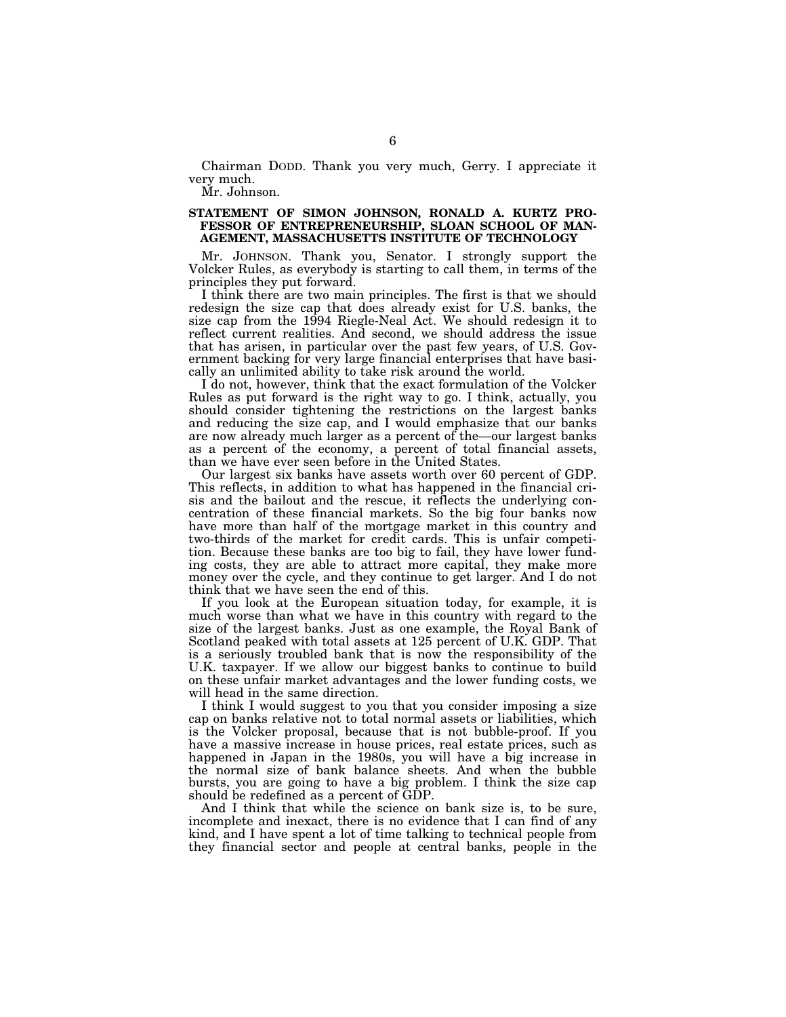Chairman DODD. Thank you very much, Gerry. I appreciate it very much.

Mr. Johnson.

# **STATEMENT OF SIMON JOHNSON, RONALD A. KURTZ PRO-FESSOR OF ENTREPRENEURSHIP, SLOAN SCHOOL OF MAN-AGEMENT, MASSACHUSETTS INSTITUTE OF TECHNOLOGY**

Mr. JOHNSON. Thank you, Senator. I strongly support the Volcker Rules, as everybody is starting to call them, in terms of the principles they put forward.

I think there are two main principles. The first is that we should redesign the size cap that does already exist for U.S. banks, the size cap from the 1994 Riegle-Neal Act. We should redesign it to reflect current realities. And second, we should address the issue that has arisen, in particular over the past few years, of U.S. Government backing for very large financial enterprises that have basically an unlimited ability to take risk around the world.

I do not, however, think that the exact formulation of the Volcker Rules as put forward is the right way to go. I think, actually, you should consider tightening the restrictions on the largest banks and reducing the size cap, and I would emphasize that our banks are now already much larger as a percent of the—our largest banks as a percent of the economy, a percent of total financial assets, than we have ever seen before in the United States.

Our largest six banks have assets worth over 60 percent of GDP. This reflects, in addition to what has happened in the financial crisis and the bailout and the rescue, it reflects the underlying concentration of these financial markets. So the big four banks now have more than half of the mortgage market in this country and two-thirds of the market for credit cards. This is unfair competition. Because these banks are too big to fail, they have lower funding costs, they are able to attract more capital, they make more money over the cycle, and they continue to get larger. And I do not think that we have seen the end of this.

If you look at the European situation today, for example, it is much worse than what we have in this country with regard to the size of the largest banks. Just as one example, the Royal Bank of Scotland peaked with total assets at 125 percent of U.K. GDP. That is a seriously troubled bank that is now the responsibility of the U.K. taxpayer. If we allow our biggest banks to continue to build on these unfair market advantages and the lower funding costs, we will head in the same direction.

I think I would suggest to you that you consider imposing a size cap on banks relative not to total normal assets or liabilities, which is the Volcker proposal, because that is not bubble-proof. If you have a massive increase in house prices, real estate prices, such as happened in Japan in the 1980s, you will have a big increase in the normal size of bank balance sheets. And when the bubble bursts, you are going to have a big problem. I think the size cap should be redefined as a percent of GDP.

And I think that while the science on bank size is, to be sure, incomplete and inexact, there is no evidence that I can find of any kind, and I have spent a lot of time talking to technical people from they financial sector and people at central banks, people in the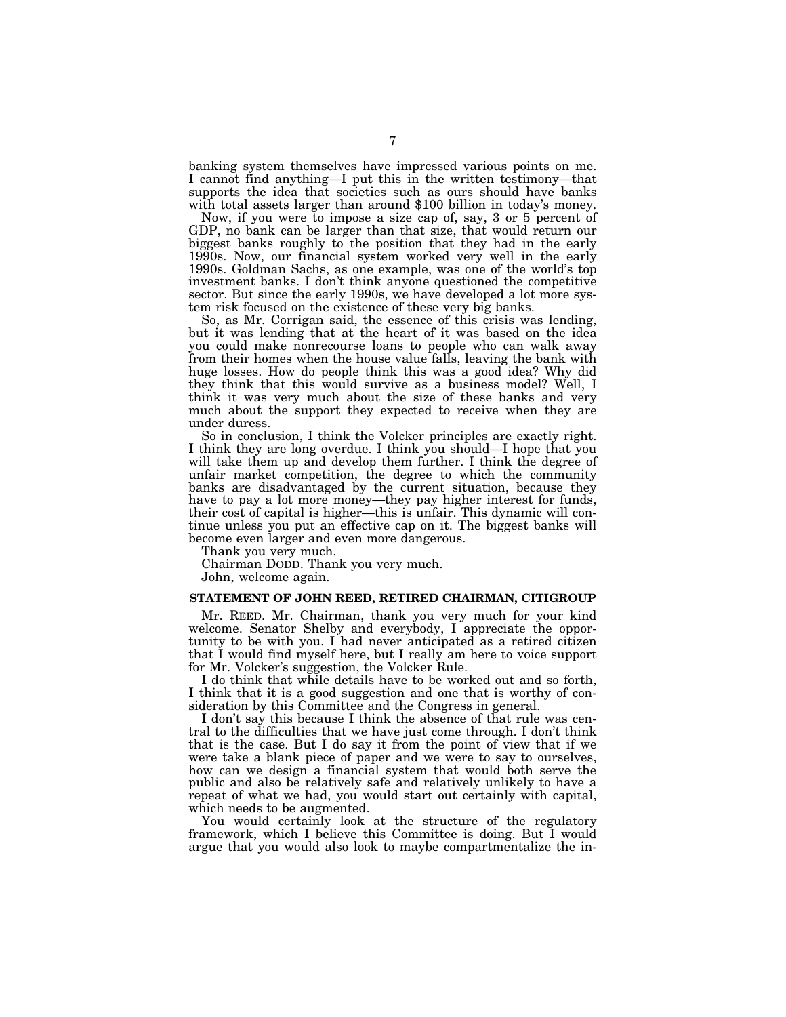banking system themselves have impressed various points on me. I cannot find anything—I put this in the written testimony—that supports the idea that societies such as ours should have banks with total assets larger than around \$100 billion in today's money.

Now, if you were to impose a size cap of, say, 3 or 5 percent of GDP, no bank can be larger than that size, that would return our biggest banks roughly to the position that they had in the early 1990s. Now, our financial system worked very well in the early 1990s. Goldman Sachs, as one example, was one of the world's top investment banks. I don't think anyone questioned the competitive sector. But since the early 1990s, we have developed a lot more system risk focused on the existence of these very big banks.

So, as Mr. Corrigan said, the essence of this crisis was lending, but it was lending that at the heart of it was based on the idea you could make nonrecourse loans to people who can walk away from their homes when the house value falls, leaving the bank with huge losses. How do people think this was a good idea? Why did they think that this would survive as a business model? Well, I think it was very much about the size of these banks and very much about the support they expected to receive when they are under duress.

So in conclusion, I think the Volcker principles are exactly right. I think they are long overdue. I think you should—I hope that you will take them up and develop them further. I think the degree of unfair market competition, the degree to which the community banks are disadvantaged by the current situation, because they have to pay a lot more money—they pay higher interest for funds, their cost of capital is higher—this is unfair. This dynamic will continue unless you put an effective cap on it. The biggest banks will become even larger and even more dangerous.

Thank you very much.

Chairman DODD. Thank you very much.

John, welcome again.

# **STATEMENT OF JOHN REED, RETIRED CHAIRMAN, CITIGROUP**

Mr. REED. Mr. Chairman, thank you very much for your kind welcome. Senator Shelby and everybody, I appreciate the opportunity to be with you. I had never anticipated as a retired citizen that I would find myself here, but I really am here to voice support for Mr. Volcker's suggestion, the Volcker Rule.

I do think that while details have to be worked out and so forth, I think that it is a good suggestion and one that is worthy of consideration by this Committee and the Congress in general.

I don't say this because I think the absence of that rule was central to the difficulties that we have just come through. I don't think that is the case. But I do say it from the point of view that if we were take a blank piece of paper and we were to say to ourselves, how can we design a financial system that would both serve the public and also be relatively safe and relatively unlikely to have a repeat of what we had, you would start out certainly with capital, which needs to be augmented.

You would certainly look at the structure of the regulatory framework, which I believe this Committee is doing. But I would argue that you would also look to maybe compartmentalize the in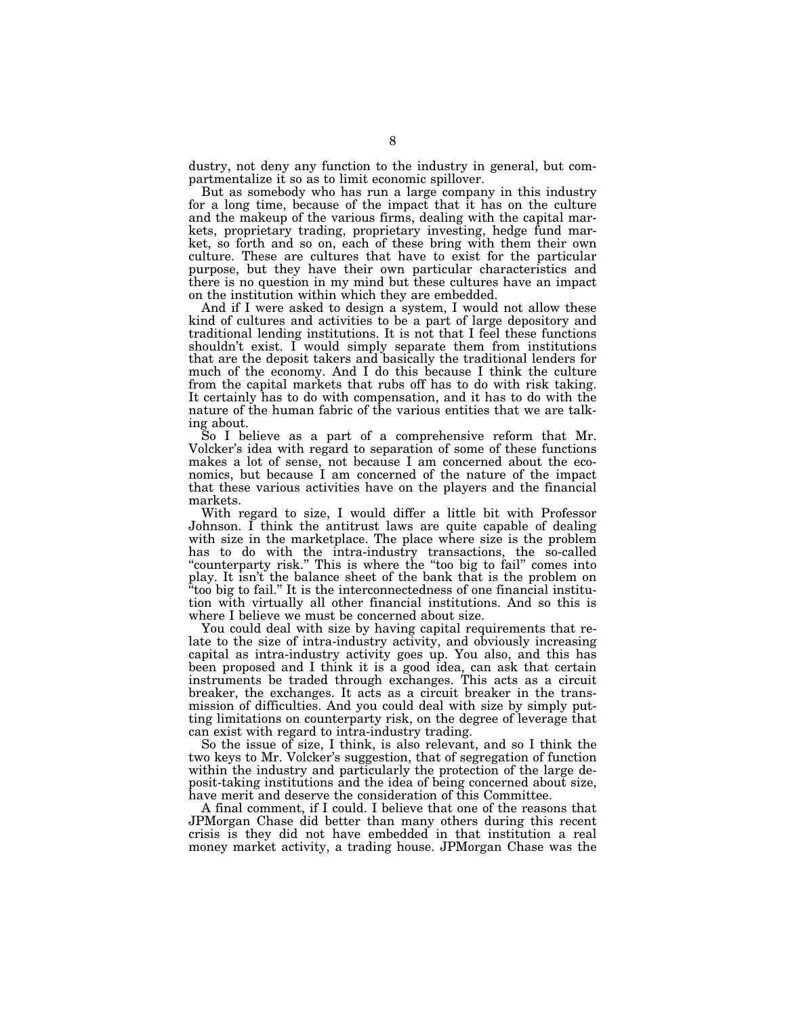dustry, not deny any function to the industry in general, but compartmentalize it so as to limit economic spillover.

But as somebody who has run a large company in this industry for a long time, because of the impact that it has on the culture and the makeup of the various firms, dealing with the capital markets, proprietary trading, proprietary investing, hedge fund market, so forth and so on, each of these bring with them their own culture. These are cultures that have to exist for the particular purpose, but they have their own particular characteristics and there is no question in my mind but these cultures have an impact on the institution within which they are embedded.

And if I were asked to design a system, I would not allow these kind of cultures and activities to be a part of large depository and traditional lending institutions. It is not that I feel these functions shouldn't exist. I would simply separate them from institutions that are the deposit takers and basically the traditional lenders for much of the economy. And I do this because I think the culture from the capital markets that rubs off has to do with risk taking. It certainly has to do with compensation, and it has to do with the nature of the human fabric of the various entities that we are talking about.

So I believe as a part of a comprehensive reform that Mr. Volcker's idea with regard to separation of some of these functions makes a lot of sense, not because I am concerned about the economics, but because I am concerned of the nature of the impact that these various activities have on the players and the financial markets.

With regard to size, I would differ a little bit with Professor Johnson. I think the antitrust laws are quite capable of dealing with size in the marketplace. The place where size is the problem has to do with the intra-industry transactions, the so-called "counterparty risk." This is where the "too big to fail" comes into play. It isn't the balance sheet of the bank that is the problem on ''too big to fail.'' It is the interconnectedness of one financial institution with virtually all other financial institutions. And so this is where I believe we must be concerned about size.

You could deal with size by having capital requirements that relate to the size of intra-industry activity, and obviously increasing capital as intra-industry activity goes up. You also, and this has been proposed and I think it is a good idea, can ask that certain instruments be traded through exchanges. This acts as a circuit breaker, the exchanges. It acts as a circuit breaker in the transmission of difficulties. And you could deal with size by simply putting limitations on counterparty risk, on the degree of leverage that can exist with regard to intra-industry trading.

So the issue of size, I think, is also relevant, and so I think the two keys to Mr. Volcker's suggestion, that of segregation of function within the industry and particularly the protection of the large deposit-taking institutions and the idea of being concerned about size, have merit and deserve the consideration of this Committee.

A final comment, if I could. I believe that one of the reasons that JPMorgan Chase did better than many others during this recent crisis is they did not have embedded in that institution a real money market activity, a trading house. JPMorgan Chase was the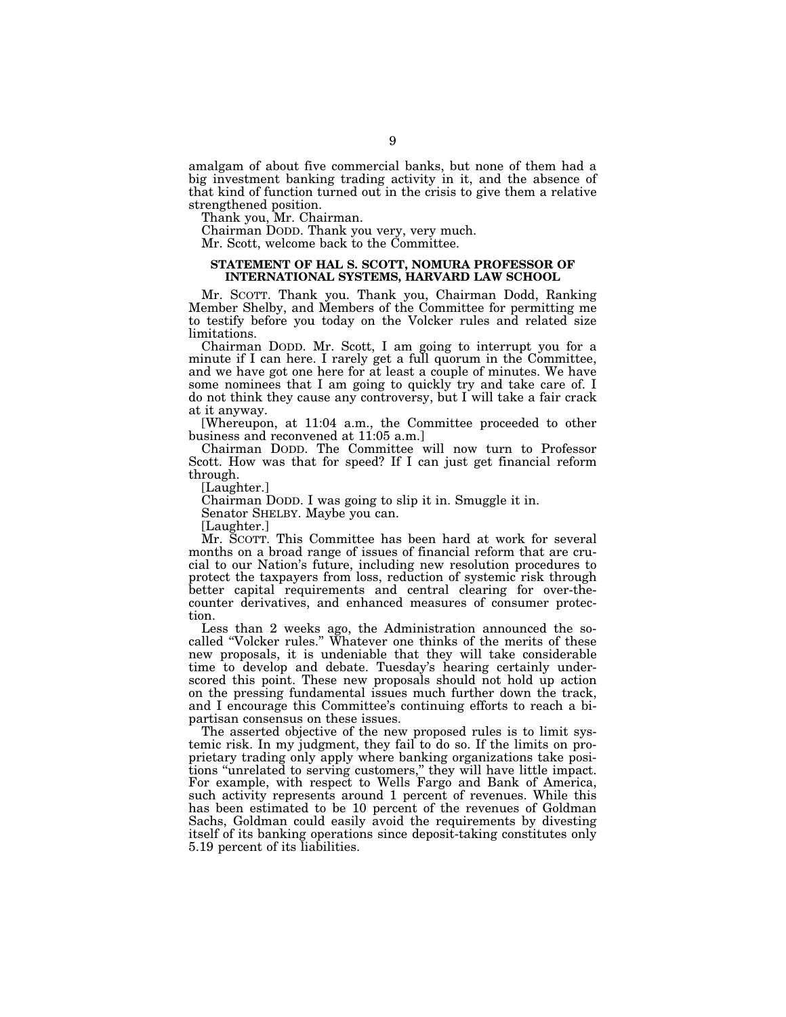amalgam of about five commercial banks, but none of them had a big investment banking trading activity in it, and the absence of that kind of function turned out in the crisis to give them a relative strengthened position.

Thank you, Mr. Chairman.

Chairman DODD. Thank you very, very much.

Mr. Scott, welcome back to the Committee.

# **STATEMENT OF HAL S. SCOTT, NOMURA PROFESSOR OF INTERNATIONAL SYSTEMS, HARVARD LAW SCHOOL**

Mr. SCOTT. Thank you. Thank you, Chairman Dodd, Ranking Member Shelby, and Members of the Committee for permitting me to testify before you today on the Volcker rules and related size limitations.

Chairman DODD. Mr. Scott, I am going to interrupt you for a minute if I can here. I rarely get a full quorum in the Committee, and we have got one here for at least a couple of minutes. We have some nominees that I am going to quickly try and take care of. I do not think they cause any controversy, but I will take a fair crack at it anyway.

[Whereupon, at 11:04 a.m., the Committee proceeded to other business and reconvened at 11:05 a.m.]

Chairman DODD. The Committee will now turn to Professor Scott. How was that for speed? If I can just get financial reform through.

[Laughter.]

Chairman DODD. I was going to slip it in. Smuggle it in.

Senator SHELBY. Maybe you can.

[Laughter.]

Mr. SCOTT. This Committee has been hard at work for several months on a broad range of issues of financial reform that are crucial to our Nation's future, including new resolution procedures to protect the taxpayers from loss, reduction of systemic risk through better capital requirements and central clearing for over-thecounter derivatives, and enhanced measures of consumer protection.

Less than 2 weeks ago, the Administration announced the socalled ''Volcker rules.'' Whatever one thinks of the merits of these new proposals, it is undeniable that they will take considerable time to develop and debate. Tuesday's hearing certainly underscored this point. These new proposals should not hold up action on the pressing fundamental issues much further down the track, and I encourage this Committee's continuing efforts to reach a bipartisan consensus on these issues.

The asserted objective of the new proposed rules is to limit systemic risk. In my judgment, they fail to do so. If the limits on proprietary trading only apply where banking organizations take positions ''unrelated to serving customers,'' they will have little impact. For example, with respect to Wells Fargo and Bank of America, such activity represents around 1 percent of revenues. While this has been estimated to be 10 percent of the revenues of Goldman Sachs, Goldman could easily avoid the requirements by divesting itself of its banking operations since deposit-taking constitutes only 5.19 percent of its liabilities.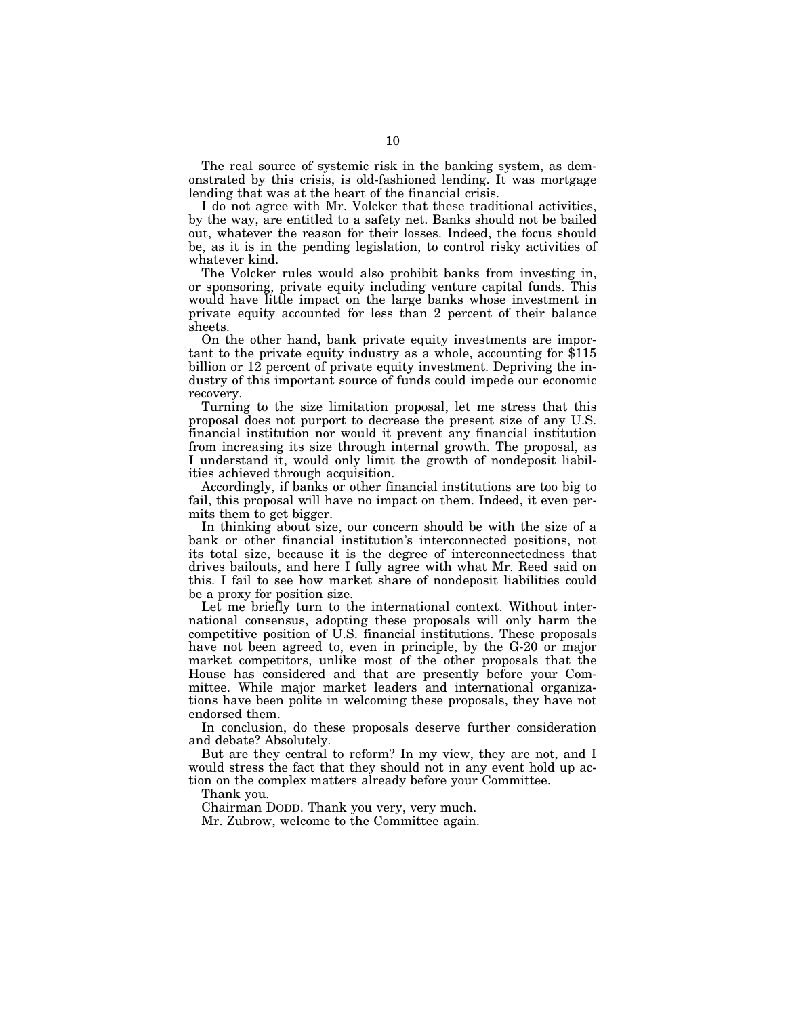The real source of systemic risk in the banking system, as demonstrated by this crisis, is old-fashioned lending. It was mortgage lending that was at the heart of the financial crisis.

I do not agree with Mr. Volcker that these traditional activities, by the way, are entitled to a safety net. Banks should not be bailed out, whatever the reason for their losses. Indeed, the focus should be, as it is in the pending legislation, to control risky activities of whatever kind.

The Volcker rules would also prohibit banks from investing in, or sponsoring, private equity including venture capital funds. This would have little impact on the large banks whose investment in private equity accounted for less than 2 percent of their balance sheets.

On the other hand, bank private equity investments are important to the private equity industry as a whole, accounting for \$115 billion or 12 percent of private equity investment. Depriving the industry of this important source of funds could impede our economic recovery.

Turning to the size limitation proposal, let me stress that this proposal does not purport to decrease the present size of any U.S. financial institution nor would it prevent any financial institution from increasing its size through internal growth. The proposal, as I understand it, would only limit the growth of nondeposit liabilities achieved through acquisition.

Accordingly, if banks or other financial institutions are too big to fail, this proposal will have no impact on them. Indeed, it even permits them to get bigger.

In thinking about size, our concern should be with the size of a bank or other financial institution's interconnected positions, not its total size, because it is the degree of interconnectedness that drives bailouts, and here I fully agree with what Mr. Reed said on this. I fail to see how market share of nondeposit liabilities could be a proxy for position size.

Let me briefly turn to the international context. Without international consensus, adopting these proposals will only harm the competitive position of U.S. financial institutions. These proposals have not been agreed to, even in principle, by the G-20 or major market competitors, unlike most of the other proposals that the House has considered and that are presently before your Committee. While major market leaders and international organizations have been polite in welcoming these proposals, they have not endorsed them.

In conclusion, do these proposals deserve further consideration and debate? Absolutely.

But are they central to reform? In my view, they are not, and I would stress the fact that they should not in any event hold up action on the complex matters already before your Committee.

Thank you.

Chairman DODD. Thank you very, very much.

Mr. Zubrow, welcome to the Committee again.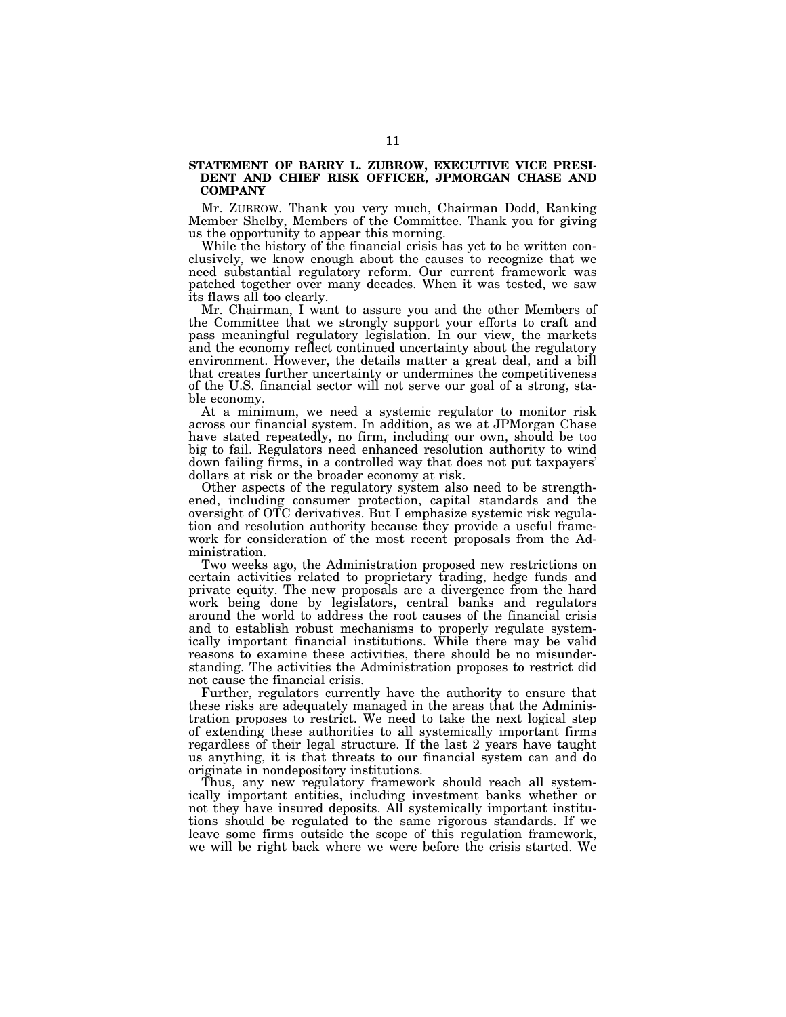# **STATEMENT OF BARRY L. ZUBROW, EXECUTIVE VICE PRESI-DENT AND CHIEF RISK OFFICER, JPMORGAN CHASE AND COMPANY**

Mr. ZUBROW. Thank you very much, Chairman Dodd, Ranking Member Shelby, Members of the Committee. Thank you for giving us the opportunity to appear this morning.

While the history of the financial crisis has yet to be written conclusively, we know enough about the causes to recognize that we need substantial regulatory reform. Our current framework was patched together over many decades. When it was tested, we saw its flaws all too clearly.

Mr. Chairman, I want to assure you and the other Members of the Committee that we strongly support your efforts to craft and pass meaningful regulatory legislation. In our view, the markets and the economy reflect continued uncertainty about the regulatory environment. However, the details matter a great deal, and a bill that creates further uncertainty or undermines the competitiveness of the U.S. financial sector will not serve our goal of a strong, stable economy.

At a minimum, we need a systemic regulator to monitor risk across our financial system. In addition, as we at JPMorgan Chase have stated repeatedly, no firm, including our own, should be too big to fail. Regulators need enhanced resolution authority to wind down failing firms, in a controlled way that does not put taxpayers' dollars at risk or the broader economy at risk.

Other aspects of the regulatory system also need to be strengthened, including consumer protection, capital standards and the oversight of OTC derivatives. But I emphasize systemic risk regulation and resolution authority because they provide a useful framework for consideration of the most recent proposals from the Administration.

Two weeks ago, the Administration proposed new restrictions on certain activities related to proprietary trading, hedge funds and private equity. The new proposals are a divergence from the hard work being done by legislators, central banks and regulators around the world to address the root causes of the financial crisis and to establish robust mechanisms to properly regulate systemically important financial institutions. While there may be valid reasons to examine these activities, there should be no misunderstanding. The activities the Administration proposes to restrict did not cause the financial crisis.

Further, regulators currently have the authority to ensure that these risks are adequately managed in the areas that the Administration proposes to restrict. We need to take the next logical step of extending these authorities to all systemically important firms regardless of their legal structure. If the last 2 years have taught us anything, it is that threats to our financial system can and do originate in nondepository institutions.

Thus, any new regulatory framework should reach all systemically important entities, including investment banks whether or not they have insured deposits. All systemically important institutions should be regulated to the same rigorous standards. If we leave some firms outside the scope of this regulation framework, we will be right back where we were before the crisis started. We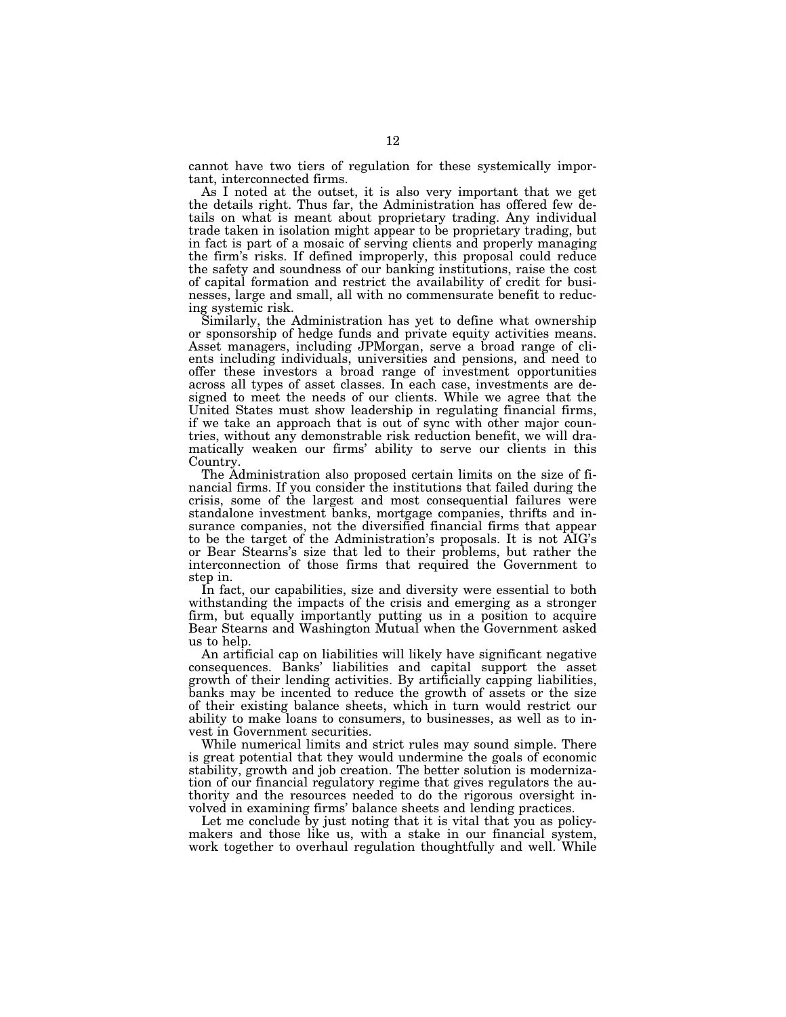cannot have two tiers of regulation for these systemically important, interconnected firms.

As I noted at the outset, it is also very important that we get the details right. Thus far, the Administration has offered few details on what is meant about proprietary trading. Any individual trade taken in isolation might appear to be proprietary trading, but in fact is part of a mosaic of serving clients and properly managing the firm's risks. If defined improperly, this proposal could reduce the safety and soundness of our banking institutions, raise the cost of capital formation and restrict the availability of credit for businesses, large and small, all with no commensurate benefit to reducing systemic risk.

Similarly, the Administration has yet to define what ownership or sponsorship of hedge funds and private equity activities means. Asset managers, including JPMorgan, serve a broad range of clients including individuals, universities and pensions, and need to offer these investors a broad range of investment opportunities across all types of asset classes. In each case, investments are designed to meet the needs of our clients. While we agree that the United States must show leadership in regulating financial firms, if we take an approach that is out of sync with other major countries, without any demonstrable risk reduction benefit, we will dramatically weaken our firms' ability to serve our clients in this Country.

The Administration also proposed certain limits on the size of financial firms. If you consider the institutions that failed during the crisis, some of the largest and most consequential failures were standalone investment banks, mortgage companies, thrifts and insurance companies, not the diversified financial firms that appear to be the target of the Administration's proposals. It is not AIG's or Bear Stearns's size that led to their problems, but rather the interconnection of those firms that required the Government to step in.

In fact, our capabilities, size and diversity were essential to both withstanding the impacts of the crisis and emerging as a stronger firm, but equally importantly putting us in a position to acquire Bear Stearns and Washington Mutual when the Government asked us to help.

An artificial cap on liabilities will likely have significant negative consequences. Banks' liabilities and capital support the asset growth of their lending activities. By artificially capping liabilities, banks may be incented to reduce the growth of assets or the size of their existing balance sheets, which in turn would restrict our ability to make loans to consumers, to businesses, as well as to invest in Government securities.

While numerical limits and strict rules may sound simple. There is great potential that they would undermine the goals of economic stability, growth and job creation. The better solution is modernization of our financial regulatory regime that gives regulators the authority and the resources needed to do the rigorous oversight involved in examining firms' balance sheets and lending practices.

Let me conclude by just noting that it is vital that you as policymakers and those like us, with a stake in our financial system, work together to overhaul regulation thoughtfully and well. While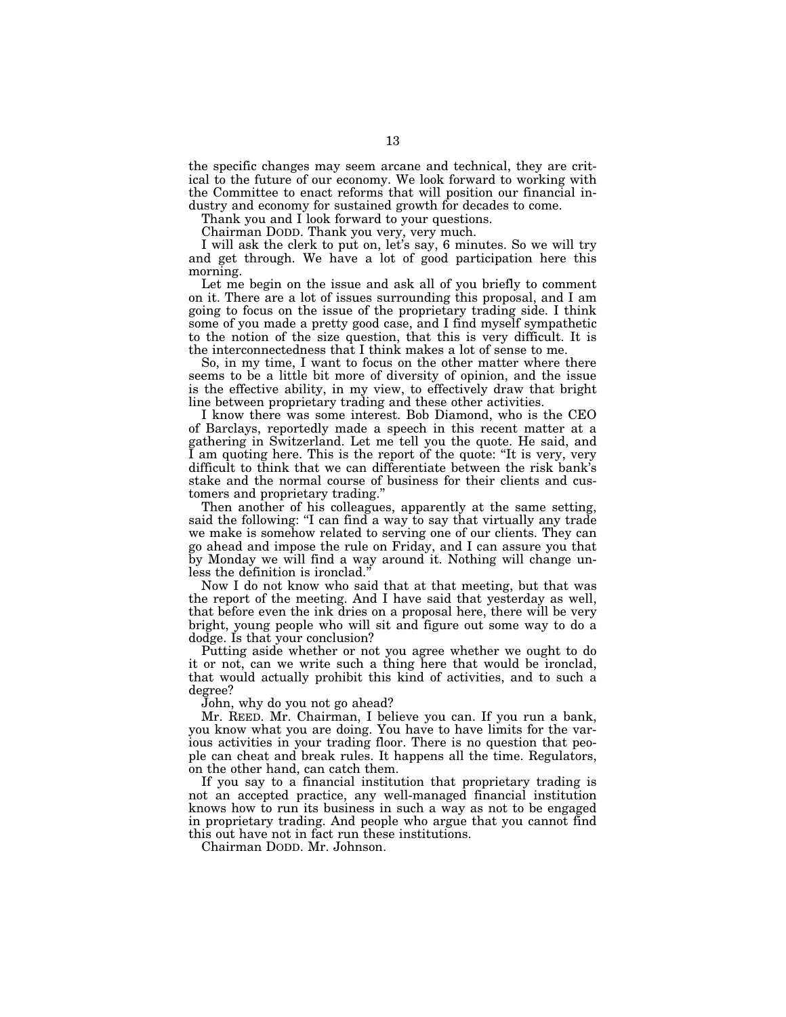the specific changes may seem arcane and technical, they are critical to the future of our economy. We look forward to working with the Committee to enact reforms that will position our financial industry and economy for sustained growth for decades to come.

Thank you and I look forward to your questions.

Chairman DODD. Thank you very, very much.

I will ask the clerk to put on, let's say, 6 minutes. So we will try and get through. We have a lot of good participation here this morning.

Let me begin on the issue and ask all of you briefly to comment on it. There are a lot of issues surrounding this proposal, and I am going to focus on the issue of the proprietary trading side. I think some of you made a pretty good case, and I find myself sympathetic to the notion of the size question, that this is very difficult. It is the interconnectedness that I think makes a lot of sense to me.

So, in my time, I want to focus on the other matter where there seems to be a little bit more of diversity of opinion, and the issue is the effective ability, in my view, to effectively draw that bright line between proprietary trading and these other activities.

I know there was some interest. Bob Diamond, who is the CEO of Barclays, reportedly made a speech in this recent matter at a gathering in Switzerland. Let me tell you the quote. He said, and I am quoting here. This is the report of the quote: ''It is very, very difficult to think that we can differentiate between the risk bank's stake and the normal course of business for their clients and customers and proprietary trading.''

Then another of his colleagues, apparently at the same setting, said the following: "I can find a way to say that virtually any trade we make is somehow related to serving one of our clients. They can go ahead and impose the rule on Friday, and I can assure you that by Monday we will find a way around it. Nothing will change unless the definition is ironclad.''

Now I do not know who said that at that meeting, but that was the report of the meeting. And I have said that yesterday as well, that before even the ink dries on a proposal here, there will be very bright, young people who will sit and figure out some way to do a dodge. Is that your conclusion?

Putting aside whether or not you agree whether we ought to do it or not, can we write such a thing here that would be ironclad, that would actually prohibit this kind of activities, and to such a degree?

John, why do you not go ahead?

Mr. REED. Mr. Chairman, I believe you can. If you run a bank, you know what you are doing. You have to have limits for the various activities in your trading floor. There is no question that people can cheat and break rules. It happens all the time. Regulators, on the other hand, can catch them.

If you say to a financial institution that proprietary trading is not an accepted practice, any well-managed financial institution knows how to run its business in such a way as not to be engaged in proprietary trading. And people who argue that you cannot find this out have not in fact run these institutions.

Chairman DODD. Mr. Johnson.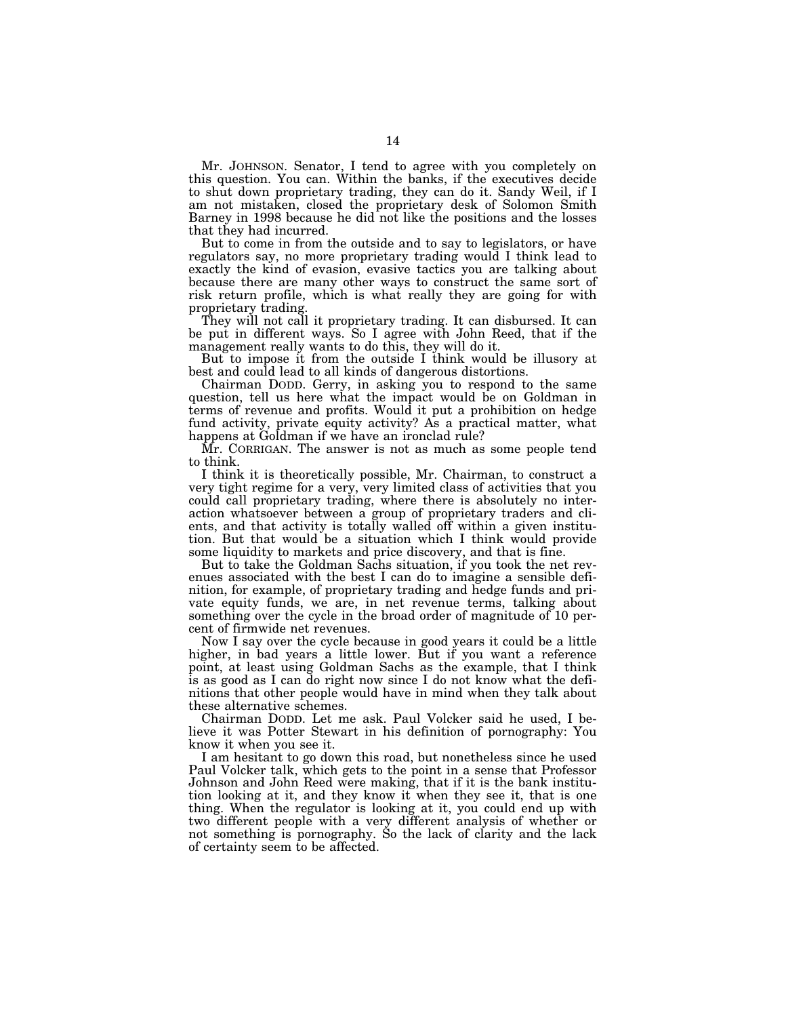Mr. JOHNSON. Senator, I tend to agree with you completely on this question. You can. Within the banks, if the executives decide to shut down proprietary trading, they can do it. Sandy Weil, if I am not mistaken, closed the proprietary desk of Solomon Smith Barney in 1998 because he did not like the positions and the losses that they had incurred.

But to come in from the outside and to say to legislators, or have regulators say, no more proprietary trading would I think lead to exactly the kind of evasion, evasive tactics you are talking about because there are many other ways to construct the same sort of risk return profile, which is what really they are going for with proprietary trading.

They will not call it proprietary trading. It can disbursed. It can be put in different ways. So I agree with John Reed, that if the management really wants to do this, they will do it.

But to impose it from the outside I think would be illusory at best and could lead to all kinds of dangerous distortions.

Chairman DODD. Gerry, in asking you to respond to the same question, tell us here what the impact would be on Goldman in terms of revenue and profits. Would it put a prohibition on hedge fund activity, private equity activity? As a practical matter, what happens at Goldman if we have an ironclad rule?

Mr. CORRIGAN. The answer is not as much as some people tend to think.

I think it is theoretically possible, Mr. Chairman, to construct a very tight regime for a very, very limited class of activities that you could call proprietary trading, where there is absolutely no interaction whatsoever between a group of proprietary traders and clients, and that activity is totally walled off within a given institution. But that would be a situation which I think would provide some liquidity to markets and price discovery, and that is fine.

But to take the Goldman Sachs situation, if you took the net revenues associated with the best I can do to imagine a sensible definition, for example, of proprietary trading and hedge funds and private equity funds, we are, in net revenue terms, talking about something over the cycle in the broad order of magnitude of 10 percent of firmwide net revenues.

Now I say over the cycle because in good years it could be a little higher, in bad years a little lower. But if you want a reference point, at least using Goldman Sachs as the example, that I think is as good as I can do right now since I do not know what the definitions that other people would have in mind when they talk about these alternative schemes.

Chairman DODD. Let me ask. Paul Volcker said he used, I believe it was Potter Stewart in his definition of pornography: You know it when you see it.

I am hesitant to go down this road, but nonetheless since he used Paul Volcker talk, which gets to the point in a sense that Professor Johnson and John Reed were making, that if it is the bank institution looking at it, and they know it when they see it, that is one thing. When the regulator is looking at it, you could end up with two different people with a very different analysis of whether or not something is pornography. So the lack of clarity and the lack of certainty seem to be affected.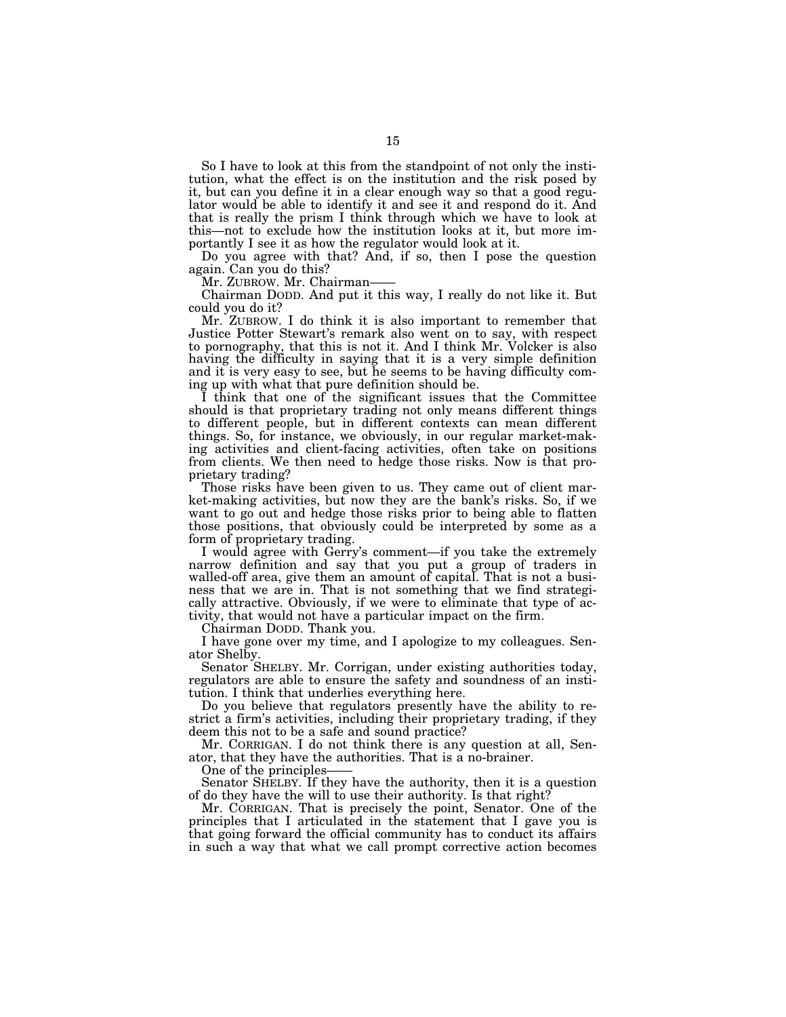So I have to look at this from the standpoint of not only the institution, what the effect is on the institution and the risk posed by it, but can you define it in a clear enough way so that a good regulator would be able to identify it and see it and respond do it. And that is really the prism I think through which we have to look at this—not to exclude how the institution looks at it, but more importantly I see it as how the regulator would look at it.

Do you agree with that? And, if so, then I pose the question again. Can you do this?

Mr. ZUBROW. Mr. Chairman-

Chairman DODD. And put it this way, I really do not like it. But could you do it?

Mr. ZUBROW. I do think it is also important to remember that Justice Potter Stewart's remark also went on to say, with respect to pornography, that this is not it. And I think Mr. Volcker is also having the difficulty in saying that it is a very simple definition and it is very easy to see, but he seems to be having difficulty coming up with what that pure definition should be.

I think that one of the significant issues that the Committee should is that proprietary trading not only means different things to different people, but in different contexts can mean different things. So, for instance, we obviously, in our regular market-making activities and client-facing activities, often take on positions from clients. We then need to hedge those risks. Now is that proprietary trading?

Those risks have been given to us. They came out of client market-making activities, but now they are the bank's risks. So, if we want to go out and hedge those risks prior to being able to flatten those positions, that obviously could be interpreted by some as a form of proprietary trading.

I would agree with Gerry's comment—if you take the extremely narrow definition and say that you put a group of traders in walled-off area, give them an amount of capital. That is not a business that we are in. That is not something that we find strategically attractive. Obviously, if we were to eliminate that type of activity, that would not have a particular impact on the firm.

Chairman DODD. Thank you.

I have gone over my time, and I apologize to my colleagues. Senator Shelby.

Senator SHELBY. Mr. Corrigan, under existing authorities today, regulators are able to ensure the safety and soundness of an institution. I think that underlies everything here.

Do you believe that regulators presently have the ability to restrict a firm's activities, including their proprietary trading, if they deem this not to be a safe and sound practice?

Mr. CORRIGAN. I do not think there is any question at all, Senator, that they have the authorities. That is a no-brainer.

One of the principles-

Senator SHELBY. If they have the authority, then it is a question of do they have the will to use their authority. Is that right?

Mr. CORRIGAN. That is precisely the point, Senator. One of the principles that I articulated in the statement that I gave you is that going forward the official community has to conduct its affairs in such a way that what we call prompt corrective action becomes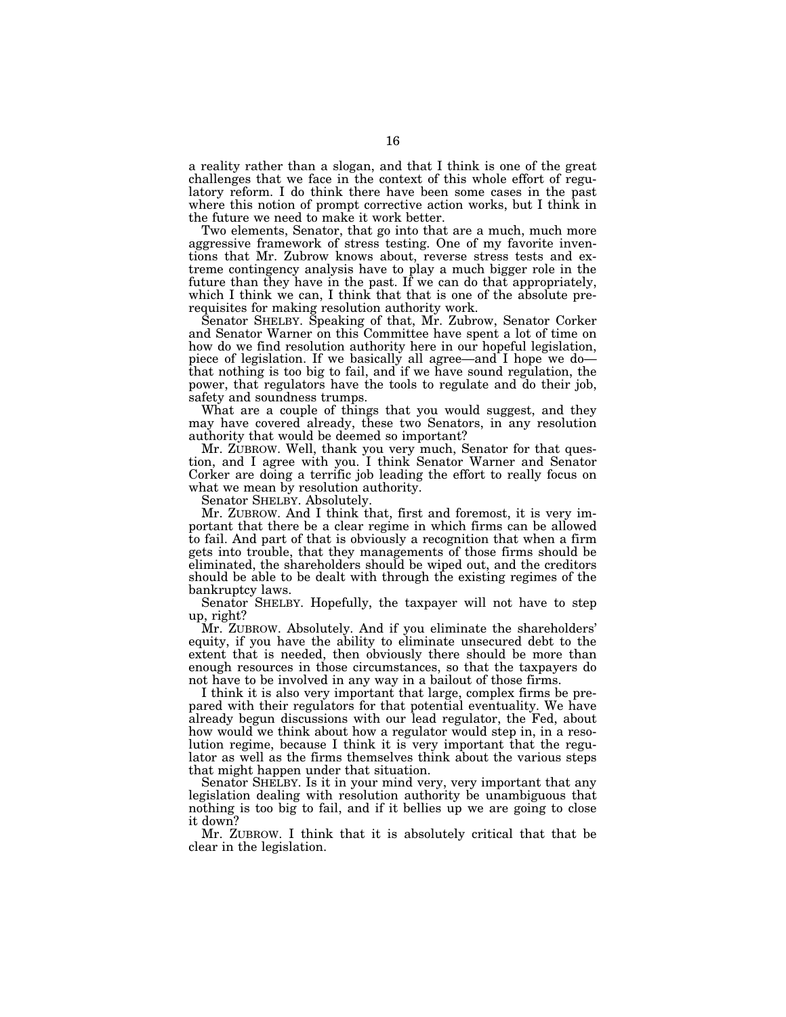a reality rather than a slogan, and that I think is one of the great challenges that we face in the context of this whole effort of regulatory reform. I do think there have been some cases in the past where this notion of prompt corrective action works, but I think in the future we need to make it work better.

Two elements, Senator, that go into that are a much, much more aggressive framework of stress testing. One of my favorite inventions that Mr. Zubrow knows about, reverse stress tests and extreme contingency analysis have to play a much bigger role in the future than they have in the past. If we can do that appropriately, which I think we can, I think that that is one of the absolute prerequisites for making resolution authority work.

Senator SHELBY. Speaking of that, Mr. Zubrow, Senator Corker and Senator Warner on this Committee have spent a lot of time on how do we find resolution authority here in our hopeful legislation, piece of legislation. If we basically all agree—and I hope we do that nothing is too big to fail, and if we have sound regulation, the power, that regulators have the tools to regulate and do their job, safety and soundness trumps.

What are a couple of things that you would suggest, and they may have covered already, these two Senators, in any resolution authority that would be deemed so important?

Mr. ZUBROW. Well, thank you very much, Senator for that question, and I agree with you. I think Senator Warner and Senator Corker are doing a terrific job leading the effort to really focus on what we mean by resolution authority.

Senator SHELBY. Absolutely.

Mr. ZUBROW. And I think that, first and foremost, it is very important that there be a clear regime in which firms can be allowed to fail. And part of that is obviously a recognition that when a firm gets into trouble, that they managements of those firms should be eliminated, the shareholders should be wiped out, and the creditors should be able to be dealt with through the existing regimes of the bankruptcy laws.

Senator SHELBY. Hopefully, the taxpayer will not have to step up, right?

Mr. ZUBROW. Absolutely. And if you eliminate the shareholders' equity, if you have the ability to eliminate unsecured debt to the extent that is needed, then obviously there should be more than enough resources in those circumstances, so that the taxpayers do not have to be involved in any way in a bailout of those firms.

I think it is also very important that large, complex firms be prepared with their regulators for that potential eventuality. We have already begun discussions with our lead regulator, the Fed, about how would we think about how a regulator would step in, in a resolution regime, because I think it is very important that the regulator as well as the firms themselves think about the various steps that might happen under that situation.

Senator SHELBY. Is it in your mind very, very important that any legislation dealing with resolution authority be unambiguous that nothing is too big to fail, and if it bellies up we are going to close it down?

Mr. ZUBROW. I think that it is absolutely critical that that be clear in the legislation.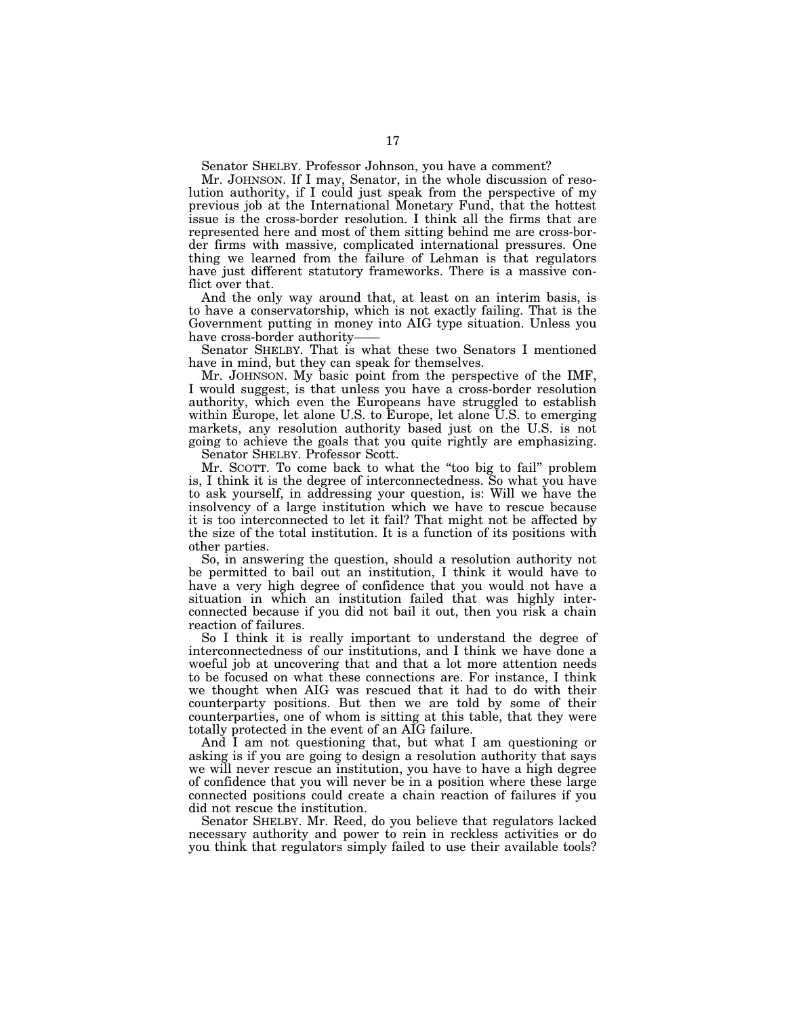Senator SHELBY. Professor Johnson, you have a comment?

Mr. JOHNSON. If I may, Senator, in the whole discussion of resolution authority, if I could just speak from the perspective of my previous job at the International Monetary Fund, that the hottest issue is the cross-border resolution. I think all the firms that are represented here and most of them sitting behind me are cross-border firms with massive, complicated international pressures. One thing we learned from the failure of Lehman is that regulators have just different statutory frameworks. There is a massive conflict over that.

And the only way around that, at least on an interim basis, is to have a conservatorship, which is not exactly failing. That is the Government putting in money into AIG type situation. Unless you have cross-border authority-

Senator SHELBY. That is what these two Senators I mentioned have in mind, but they can speak for themselves.

Mr. JOHNSON. My basic point from the perspective of the IMF, I would suggest, is that unless you have a cross-border resolution authority, which even the Europeans have struggled to establish within Europe, let alone U.S. to Europe, let alone U.S. to emerging markets, any resolution authority based just on the U.S. is not going to achieve the goals that you quite rightly are emphasizing.

Senator SHELBY. Professor Scott.

Mr. SCOTT. To come back to what the ''too big to fail'' problem is, I think it is the degree of interconnectedness. So what you have to ask yourself, in addressing your question, is: Will we have the insolvency of a large institution which we have to rescue because it is too interconnected to let it fail? That might not be affected by the size of the total institution. It is a function of its positions with other parties.

So, in answering the question, should a resolution authority not be permitted to bail out an institution, I think it would have to have a very high degree of confidence that you would not have a situation in which an institution failed that was highly interconnected because if you did not bail it out, then you risk a chain reaction of failures.

So I think it is really important to understand the degree of interconnectedness of our institutions, and I think we have done a woeful job at uncovering that and that a lot more attention needs to be focused on what these connections are. For instance, I think we thought when AIG was rescued that it had to do with their counterparty positions. But then we are told by some of their counterparties, one of whom is sitting at this table, that they were totally protected in the event of an AIG failure.

And I am not questioning that, but what I am questioning or asking is if you are going to design a resolution authority that says we will never rescue an institution, you have to have a high degree of confidence that you will never be in a position where these large connected positions could create a chain reaction of failures if you did not rescue the institution.

Senator SHELBY. Mr. Reed, do you believe that regulators lacked necessary authority and power to rein in reckless activities or do you think that regulators simply failed to use their available tools?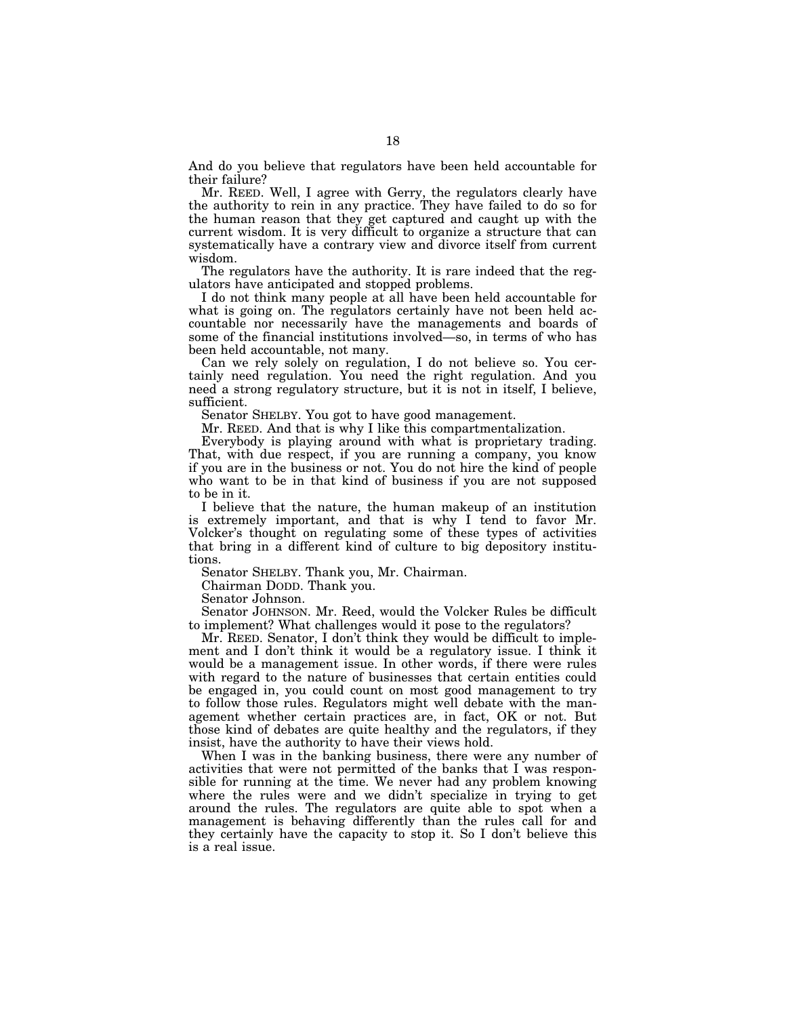And do you believe that regulators have been held accountable for their failure?

Mr. REED. Well, I agree with Gerry, the regulators clearly have the authority to rein in any practice. They have failed to do so for the human reason that they get captured and caught up with the current wisdom. It is very difficult to organize a structure that can systematically have a contrary view and divorce itself from current wisdom.

The regulators have the authority. It is rare indeed that the regulators have anticipated and stopped problems.

I do not think many people at all have been held accountable for what is going on. The regulators certainly have not been held accountable nor necessarily have the managements and boards of some of the financial institutions involved—so, in terms of who has been held accountable, not many.

Can we rely solely on regulation, I do not believe so. You certainly need regulation. You need the right regulation. And you need a strong regulatory structure, but it is not in itself, I believe, sufficient.

Senator SHELBY. You got to have good management.

Mr. REED. And that is why I like this compartmentalization.

Everybody is playing around with what is proprietary trading. That, with due respect, if you are running a company, you know if you are in the business or not. You do not hire the kind of people who want to be in that kind of business if you are not supposed to be in it.

I believe that the nature, the human makeup of an institution is extremely important, and that is why I tend to favor Mr. Volcker's thought on regulating some of these types of activities that bring in a different kind of culture to big depository institutions.

Senator SHELBY. Thank you, Mr. Chairman.

Chairman DODD. Thank you.

Senator Johnson.

Senator JOHNSON. Mr. Reed, would the Volcker Rules be difficult to implement? What challenges would it pose to the regulators?

Mr. REED. Senator, I don't think they would be difficult to implement and I don't think it would be a regulatory issue. I think it would be a management issue. In other words, if there were rules with regard to the nature of businesses that certain entities could be engaged in, you could count on most good management to try to follow those rules. Regulators might well debate with the management whether certain practices are, in fact, OK or not. But those kind of debates are quite healthy and the regulators, if they insist, have the authority to have their views hold.

When I was in the banking business, there were any number of activities that were not permitted of the banks that I was responsible for running at the time. We never had any problem knowing where the rules were and we didn't specialize in trying to get around the rules. The regulators are quite able to spot when a management is behaving differently than the rules call for and they certainly have the capacity to stop it. So I don't believe this is a real issue.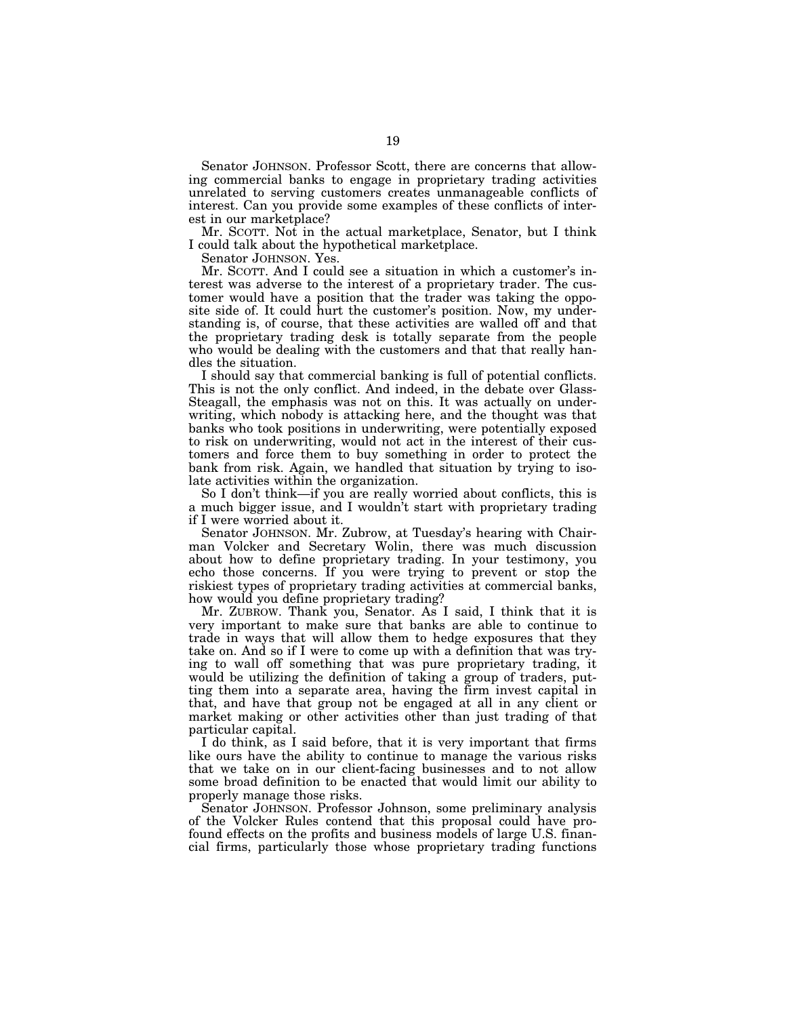Senator JOHNSON. Professor Scott, there are concerns that allowing commercial banks to engage in proprietary trading activities unrelated to serving customers creates unmanageable conflicts of interest. Can you provide some examples of these conflicts of interest in our marketplace?

Mr. SCOTT. Not in the actual marketplace, Senator, but I think I could talk about the hypothetical marketplace.

Senator JOHNSON. Yes.

Mr. SCOTT. And I could see a situation in which a customer's interest was adverse to the interest of a proprietary trader. The customer would have a position that the trader was taking the opposite side of. It could hurt the customer's position. Now, my understanding is, of course, that these activities are walled off and that the proprietary trading desk is totally separate from the people who would be dealing with the customers and that that really handles the situation.

I should say that commercial banking is full of potential conflicts. This is not the only conflict. And indeed, in the debate over Glass-Steagall, the emphasis was not on this. It was actually on underwriting, which nobody is attacking here, and the thought was that banks who took positions in underwriting, were potentially exposed to risk on underwriting, would not act in the interest of their customers and force them to buy something in order to protect the bank from risk. Again, we handled that situation by trying to isolate activities within the organization.

So I don't think—if you are really worried about conflicts, this is a much bigger issue, and I wouldn't start with proprietary trading if I were worried about it.

Senator JOHNSON. Mr. Zubrow, at Tuesday's hearing with Chairman Volcker and Secretary Wolin, there was much discussion about how to define proprietary trading. In your testimony, you echo those concerns. If you were trying to prevent or stop the riskiest types of proprietary trading activities at commercial banks, how would you define proprietary trading?

Mr. ZUBROW. Thank you, Senator. As I said, I think that it is very important to make sure that banks are able to continue to trade in ways that will allow them to hedge exposures that they take on. And so if I were to come up with a definition that was trying to wall off something that was pure proprietary trading, it would be utilizing the definition of taking a group of traders, putting them into a separate area, having the firm invest capital in that, and have that group not be engaged at all in any client or market making or other activities other than just trading of that particular capital.

I do think, as I said before, that it is very important that firms like ours have the ability to continue to manage the various risks that we take on in our client-facing businesses and to not allow some broad definition to be enacted that would limit our ability to properly manage those risks.

Senator JOHNSON. Professor Johnson, some preliminary analysis of the Volcker Rules contend that this proposal could have profound effects on the profits and business models of large U.S. financial firms, particularly those whose proprietary trading functions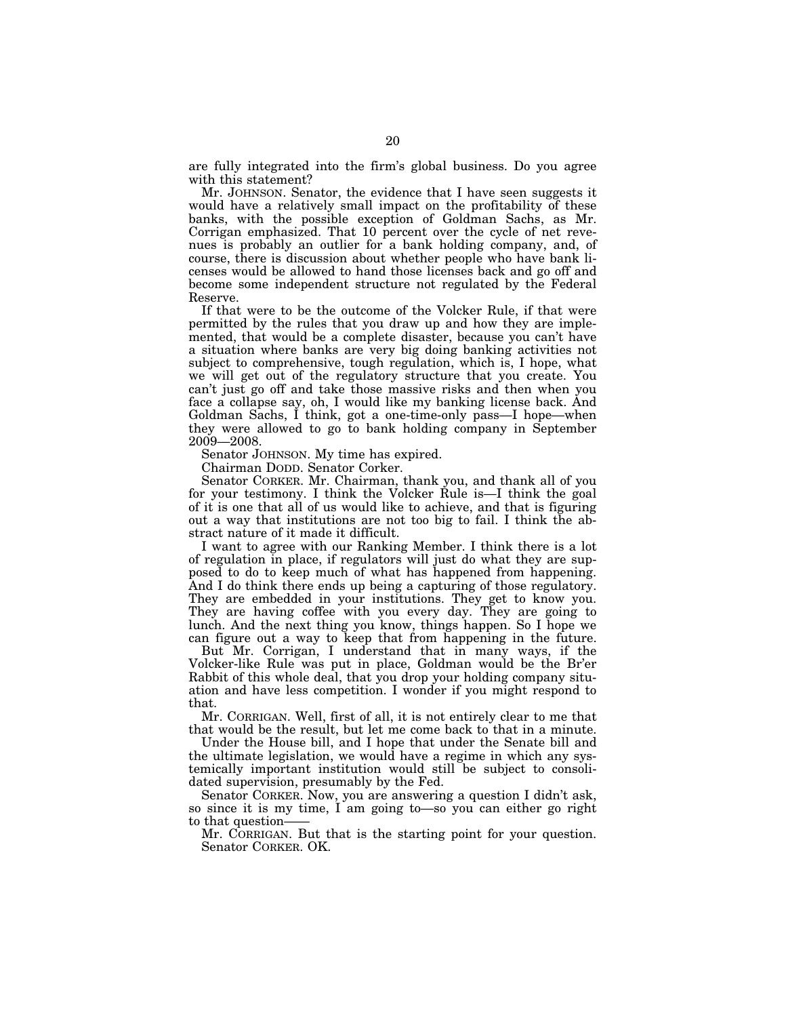are fully integrated into the firm's global business. Do you agree with this statement?

Mr. JOHNSON. Senator, the evidence that I have seen suggests it would have a relatively small impact on the profitability of these banks, with the possible exception of Goldman Sachs, as Mr. Corrigan emphasized. That 10 percent over the cycle of net revenues is probably an outlier for a bank holding company, and, of course, there is discussion about whether people who have bank licenses would be allowed to hand those licenses back and go off and become some independent structure not regulated by the Federal Reserve.

If that were to be the outcome of the Volcker Rule, if that were permitted by the rules that you draw up and how they are implemented, that would be a complete disaster, because you can't have a situation where banks are very big doing banking activities not subject to comprehensive, tough regulation, which is, I hope, what we will get out of the regulatory structure that you create. You can't just go off and take those massive risks and then when you face a collapse say, oh, I would like my banking license back. And Goldman Sachs, I think, got a one-time-only pass—I hope—when they were allowed to go to bank holding company in September 2009—2008.

Senator JOHNSON. My time has expired.

Chairman DODD. Senator Corker.

Senator CORKER. Mr. Chairman, thank you, and thank all of you for your testimony. I think the Volcker Rule is—I think the goal of it is one that all of us would like to achieve, and that is figuring out a way that institutions are not too big to fail. I think the abstract nature of it made it difficult.

I want to agree with our Ranking Member. I think there is a lot of regulation in place, if regulators will just do what they are supposed to do to keep much of what has happened from happening. And I do think there ends up being a capturing of those regulatory. They are embedded in your institutions. They get to know you. They are having coffee with you every day. They are going to lunch. And the next thing you know, things happen. So I hope we can figure out a way to keep that from happening in the future.

But Mr. Corrigan, I understand that in many ways, if the Volcker-like Rule was put in place, Goldman would be the Br'er Rabbit of this whole deal, that you drop your holding company situation and have less competition. I wonder if you might respond to that.

Mr. CORRIGAN. Well, first of all, it is not entirely clear to me that that would be the result, but let me come back to that in a minute.

Under the House bill, and I hope that under the Senate bill and the ultimate legislation, we would have a regime in which any systemically important institution would still be subject to consolidated supervision, presumably by the Fed.

Senator CORKER. Now, you are answering a question I didn't ask, so since it is my time, I am going to—so you can either go right to that question-

Mr. CORRIGAN. But that is the starting point for your question. Senator CORKER. OK.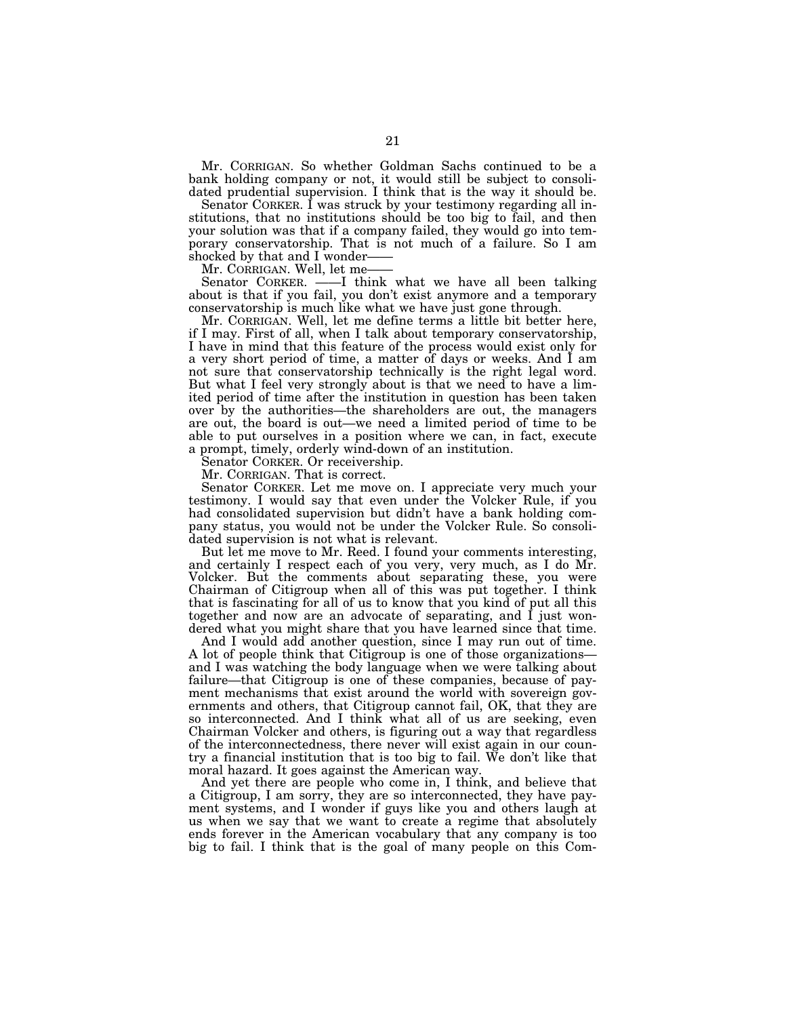Mr. CORRIGAN. So whether Goldman Sachs continued to be a bank holding company or not, it would still be subject to consolidated prudential supervision. I think that is the way it should be.

Senator CORKER. I was struck by your testimony regarding all institutions, that no institutions should be too big to fail, and then your solution was that if a company failed, they would go into temporary conservatorship. That is not much of a failure. So I am shocked by that and I wonder——

Mr. CORRIGAN. Well, let me-<br>Senator CORKER. ——I thi

-I think what we have all been talking about is that if you fail, you don't exist anymore and a temporary conservatorship is much like what we have just gone through.

Mr. CORRIGAN. Well, let me define terms a little bit better here, if I may. First of all, when I talk about temporary conservatorship, I have in mind that this feature of the process would exist only for a very short period of time, a matter of days or weeks. And I am not sure that conservatorship technically is the right legal word. But what I feel very strongly about is that we need to have a limited period of time after the institution in question has been taken over by the authorities—the shareholders are out, the managers are out, the board is out—we need a limited period of time to be able to put ourselves in a position where we can, in fact, execute a prompt, timely, orderly wind-down of an institution.

Senator CORKER. Or receivership.

Mr. CORRIGAN. That is correct.

Senator CORKER. Let me move on. I appreciate very much your testimony. I would say that even under the Volcker Rule, if you had consolidated supervision but didn't have a bank holding company status, you would not be under the Volcker Rule. So consolidated supervision is not what is relevant.

But let me move to Mr. Reed. I found your comments interesting, and certainly I respect each of you very, very much, as I do Mr. Volcker. But the comments about separating these, you were Chairman of Citigroup when all of this was put together. I think that is fascinating for all of us to know that you kind of put all this together and now are an advocate of separating, and I just wondered what you might share that you have learned since that time.

And I would add another question, since I may run out of time. A lot of people think that Citigroup is one of those organizations and I was watching the body language when we were talking about failure—that Citigroup is one of these companies, because of payment mechanisms that exist around the world with sovereign governments and others, that Citigroup cannot fail, OK, that they are so interconnected. And I think what all of us are seeking, even Chairman Volcker and others, is figuring out a way that regardless of the interconnectedness, there never will exist again in our country a financial institution that is too big to fail. We don't like that moral hazard. It goes against the American way.

And yet there are people who come in, I think, and believe that a Citigroup, I am sorry, they are so interconnected, they have payment systems, and I wonder if guys like you and others laugh at us when we say that we want to create a regime that absolutely ends forever in the American vocabulary that any company is too big to fail. I think that is the goal of many people on this Com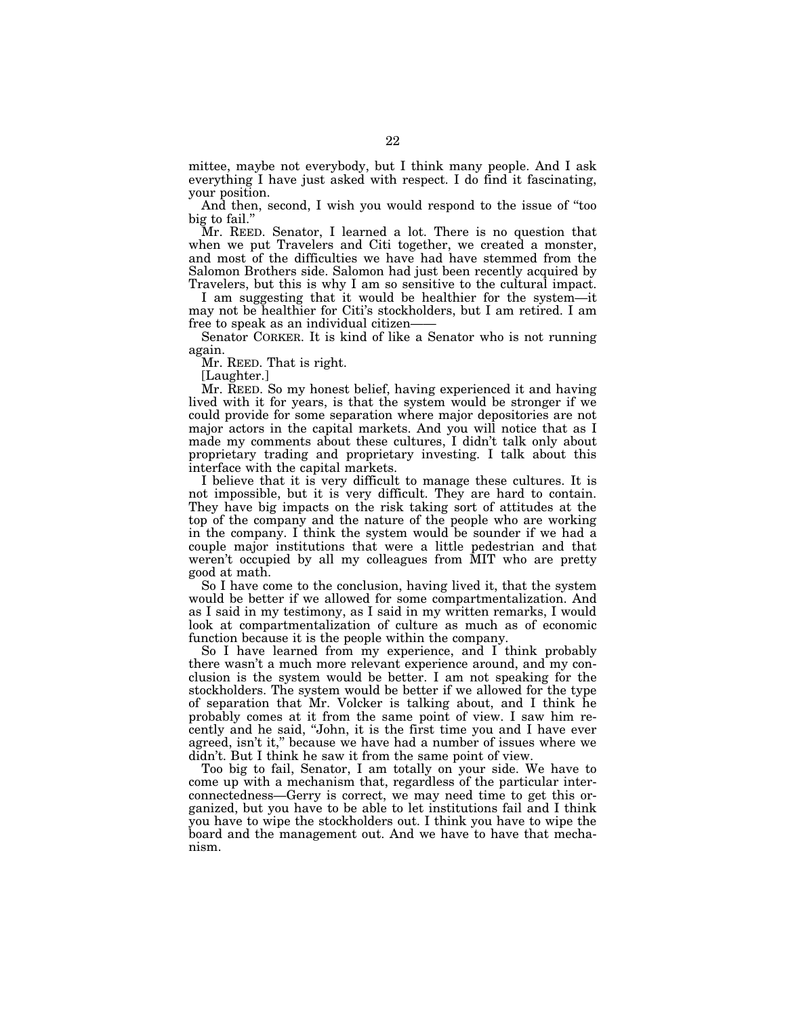mittee, maybe not everybody, but I think many people. And I ask everything I have just asked with respect. I do find it fascinating, your position.

And then, second, I wish you would respond to the issue of ''too big to fail.''

Mr. REED. Senator, I learned a lot. There is no question that when we put Travelers and Citi together, we created a monster, and most of the difficulties we have had have stemmed from the Salomon Brothers side. Salomon had just been recently acquired by Travelers, but this is why I am so sensitive to the cultural impact.

I am suggesting that it would be healthier for the system—it may not be healthier for Citi's stockholders, but I am retired. I am free to speak as an individual citizen-

Senator CORKER. It is kind of like a Senator who is not running again.

Mr. REED. That is right.

[Laughter.]

Mr. REED. So my honest belief, having experienced it and having lived with it for years, is that the system would be stronger if we could provide for some separation where major depositories are not major actors in the capital markets. And you will notice that as I made my comments about these cultures, I didn't talk only about proprietary trading and proprietary investing. I talk about this interface with the capital markets.

I believe that it is very difficult to manage these cultures. It is not impossible, but it is very difficult. They are hard to contain. They have big impacts on the risk taking sort of attitudes at the top of the company and the nature of the people who are working in the company. I think the system would be sounder if we had a couple major institutions that were a little pedestrian and that weren't occupied by all my colleagues from MIT who are pretty good at math.

So I have come to the conclusion, having lived it, that the system would be better if we allowed for some compartmentalization. And as I said in my testimony, as I said in my written remarks, I would look at compartmentalization of culture as much as of economic function because it is the people within the company.

So I have learned from my experience, and I think probably there wasn't a much more relevant experience around, and my conclusion is the system would be better. I am not speaking for the stockholders. The system would be better if we allowed for the type of separation that Mr. Volcker is talking about, and I think he probably comes at it from the same point of view. I saw him recently and he said, ''John, it is the first time you and I have ever agreed, isn't it,'' because we have had a number of issues where we didn't. But I think he saw it from the same point of view.

Too big to fail, Senator, I am totally on your side. We have to come up with a mechanism that, regardless of the particular interconnectedness—Gerry is correct, we may need time to get this organized, but you have to be able to let institutions fail and I think you have to wipe the stockholders out. I think you have to wipe the board and the management out. And we have to have that mechanism.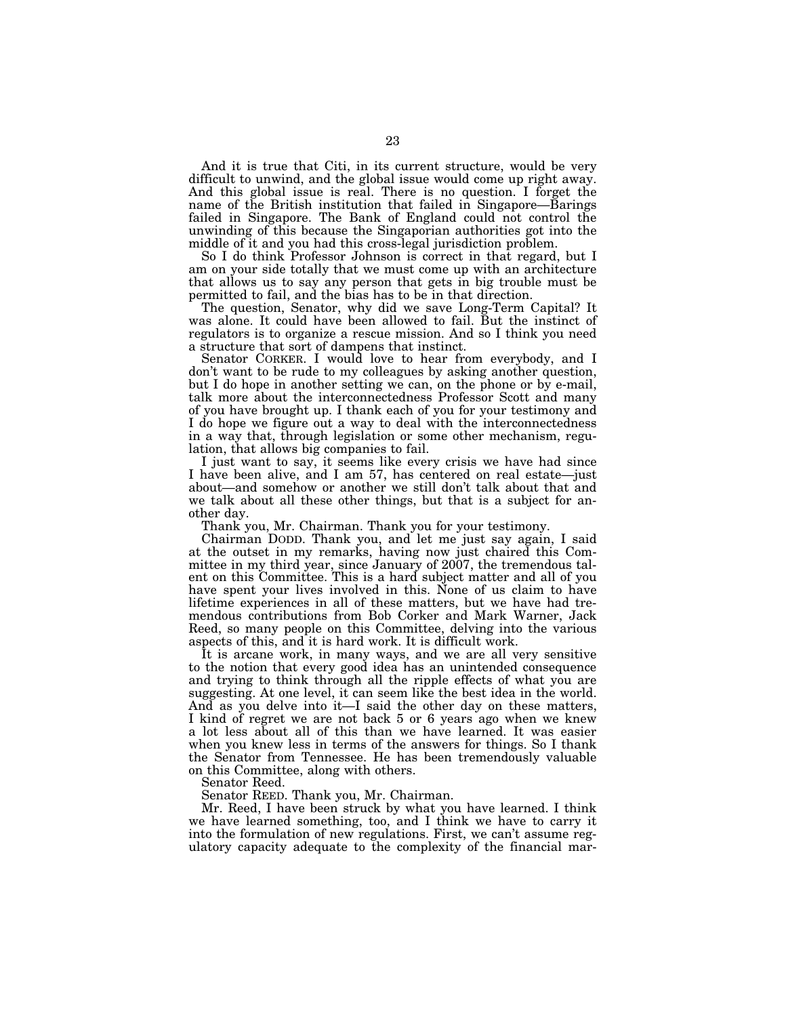And it is true that Citi, in its current structure, would be very difficult to unwind, and the global issue would come up right away. And this global issue is real. There is no question. I forget the name of the British institution that failed in Singapore—Barings failed in Singapore. The Bank of England could not control the unwinding of this because the Singaporian authorities got into the middle of it and you had this cross-legal jurisdiction problem.

So I do think Professor Johnson is correct in that regard, but I am on your side totally that we must come up with an architecture that allows us to say any person that gets in big trouble must be permitted to fail, and the bias has to be in that direction.

The question, Senator, why did we save Long-Term Capital? It was alone. It could have been allowed to fail. But the instinct of regulators is to organize a rescue mission. And so I think you need a structure that sort of dampens that instinct.

Senator CORKER. I would love to hear from everybody, and I don't want to be rude to my colleagues by asking another question, but I do hope in another setting we can, on the phone or by e-mail, talk more about the interconnectedness Professor Scott and many of you have brought up. I thank each of you for your testimony and I do hope we figure out a way to deal with the interconnectedness in a way that, through legislation or some other mechanism, regulation, that allows big companies to fail.

I just want to say, it seems like every crisis we have had since I have been alive, and I am 57, has centered on real estate—just about—and somehow or another we still don't talk about that and we talk about all these other things, but that is a subject for another day.

Thank you, Mr. Chairman. Thank you for your testimony.

Chairman DODD. Thank you, and let me just say again, I said at the outset in my remarks, having now just chaired this Committee in my third year, since January of 2007, the tremendous talent on this Committee. This is a hard subject matter and all of you have spent your lives involved in this. None of us claim to have lifetime experiences in all of these matters, but we have had tremendous contributions from Bob Corker and Mark Warner, Jack Reed, so many people on this Committee, delving into the various aspects of this, and it is hard work. It is difficult work.

It is arcane work, in many ways, and we are all very sensitive to the notion that every good idea has an unintended consequence and trying to think through all the ripple effects of what you are suggesting. At one level, it can seem like the best idea in the world. And as you delve into it—I said the other day on these matters, I kind of regret we are not back 5 or 6 years ago when we knew a lot less about all of this than we have learned. It was easier when you knew less in terms of the answers for things. So I thank the Senator from Tennessee. He has been tremendously valuable on this Committee, along with others.

Senator Reed.

Senator REED. Thank you, Mr. Chairman.

Mr. Reed, I have been struck by what you have learned. I think we have learned something, too, and I think we have to carry it into the formulation of new regulations. First, we can't assume regulatory capacity adequate to the complexity of the financial mar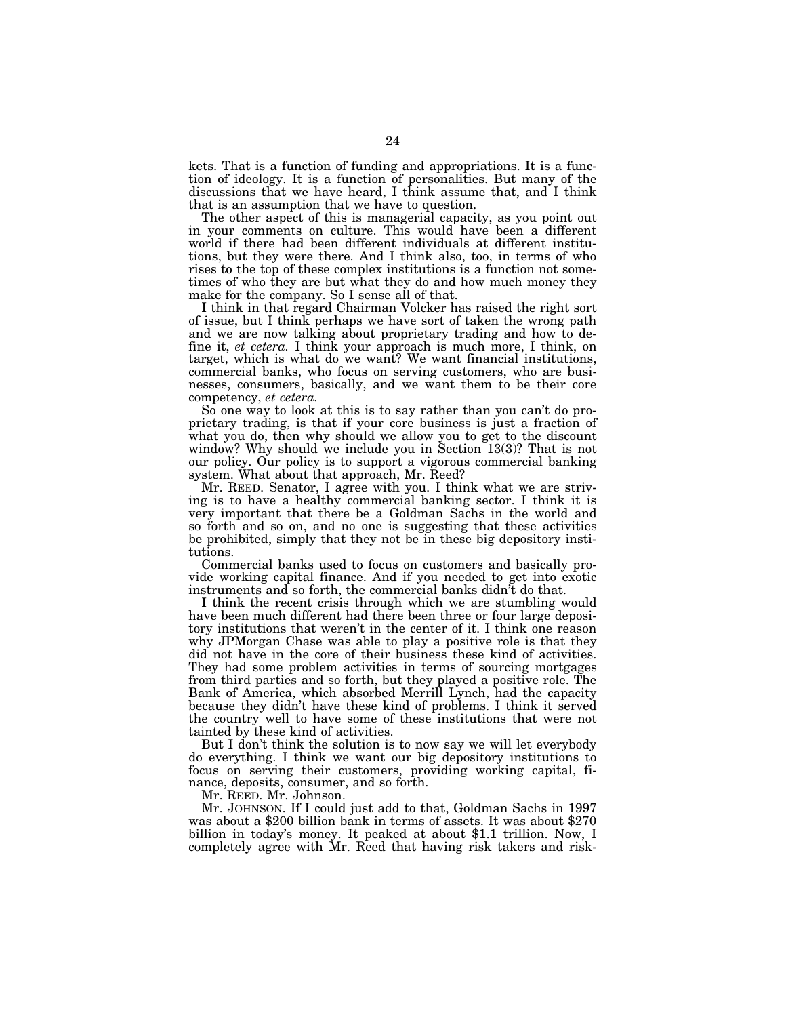kets. That is a function of funding and appropriations. It is a function of ideology. It is a function of personalities. But many of the discussions that we have heard, I think assume that, and I think that is an assumption that we have to question.

The other aspect of this is managerial capacity, as you point out in your comments on culture. This would have been a different world if there had been different individuals at different institutions, but they were there. And I think also, too, in terms of who rises to the top of these complex institutions is a function not sometimes of who they are but what they do and how much money they make for the company. So I sense all of that.

I think in that regard Chairman Volcker has raised the right sort of issue, but I think perhaps we have sort of taken the wrong path and we are now talking about proprietary trading and how to define it, *et cetera.* I think your approach is much more, I think, on target, which is what do we want? We want financial institutions, commercial banks, who focus on serving customers, who are businesses, consumers, basically, and we want them to be their core competency, *et cetera.* 

So one way to look at this is to say rather than you can't do proprietary trading, is that if your core business is just a fraction of what you do, then why should we allow you to get to the discount window? Why should we include you in Section 13(3)? That is not our policy. Our policy is to support a vigorous commercial banking system. What about that approach, Mr. Reed?

Mr. REED. Senator, I agree with you. I think what we are striving is to have a healthy commercial banking sector. I think it is very important that there be a Goldman Sachs in the world and so forth and so on, and no one is suggesting that these activities be prohibited, simply that they not be in these big depository institutions.

Commercial banks used to focus on customers and basically provide working capital finance. And if you needed to get into exotic instruments and so forth, the commercial banks didn't do that.

I think the recent crisis through which we are stumbling would have been much different had there been three or four large depository institutions that weren't in the center of it. I think one reason why JPMorgan Chase was able to play a positive role is that they did not have in the core of their business these kind of activities. They had some problem activities in terms of sourcing mortgages from third parties and so forth, but they played a positive role. The Bank of America, which absorbed Merrill Lynch, had the capacity because they didn't have these kind of problems. I think it served the country well to have some of these institutions that were not tainted by these kind of activities.

But I don't think the solution is to now say we will let everybody do everything. I think we want our big depository institutions to focus on serving their customers, providing working capital, finance, deposits, consumer, and so forth.

Mr. REED. Mr. Johnson.<br>Mr. JOHNSON. If I could just add to that, Goldman Sachs in 1997 was about a \$200 billion bank in terms of assets. It was about \$270 billion in today's money. It peaked at about \$1.1 trillion. Now, I completely agree with Mr. Reed that having risk takers and risk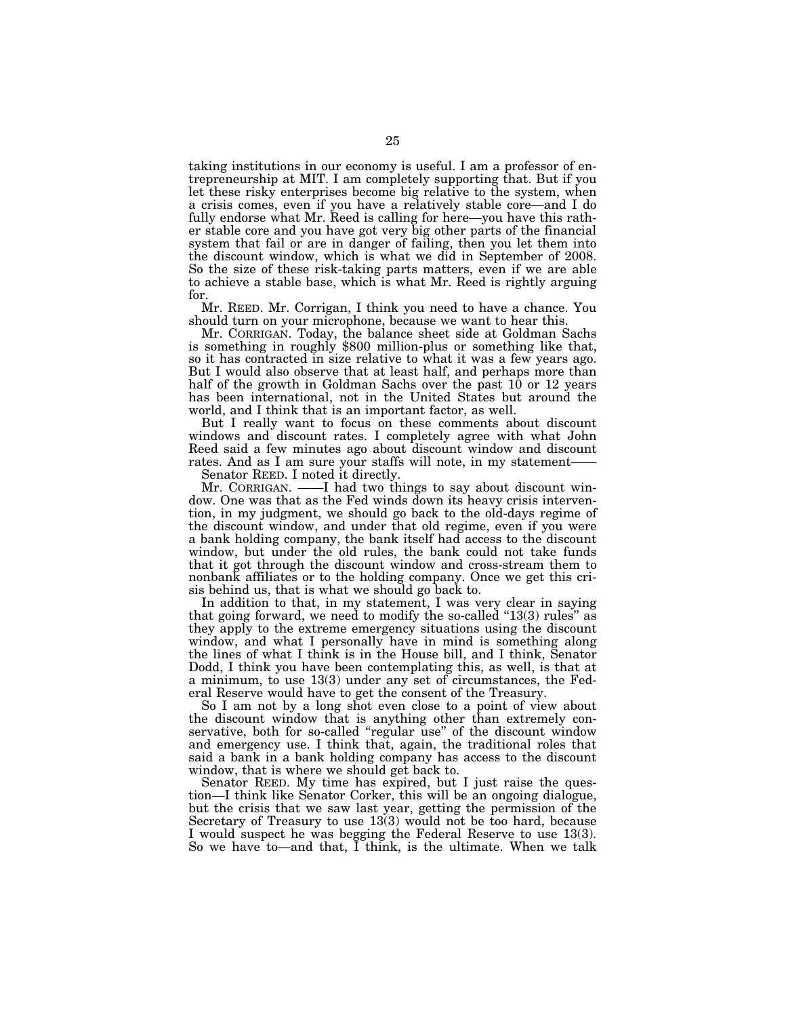taking institutions in our economy is useful. I am a professor of entrepreneurship at MIT. I am completely supporting that. But if you let these risky enterprises become big relative to the system, when a crisis comes, even if you have a relatively stable core—and I do fully endorse what Mr. Reed is calling for here—you have this rather stable core and you have got very big other parts of the financial system that fail or are in danger of failing, then you let them into the discount window, which is what we did in September of 2008. So the size of these risk-taking parts matters, even if we are able to achieve a stable base, which is what Mr. Reed is rightly arguing for.

Mr. REED. Mr. Corrigan, I think you need to have a chance. You should turn on your microphone, because we want to hear this.

Mr. CORRIGAN. Today, the balance sheet side at Goldman Sachs is something in roughly \$800 million-plus or something like that, so it has contracted in size relative to what it was a few years ago. But I would also observe that at least half, and perhaps more than half of the growth in Goldman Sachs over the past 10 or 12 years has been international, not in the United States but around the world, and I think that is an important factor, as well.

But I really want to focus on these comments about discount windows and discount rates. I completely agree with what John Reed said a few minutes ago about discount window and discount rates. And as I am sure your staffs will note, in my statement——

Senator REED. I noted it directly.

Mr. CORRIGAN. ——I had two things to say about discount window. One was that as the Fed winds down its heavy crisis intervention, in my judgment, we should go back to the old-days regime of the discount window, and under that old regime, even if you were a bank holding company, the bank itself had access to the discount window, but under the old rules, the bank could not take funds that it got through the discount window and cross-stream them to nonbank affiliates or to the holding company. Once we get this crisis behind us, that is what we should go back to.

In addition to that, in my statement, I was very clear in saying that going forward, we need to modify the so-called "13(3) rules" as they apply to the extreme emergency situations using the discount window, and what I personally have in mind is something along the lines of what I think is in the House bill, and I think, Senator Dodd, I think you have been contemplating this, as well, is that at a minimum, to use 13(3) under any set of circumstances, the Federal Reserve would have to get the consent of the Treasury.

So I am not by a long shot even close to a point of view about the discount window that is anything other than extremely conservative, both for so-called ''regular use'' of the discount window and emergency use. I think that, again, the traditional roles that said a bank in a bank holding company has access to the discount window, that is where we should get back to.

Senator REED. My time has expired, but I just raise the question—I think like Senator Corker, this will be an ongoing dialogue, but the crisis that we saw last year, getting the permission of the Secretary of Treasury to use 13(3) would not be too hard, because I would suspect he was begging the Federal Reserve to use 13(3). So we have to—and that, I think, is the ultimate. When we talk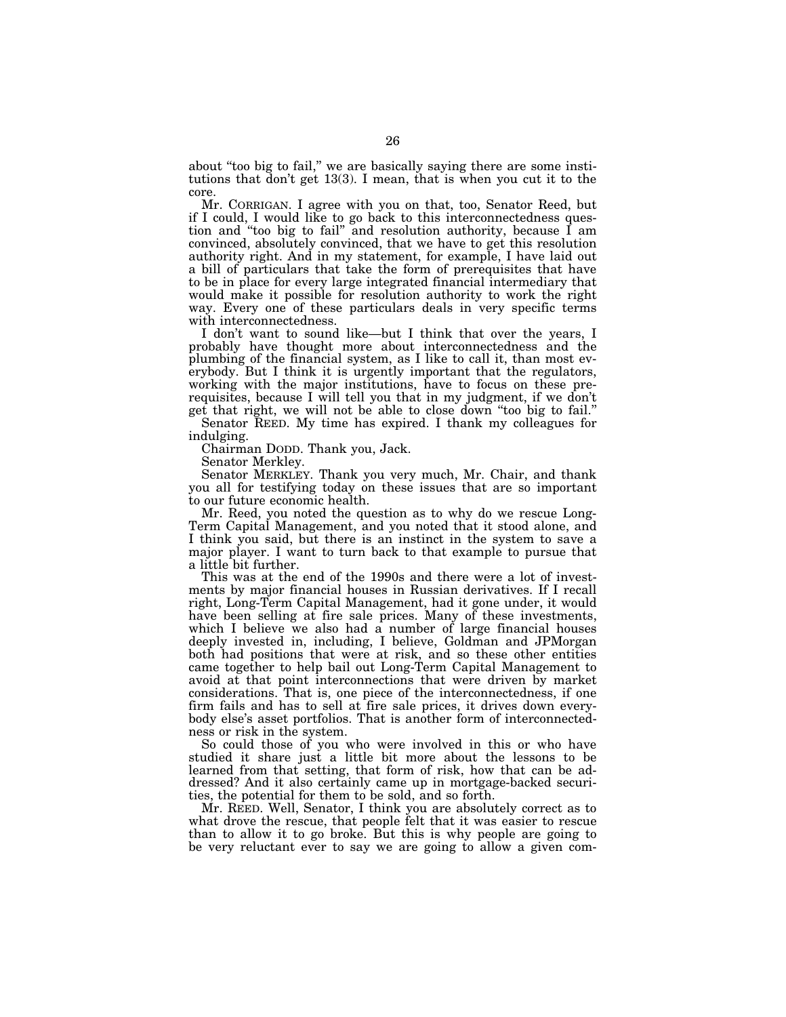about "too big to fail," we are basically saying there are some institutions that don't get 13(3). I mean, that is when you cut it to the core.

Mr. CORRIGAN. I agree with you on that, too, Senator Reed, but if I could, I would like to go back to this interconnectedness question and ''too big to fail'' and resolution authority, because I am convinced, absolutely convinced, that we have to get this resolution authority right. And in my statement, for example, I have laid out a bill of particulars that take the form of prerequisites that have to be in place for every large integrated financial intermediary that would make it possible for resolution authority to work the right way. Every one of these particulars deals in very specific terms with interconnectedness.

I don't want to sound like—but I think that over the years, I probably have thought more about interconnectedness and the plumbing of the financial system, as I like to call it, than most everybody. But I think it is urgently important that the regulators, working with the major institutions, have to focus on these prerequisites, because I will tell you that in my judgment, if we don't get that right, we will not be able to close down ''too big to fail.''

Senator REED. My time has expired. I thank my colleagues for indulging.

Chairman DODD. Thank you, Jack.

Senator Merkley.

Senator MERKLEY. Thank you very much, Mr. Chair, and thank you all for testifying today on these issues that are so important to our future economic health.

Mr. Reed, you noted the question as to why do we rescue Long-Term Capital Management, and you noted that it stood alone, and I think you said, but there is an instinct in the system to save a major player. I want to turn back to that example to pursue that a little bit further.

This was at the end of the 1990s and there were a lot of investments by major financial houses in Russian derivatives. If I recall right, Long-Term Capital Management, had it gone under, it would have been selling at fire sale prices. Many of these investments, which I believe we also had a number of large financial houses deeply invested in, including, I believe, Goldman and JPMorgan both had positions that were at risk, and so these other entities came together to help bail out Long-Term Capital Management to avoid at that point interconnections that were driven by market considerations. That is, one piece of the interconnectedness, if one firm fails and has to sell at fire sale prices, it drives down everybody else's asset portfolios. That is another form of interconnectedness or risk in the system.

So could those of you who were involved in this or who have studied it share just a little bit more about the lessons to be learned from that setting, that form of risk, how that can be addressed? And it also certainly came up in mortgage-backed securities, the potential for them to be sold, and so forth.

Mr. REED. Well, Senator, I think you are absolutely correct as to what drove the rescue, that people felt that it was easier to rescue than to allow it to go broke. But this is why people are going to be very reluctant ever to say we are going to allow a given com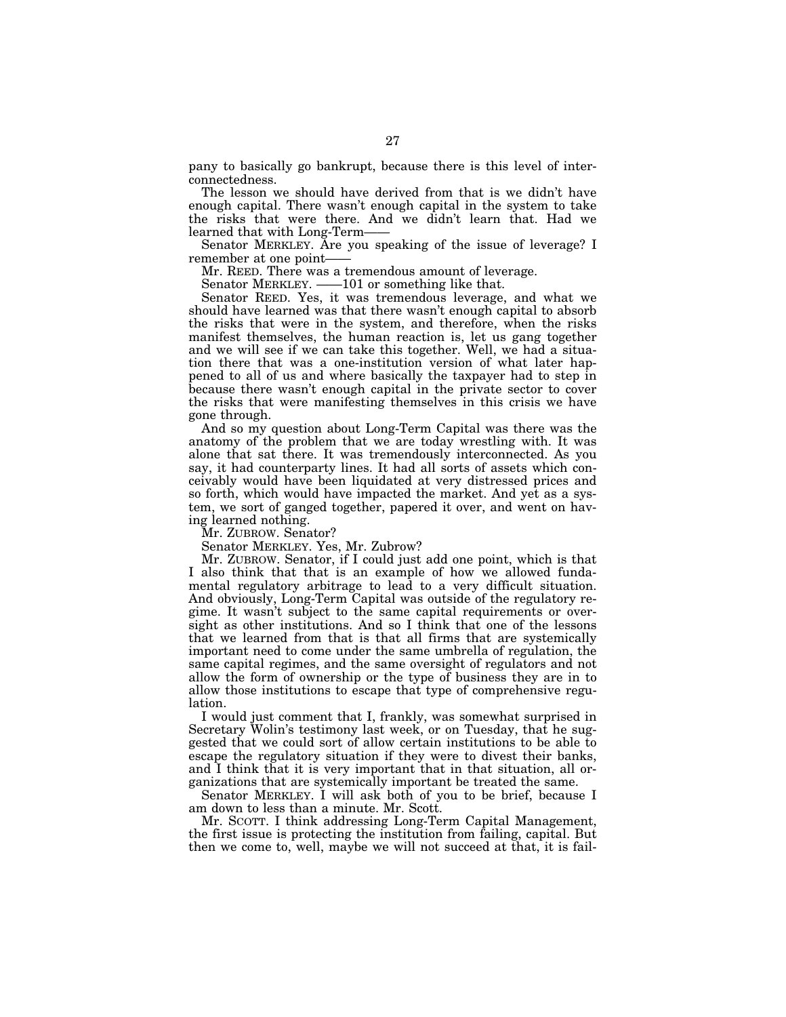pany to basically go bankrupt, because there is this level of interconnectedness.

The lesson we should have derived from that is we didn't have enough capital. There wasn't enough capital in the system to take the risks that were there. And we didn't learn that. Had we learned that with Long-Term——

Senator MERKLEY. Are you speaking of the issue of leverage? I remember at one point-

Mr. REED. There was a tremendous amount of leverage.

Senator MERKLEY. ——101 or something like that.

Senator REED. Yes, it was tremendous leverage, and what we should have learned was that there wasn't enough capital to absorb the risks that were in the system, and therefore, when the risks manifest themselves, the human reaction is, let us gang together and we will see if we can take this together. Well, we had a situation there that was a one-institution version of what later happened to all of us and where basically the taxpayer had to step in because there wasn't enough capital in the private sector to cover the risks that were manifesting themselves in this crisis we have gone through.

And so my question about Long-Term Capital was there was the anatomy of the problem that we are today wrestling with. It was alone that sat there. It was tremendously interconnected. As you say, it had counterparty lines. It had all sorts of assets which conceivably would have been liquidated at very distressed prices and so forth, which would have impacted the market. And yet as a system, we sort of ganged together, papered it over, and went on having learned nothing.

Mr. ZUBROW. Senator?

Senator MERKLEY. Yes, Mr. Zubrow?

Mr. ZUBROW. Senator, if I could just add one point, which is that I also think that that is an example of how we allowed fundamental regulatory arbitrage to lead to a very difficult situation. And obviously, Long-Term Capital was outside of the regulatory regime. It wasn't subject to the same capital requirements or oversight as other institutions. And so I think that one of the lessons that we learned from that is that all firms that are systemically important need to come under the same umbrella of regulation, the same capital regimes, and the same oversight of regulators and not allow the form of ownership or the type of business they are in to allow those institutions to escape that type of comprehensive regulation.

I would just comment that I, frankly, was somewhat surprised in Secretary Wolin's testimony last week, or on Tuesday, that he suggested that we could sort of allow certain institutions to be able to escape the regulatory situation if they were to divest their banks, and I think that it is very important that in that situation, all organizations that are systemically important be treated the same.

Senator MERKLEY. I will ask both of you to be brief, because I am down to less than a minute. Mr. Scott.

Mr. SCOTT. I think addressing Long-Term Capital Management, the first issue is protecting the institution from failing, capital. But then we come to, well, maybe we will not succeed at that, it is fail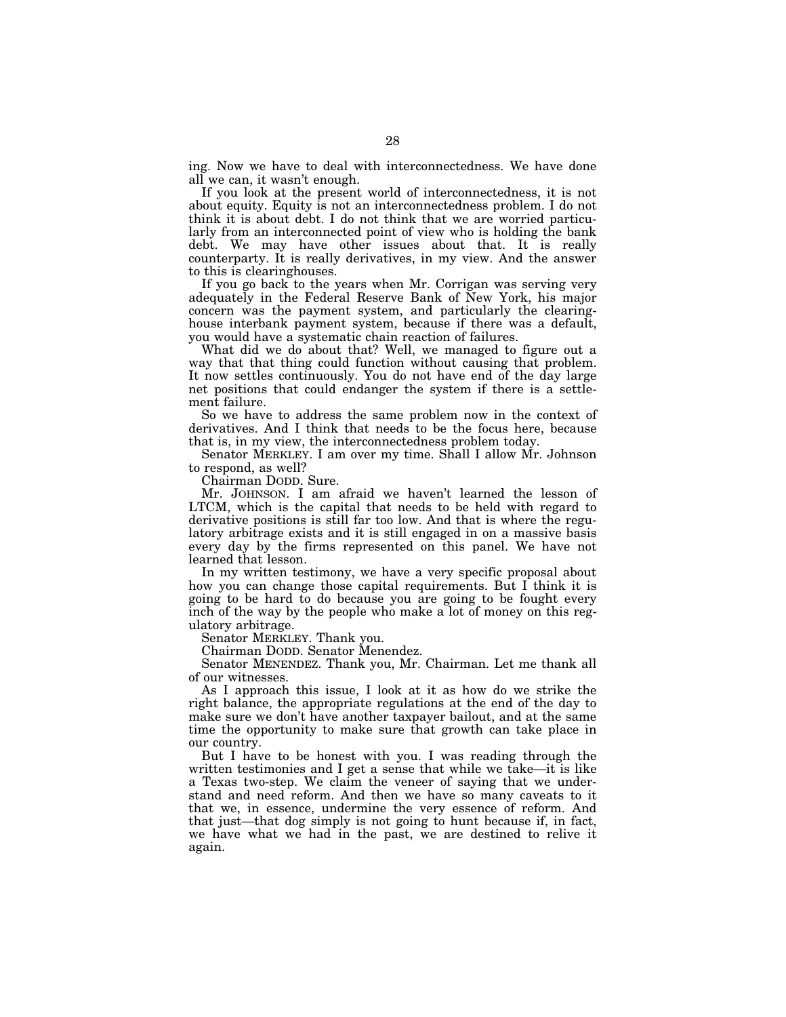ing. Now we have to deal with interconnectedness. We have done all we can, it wasn't enough.

If you look at the present world of interconnectedness, it is not about equity. Equity is not an interconnectedness problem. I do not think it is about debt. I do not think that we are worried particularly from an interconnected point of view who is holding the bank debt. We may have other issues about that. It is really counterparty. It is really derivatives, in my view. And the answer to this is clearinghouses.

If you go back to the years when Mr. Corrigan was serving very adequately in the Federal Reserve Bank of New York, his major concern was the payment system, and particularly the clearinghouse interbank payment system, because if there was a default, you would have a systematic chain reaction of failures.

What did we do about that? Well, we managed to figure out a way that that thing could function without causing that problem. It now settles continuously. You do not have end of the day large net positions that could endanger the system if there is a settlement failure.

So we have to address the same problem now in the context of derivatives. And I think that needs to be the focus here, because that is, in my view, the interconnectedness problem today.

Senator MERKLEY. I am over my time. Shall I allow Mr. Johnson to respond, as well?

Chairman DODD. Sure.

Mr. JOHNSON. I am afraid we haven't learned the lesson of LTCM, which is the capital that needs to be held with regard to derivative positions is still far too low. And that is where the regulatory arbitrage exists and it is still engaged in on a massive basis every day by the firms represented on this panel. We have not learned that lesson.

In my written testimony, we have a very specific proposal about how you can change those capital requirements. But I think it is going to be hard to do because you are going to be fought every inch of the way by the people who make a lot of money on this regulatory arbitrage.

Senator MERKLEY. Thank you.

Chairman DODD. Senator Menendez.

Senator MENENDEZ. Thank you, Mr. Chairman. Let me thank all of our witnesses.

As I approach this issue, I look at it as how do we strike the right balance, the appropriate regulations at the end of the day to make sure we don't have another taxpayer bailout, and at the same time the opportunity to make sure that growth can take place in our country.

But I have to be honest with you. I was reading through the written testimonies and I get a sense that while we take—it is like a Texas two-step. We claim the veneer of saying that we understand and need reform. And then we have so many caveats to it that we, in essence, undermine the very essence of reform. And that just—that dog simply is not going to hunt because if, in fact, we have what we had in the past, we are destined to relive it again.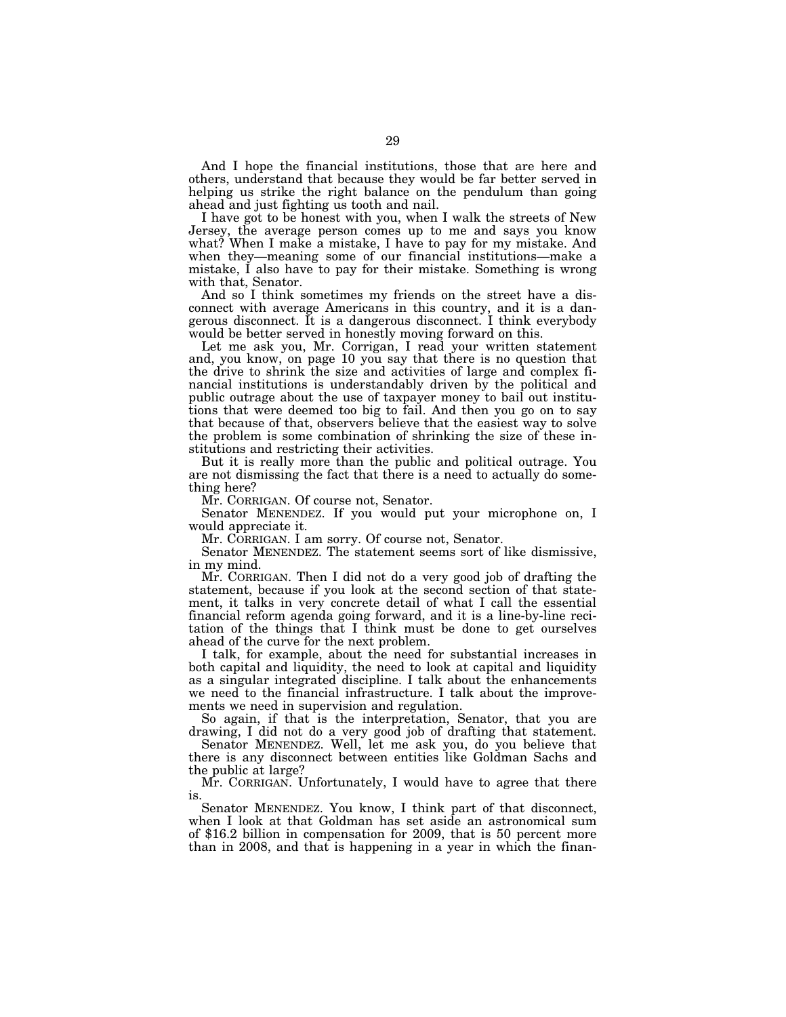And I hope the financial institutions, those that are here and others, understand that because they would be far better served in helping us strike the right balance on the pendulum than going ahead and just fighting us tooth and nail.

I have got to be honest with you, when I walk the streets of New Jersey, the average person comes up to me and says you know what? When I make a mistake, I have to pay for my mistake. And when they—meaning some of our financial institutions—make a mistake, I also have to pay for their mistake. Something is wrong with that, Senator.

And so I think sometimes my friends on the street have a disconnect with average Americans in this country, and it is a dangerous disconnect. It is a dangerous disconnect. I think everybody would be better served in honestly moving forward on this.

Let me ask you, Mr. Corrigan, I read your written statement and, you know, on page 10 you say that there is no question that the drive to shrink the size and activities of large and complex financial institutions is understandably driven by the political and public outrage about the use of taxpayer money to bail out institutions that were deemed too big to fail. And then you go on to say that because of that, observers believe that the easiest way to solve the problem is some combination of shrinking the size of these institutions and restricting their activities.

But it is really more than the public and political outrage. You are not dismissing the fact that there is a need to actually do something here?

Mr. CORRIGAN. Of course not, Senator.

Senator MENENDEZ. If you would put your microphone on, I would appreciate it.

Mr. CORRIGAN. I am sorry. Of course not, Senator.

Senator MENENDEZ. The statement seems sort of like dismissive, in my mind.

Mr. CORRIGAN. Then I did not do a very good job of drafting the statement, because if you look at the second section of that statement, it talks in very concrete detail of what I call the essential financial reform agenda going forward, and it is a line-by-line recitation of the things that I think must be done to get ourselves ahead of the curve for the next problem.

I talk, for example, about the need for substantial increases in both capital and liquidity, the need to look at capital and liquidity as a singular integrated discipline. I talk about the enhancements we need to the financial infrastructure. I talk about the improvements we need in supervision and regulation.

So again, if that is the interpretation, Senator, that you are drawing, I did not do a very good job of drafting that statement.

Senator MENENDEZ. Well, let me ask you, do you believe that there is any disconnect between entities like Goldman Sachs and the public at large?

Mr. CORRIGAN. Unfortunately, I would have to agree that there is.

Senator MENENDEZ. You know, I think part of that disconnect, when I look at that Goldman has set aside an astronomical sum of \$16.2 billion in compensation for 2009, that is 50 percent more than in 2008, and that is happening in a year in which the finan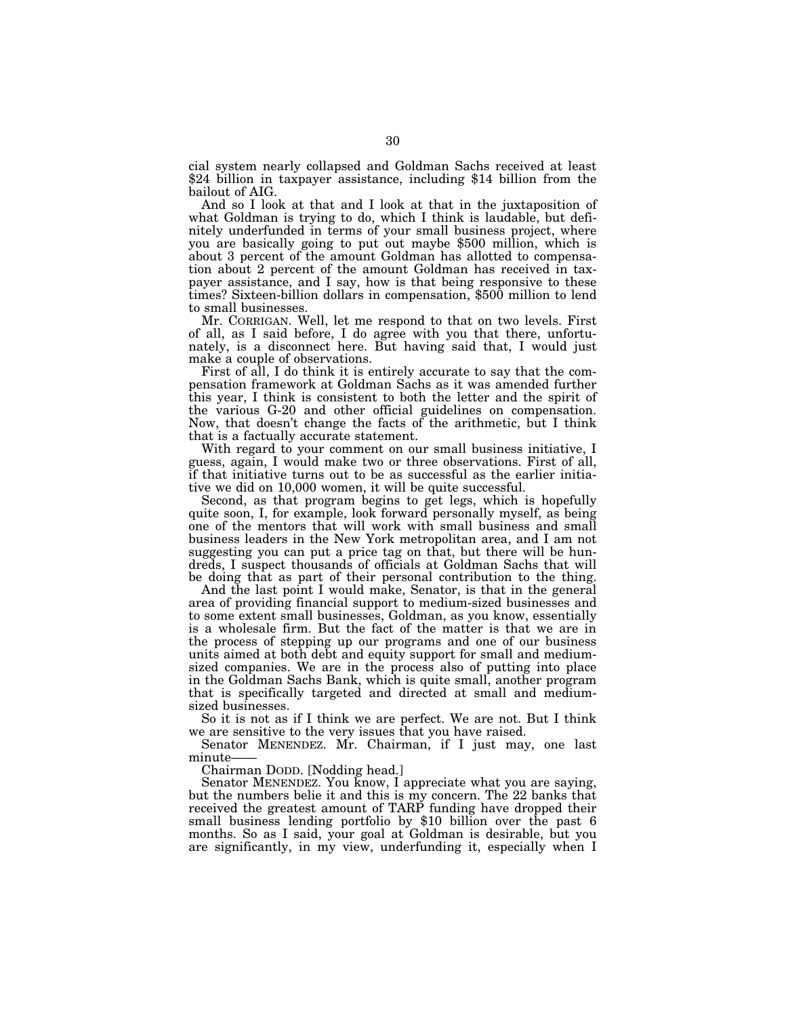cial system nearly collapsed and Goldman Sachs received at least \$24 billion in taxpayer assistance, including \$14 billion from the bailout of AIG.

And so I look at that and I look at that in the juxtaposition of what Goldman is trying to do, which I think is laudable, but definitely underfunded in terms of your small business project, where you are basically going to put out maybe \$500 million, which is about 3 percent of the amount Goldman has allotted to compensation about 2 percent of the amount Goldman has received in taxpayer assistance, and I say, how is that being responsive to these times? Sixteen-billion dollars in compensation, \$500 million to lend to small businesses.

Mr. CORRIGAN. Well, let me respond to that on two levels. First of all, as I said before, I do agree with you that there, unfortunately, is a disconnect here. But having said that, I would just make a couple of observations.

First of all, I do think it is entirely accurate to say that the compensation framework at Goldman Sachs as it was amended further this year, I think is consistent to both the letter and the spirit of the various G-20 and other official guidelines on compensation. Now, that doesn't change the facts of the arithmetic, but I think that is a factually accurate statement.

With regard to your comment on our small business initiative, I guess, again, I would make two or three observations. First of all, if that initiative turns out to be as successful as the earlier initiative we did on 10,000 women, it will be quite successful.

Second, as that program begins to get legs, which is hopefully quite soon, I, for example, look forward personally myself, as being one of the mentors that will work with small business and small business leaders in the New York metropolitan area, and I am not suggesting you can put a price tag on that, but there will be hundreds, I suspect thousands of officials at Goldman Sachs that will be doing that as part of their personal contribution to the thing.

And the last point I would make, Senator, is that in the general area of providing financial support to medium-sized businesses and to some extent small businesses, Goldman, as you know, essentially is a wholesale firm. But the fact of the matter is that we are in the process of stepping up our programs and one of our business units aimed at both debt and equity support for small and mediumsized companies. We are in the process also of putting into place in the Goldman Sachs Bank, which is quite small, another program that is specifically targeted and directed at small and mediumsized businesses.

So it is not as if I think we are perfect. We are not. But I think we are sensitive to the very issues that you have raised.

Senator MENENDEZ. Mr. Chairman, if I just may, one last minute-

Chairman DODD. [Nodding head.]

Senator MENENDEZ. You know, I appreciate what you are saying, but the numbers belie it and this is my concern. The 22 banks that received the greatest amount of TARP funding have dropped their small business lending portfolio by \$10 billion over the past 6 months. So as I said, your goal at Goldman is desirable, but you are significantly, in my view, underfunding it, especially when I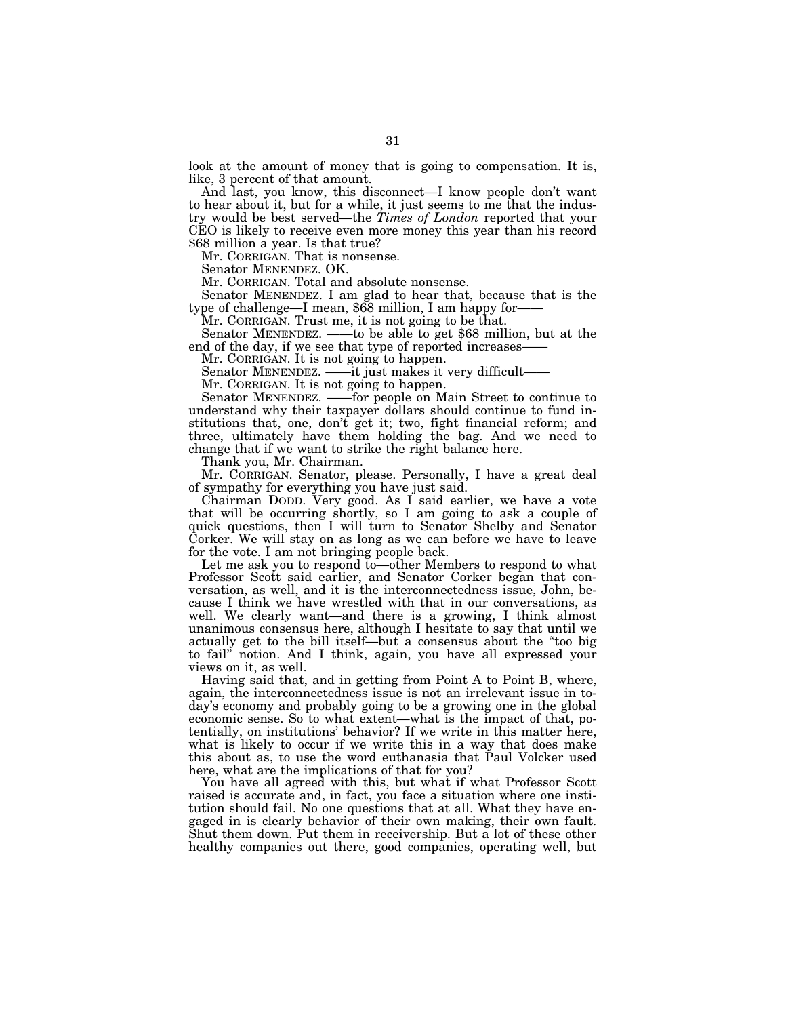look at the amount of money that is going to compensation. It is, like, 3 percent of that amount.

And last, you know, this disconnect—I know people don't want to hear about it, but for a while, it just seems to me that the industry would be best served—the *Times of London* reported that your CEO is likely to receive even more money this year than his record \$68 million a year. Is that true?

Mr. CORRIGAN. That is nonsense.

Senator MENENDEZ. OK.

Mr. CORRIGAN. Total and absolute nonsense.

Senator MENENDEZ. I am glad to hear that, because that is the type of challenge—I mean, \$68 million, I am happy for——

Mr. CORRIGAN. Trust me, it is not going to be that.

Senator MENENDEZ. ——to be able to get \$68 million, but at the end of the day, if we see that type of reported increases-

Mr. CORRIGAN. It is not going to happen.

Senator MENENDEZ. ——it just makes it very difficult——

Mr. CORRIGAN. It is not going to happen.

Senator MENENDEZ. ——for people on Main Street to continue to understand why their taxpayer dollars should continue to fund institutions that, one, don't get it; two, fight financial reform; and three, ultimately have them holding the bag. And we need to change that if we want to strike the right balance here.

Thank you, Mr. Chairman.

Mr. CORRIGAN. Senator, please. Personally, I have a great deal of sympathy for everything you have just said.

Chairman DODD. Very good. As I said earlier, we have a vote that will be occurring shortly, so I am going to ask a couple of quick questions, then I will turn to Senator Shelby and Senator Corker. We will stay on as long as we can before we have to leave for the vote. I am not bringing people back.

Let me ask you to respond to—other Members to respond to what Professor Scott said earlier, and Senator Corker began that conversation, as well, and it is the interconnectedness issue, John, because I think we have wrestled with that in our conversations, as well. We clearly want—and there is a growing, I think almost unanimous consensus here, although I hesitate to say that until we actually get to the bill itself—but a consensus about the ''too big to fail'' notion. And I think, again, you have all expressed your views on it, as well.

Having said that, and in getting from Point A to Point B, where, again, the interconnectedness issue is not an irrelevant issue in today's economy and probably going to be a growing one in the global economic sense. So to what extent—what is the impact of that, potentially, on institutions' behavior? If we write in this matter here, what is likely to occur if we write this in a way that does make this about as, to use the word euthanasia that Paul Volcker used here, what are the implications of that for you?

You have all agreed with this, but what if what Professor Scott raised is accurate and, in fact, you face a situation where one institution should fail. No one questions that at all. What they have engaged in is clearly behavior of their own making, their own fault. Shut them down. Put them in receivership. But a lot of these other healthy companies out there, good companies, operating well, but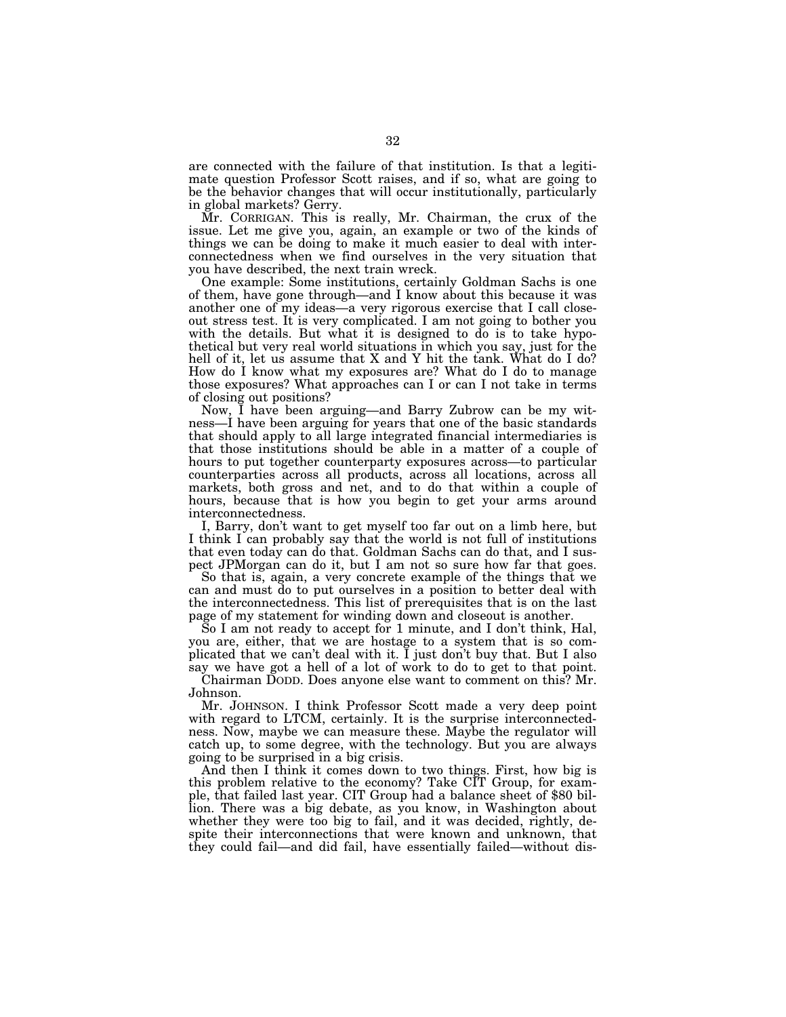are connected with the failure of that institution. Is that a legitimate question Professor Scott raises, and if so, what are going to be the behavior changes that will occur institutionally, particularly in global markets? Gerry.

Mr. CORRIGAN. This is really, Mr. Chairman, the crux of the issue. Let me give you, again, an example or two of the kinds of things we can be doing to make it much easier to deal with interconnectedness when we find ourselves in the very situation that you have described, the next train wreck.

One example: Some institutions, certainly Goldman Sachs is one of them, have gone through—and I know about this because it was another one of my ideas—a very rigorous exercise that I call closeout stress test. It is very complicated. I am not going to bother you with the details. But what it is designed to do is to take hypothetical but very real world situations in which you say, just for the hell of it, let us assume that X and Y hit the tank. What do I do? How do I know what my exposures are? What do I do to manage those exposures? What approaches can I or can I not take in terms of closing out positions?

Now, I have been arguing—and Barry Zubrow can be my witness—I have been arguing for years that one of the basic standards that should apply to all large integrated financial intermediaries is that those institutions should be able in a matter of a couple of hours to put together counterparty exposures across—to particular counterparties across all products, across all locations, across all markets, both gross and net, and to do that within a couple of hours, because that is how you begin to get your arms around interconnectedness.

I, Barry, don't want to get myself too far out on a limb here, but I think I can probably say that the world is not full of institutions that even today can do that. Goldman Sachs can do that, and I suspect JPMorgan can do it, but I am not so sure how far that goes.

So that is, again, a very concrete example of the things that we can and must do to put ourselves in a position to better deal with the interconnectedness. This list of prerequisites that is on the last page of my statement for winding down and closeout is another.

So I am not ready to accept for 1 minute, and I don't think, Hal, you are, either, that we are hostage to a system that is so complicated that we can't deal with it. I just don't buy that. But I also say we have got a hell of a lot of work to do to get to that point.

Chairman DODD. Does anyone else want to comment on this? Mr. Johnson.

Mr. JOHNSON. I think Professor Scott made a very deep point with regard to LTCM, certainly. It is the surprise interconnectedness. Now, maybe we can measure these. Maybe the regulator will catch up, to some degree, with the technology. But you are always going to be surprised in a big crisis.

And then I think it comes down to two things. First, how big is this problem relative to the economy? Take CIT Group, for example, that failed last year. CIT Group had a balance sheet of \$80 billion. There was a big debate, as you know, in Washington about whether they were too big to fail, and it was decided, rightly, despite their interconnections that were known and unknown, that they could fail—and did fail, have essentially failed—without dis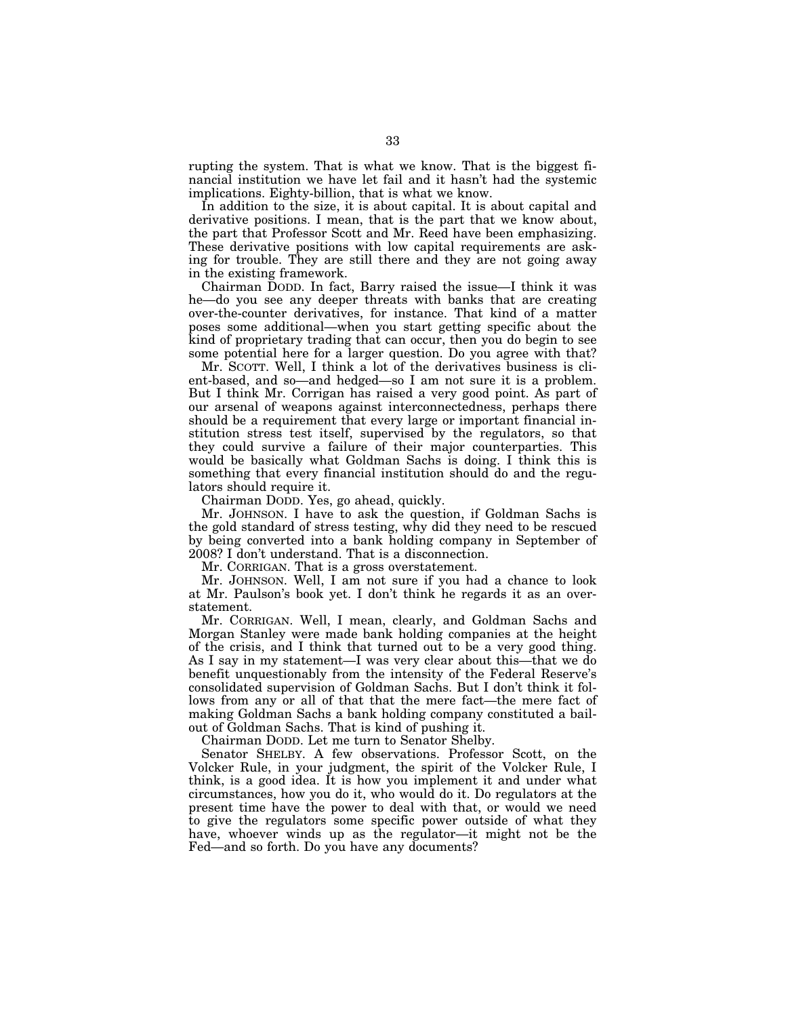rupting the system. That is what we know. That is the biggest financial institution we have let fail and it hasn't had the systemic implications. Eighty-billion, that is what we know.

In addition to the size, it is about capital. It is about capital and derivative positions. I mean, that is the part that we know about, the part that Professor Scott and Mr. Reed have been emphasizing. These derivative positions with low capital requirements are asking for trouble. They are still there and they are not going away in the existing framework.

Chairman DODD. In fact, Barry raised the issue—I think it was he—do you see any deeper threats with banks that are creating over-the-counter derivatives, for instance. That kind of a matter poses some additional—when you start getting specific about the kind of proprietary trading that can occur, then you do begin to see some potential here for a larger question. Do you agree with that?

Mr. SCOTT. Well, I think a lot of the derivatives business is client-based, and so—and hedged—so I am not sure it is a problem. But I think Mr. Corrigan has raised a very good point. As part of our arsenal of weapons against interconnectedness, perhaps there should be a requirement that every large or important financial institution stress test itself, supervised by the regulators, so that they could survive a failure of their major counterparties. This would be basically what Goldman Sachs is doing. I think this is something that every financial institution should do and the regulators should require it.

Chairman DODD. Yes, go ahead, quickly.

Mr. JOHNSON. I have to ask the question, if Goldman Sachs is the gold standard of stress testing, why did they need to be rescued by being converted into a bank holding company in September of 2008? I don't understand. That is a disconnection.

Mr. CORRIGAN. That is a gross overstatement.

Mr. JOHNSON. Well, I am not sure if you had a chance to look at Mr. Paulson's book yet. I don't think he regards it as an overstatement.

Mr. CORRIGAN. Well, I mean, clearly, and Goldman Sachs and Morgan Stanley were made bank holding companies at the height of the crisis, and I think that turned out to be a very good thing. As I say in my statement—I was very clear about this—that we do benefit unquestionably from the intensity of the Federal Reserve's consolidated supervision of Goldman Sachs. But I don't think it follows from any or all of that that the mere fact—the mere fact of making Goldman Sachs a bank holding company constituted a bailout of Goldman Sachs. That is kind of pushing it.

Chairman DODD. Let me turn to Senator Shelby.

Senator SHELBY. A few observations. Professor Scott, on the Volcker Rule, in your judgment, the spirit of the Volcker Rule, I think, is a good idea. It is how you implement it and under what circumstances, how you do it, who would do it. Do regulators at the present time have the power to deal with that, or would we need to give the regulators some specific power outside of what they have, whoever winds up as the regulator—it might not be the Fed—and so forth. Do you have any documents?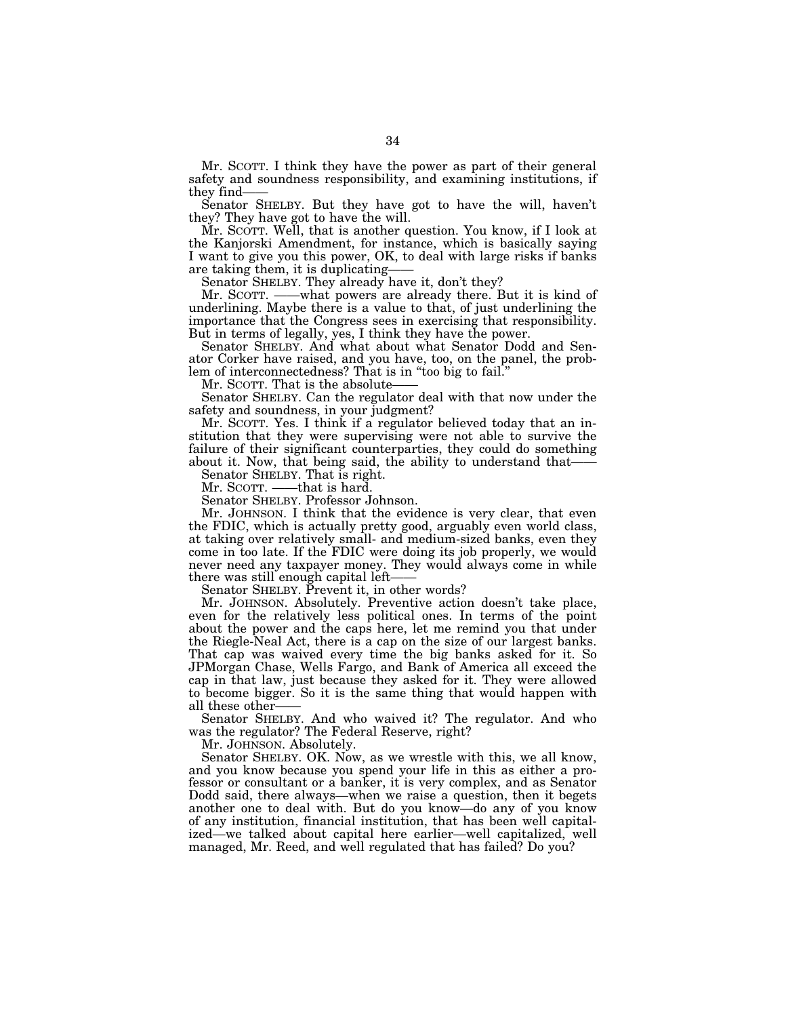Mr. SCOTT. I think they have the power as part of their general safety and soundness responsibility, and examining institutions, if they find-

Senator SHELBY. But they have got to have the will, haven't they? They have got to have the will.

Mr. SCOTT. Well, that is another question. You know, if I look at the Kanjorski Amendment, for instance, which is basically saying I want to give you this power, OK, to deal with large risks if banks are taking them, it is duplicating-

Senator SHELBY. They already have it, don't they?<br>Mr. SCOTT. ——what powers are already there. B

-what powers are already there. But it is kind of underlining. Maybe there is a value to that, of just underlining the importance that the Congress sees in exercising that responsibility. But in terms of legally, yes, I think they have the power.

Senator SHELBY. And what about what Senator Dodd and Senator Corker have raised, and you have, too, on the panel, the problem of interconnectedness? That is in ''too big to fail.''

Mr. SCOTT. That is the absolute-

Senator SHELBY. Can the regulator deal with that now under the safety and soundness, in your judgment?

Mr. SCOTT. Yes. I think if a regulator believed today that an institution that they were supervising were not able to survive the failure of their significant counterparties, they could do something about it. Now, that being said, the ability to understand that-

Senator SHELBY. That is right.

Mr. SCOTT. ——that is hard.

Senator SHELBY. Professor Johnson.

Mr. JOHNSON. I think that the evidence is very clear, that even the FDIC, which is actually pretty good, arguably even world class, at taking over relatively small- and medium-sized banks, even they come in too late. If the FDIC were doing its job properly, we would never need any taxpayer money. They would always come in while there was still enough capital left——

Senator SHELBY. Prevent it, in other words?

Mr. JOHNSON. Absolutely. Preventive action doesn't take place, even for the relatively less political ones. In terms of the point about the power and the caps here, let me remind you that under the Riegle-Neal Act, there is a cap on the size of our largest banks. That cap was waived every time the big banks asked for it. So JPMorgan Chase, Wells Fargo, and Bank of America all exceed the cap in that law, just because they asked for it. They were allowed to become bigger. So it is the same thing that would happen with all these other-

Senator SHELBY. And who waived it? The regulator. And who was the regulator? The Federal Reserve, right?

Mr. JOHNSON. Absolutely.

Senator SHELBY. OK. Now, as we wrestle with this, we all know, and you know because you spend your life in this as either a professor or consultant or a banker, it is very complex, and as Senator Dodd said, there always—when we raise a question, then it begets another one to deal with. But do you know—do any of you know of any institution, financial institution, that has been well capitalized—we talked about capital here earlier—well capitalized, well managed, Mr. Reed, and well regulated that has failed? Do you?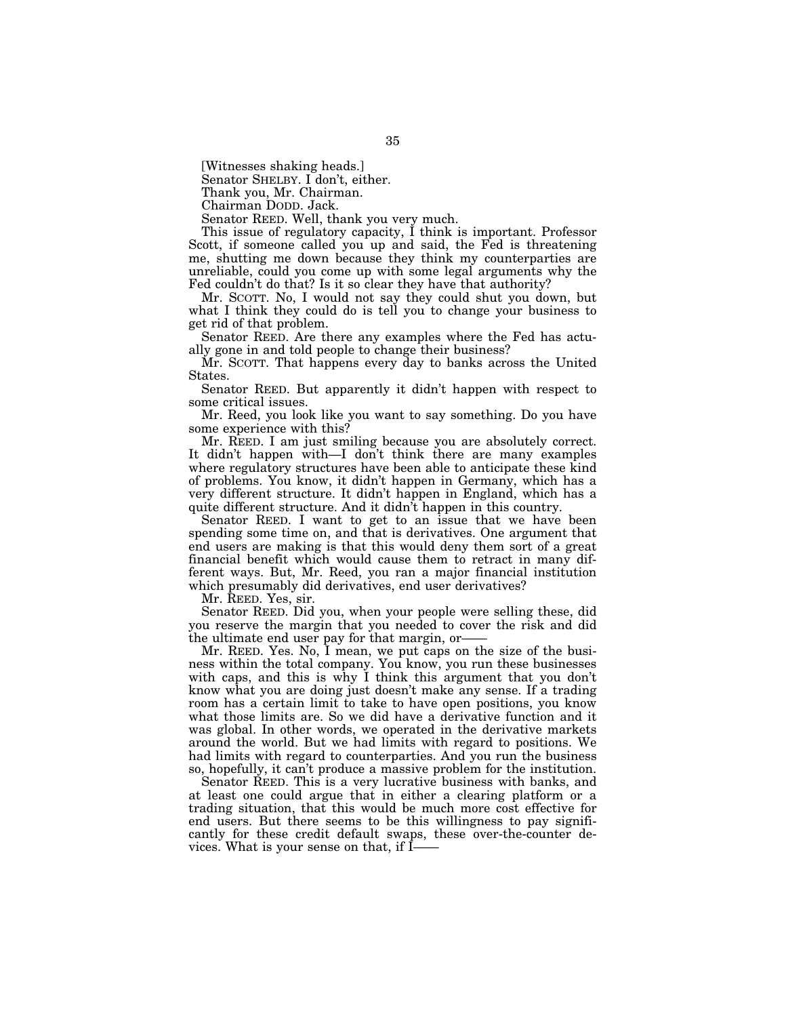[Witnesses shaking heads.]

Senator SHELBY. I don't, either.

Thank you, Mr. Chairman.

Chairman DODD. Jack.

Senator REED. Well, thank you very much.

This issue of regulatory capacity, I think is important. Professor Scott, if someone called you up and said, the Fed is threatening me, shutting me down because they think my counterparties are unreliable, could you come up with some legal arguments why the Fed couldn't do that? Is it so clear they have that authority?

Mr. SCOTT. No, I would not say they could shut you down, but what I think they could do is tell you to change your business to get rid of that problem.

Senator REED. Are there any examples where the Fed has actually gone in and told people to change their business?

Mr. SCOTT. That happens every day to banks across the United States.

Senator REED. But apparently it didn't happen with respect to some critical issues.

Mr. Reed, you look like you want to say something. Do you have some experience with this?

Mr. REED. I am just smiling because you are absolutely correct. It didn't happen with—I don't think there are many examples where regulatory structures have been able to anticipate these kind of problems. You know, it didn't happen in Germany, which has a very different structure. It didn't happen in England, which has a quite different structure. And it didn't happen in this country.

Senator REED. I want to get to an issue that we have been spending some time on, and that is derivatives. One argument that end users are making is that this would deny them sort of a great financial benefit which would cause them to retract in many different ways. But, Mr. Reed, you ran a major financial institution which presumably did derivatives, end user derivatives?

Mr. REED. Yes, sir.

Senator REED. Did you, when your people were selling these, did you reserve the margin that you needed to cover the risk and did the ultimate end user pay for that margin, or——

Mr. REED. Yes. No, I mean, we put caps on the size of the business within the total company. You know, you run these businesses with caps, and this is why I think this argument that you don't know what you are doing just doesn't make any sense. If a trading room has a certain limit to take to have open positions, you know what those limits are. So we did have a derivative function and it was global. In other words, we operated in the derivative markets around the world. But we had limits with regard to positions. We had limits with regard to counterparties. And you run the business so, hopefully, it can't produce a massive problem for the institution.

Senator REED. This is a very lucrative business with banks, and at least one could argue that in either a clearing platform or a trading situation, that this would be much more cost effective for end users. But there seems to be this willingness to pay significantly for these credit default swaps, these over-the-counter devices. What is your sense on that, if I-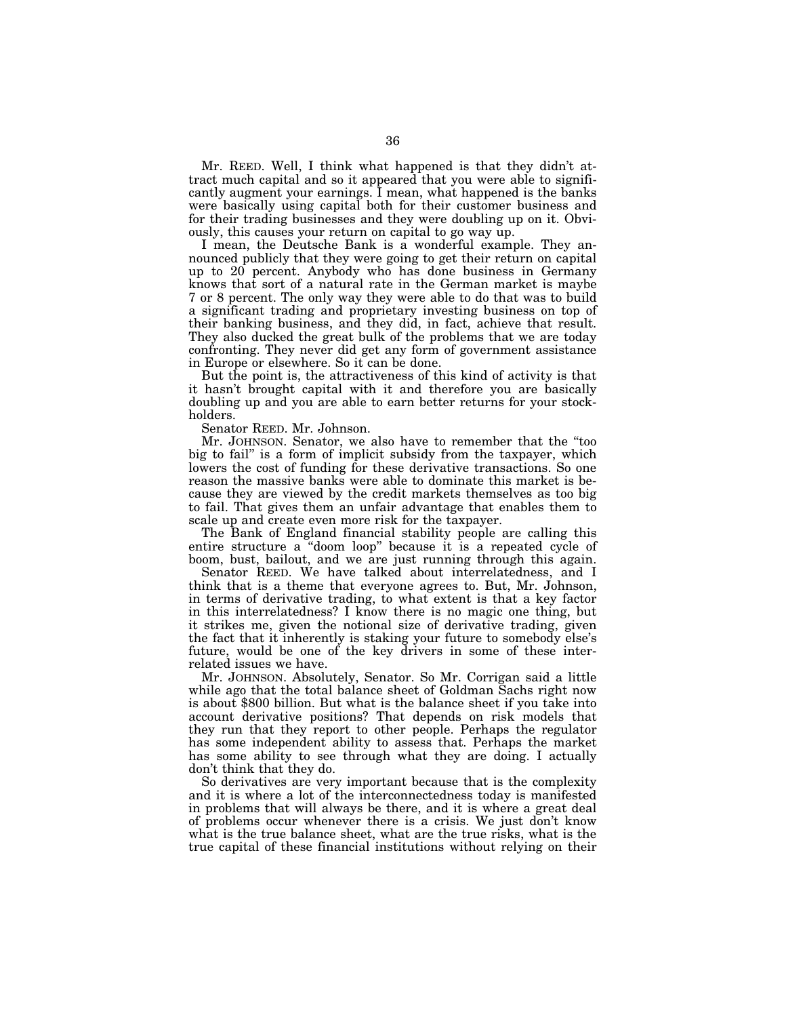Mr. REED. Well, I think what happened is that they didn't attract much capital and so it appeared that you were able to significantly augment your earnings. I mean, what happened is the banks were basically using capital both for their customer business and for their trading businesses and they were doubling up on it. Obviously, this causes your return on capital to go way up.

I mean, the Deutsche Bank is a wonderful example. They announced publicly that they were going to get their return on capital up to 20 percent. Anybody who has done business in Germany knows that sort of a natural rate in the German market is maybe 7 or 8 percent. The only way they were able to do that was to build a significant trading and proprietary investing business on top of their banking business, and they did, in fact, achieve that result. They also ducked the great bulk of the problems that we are today confronting. They never did get any form of government assistance in Europe or elsewhere. So it can be done.

But the point is, the attractiveness of this kind of activity is that it hasn't brought capital with it and therefore you are basically doubling up and you are able to earn better returns for your stockholders.

Senator REED. Mr. Johnson.

Mr. JOHNSON. Senator, we also have to remember that the ''too big to fail'' is a form of implicit subsidy from the taxpayer, which lowers the cost of funding for these derivative transactions. So one reason the massive banks were able to dominate this market is because they are viewed by the credit markets themselves as too big to fail. That gives them an unfair advantage that enables them to scale up and create even more risk for the taxpayer.

The Bank of England financial stability people are calling this entire structure a ''doom loop'' because it is a repeated cycle of boom, bust, bailout, and we are just running through this again.

Senator REED. We have talked about interrelatedness, and I think that is a theme that everyone agrees to. But, Mr. Johnson, in terms of derivative trading, to what extent is that a key factor in this interrelatedness? I know there is no magic one thing, but it strikes me, given the notional size of derivative trading, given the fact that it inherently is staking your future to somebody else's future, would be one of the key drivers in some of these interrelated issues we have.

Mr. JOHNSON. Absolutely, Senator. So Mr. Corrigan said a little while ago that the total balance sheet of Goldman Sachs right now is about \$800 billion. But what is the balance sheet if you take into account derivative positions? That depends on risk models that they run that they report to other people. Perhaps the regulator has some independent ability to assess that. Perhaps the market has some ability to see through what they are doing. I actually don't think that they do.

So derivatives are very important because that is the complexity and it is where a lot of the interconnectedness today is manifested in problems that will always be there, and it is where a great deal of problems occur whenever there is a crisis. We just don't know what is the true balance sheet, what are the true risks, what is the true capital of these financial institutions without relying on their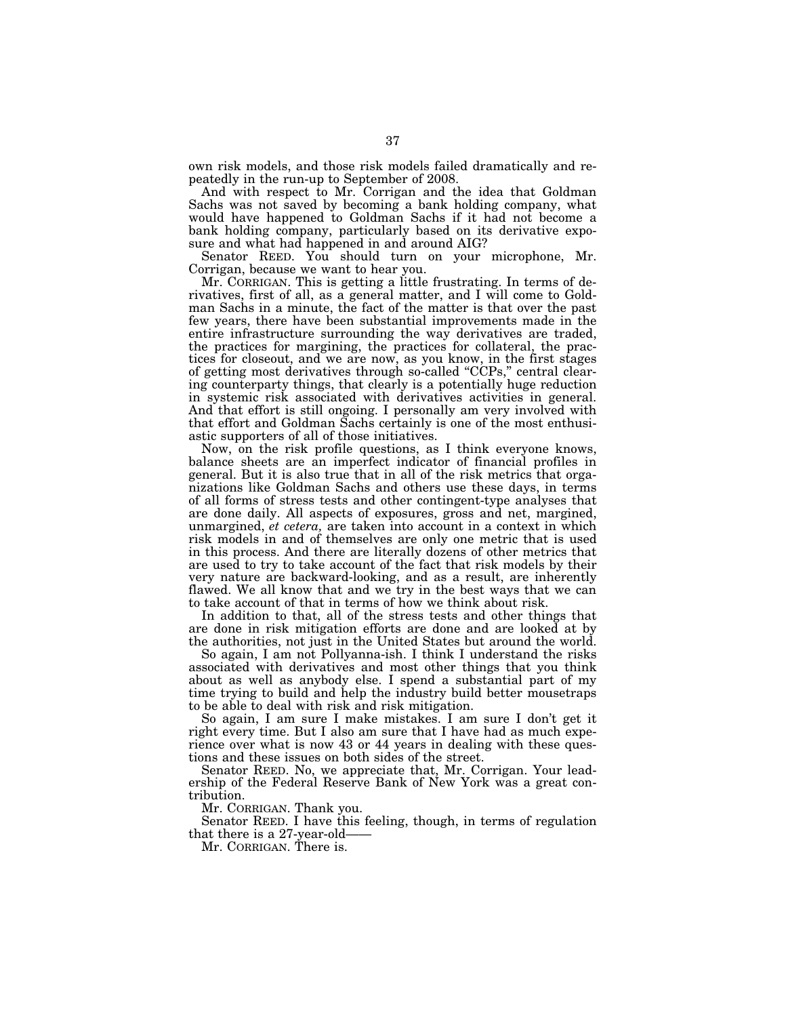own risk models, and those risk models failed dramatically and repeatedly in the run-up to September of 2008.

And with respect to Mr. Corrigan and the idea that Goldman Sachs was not saved by becoming a bank holding company, what would have happened to Goldman Sachs if it had not become a bank holding company, particularly based on its derivative exposure and what had happened in and around AIG?

Senator REED. You should turn on your microphone, Mr. Corrigan, because we want to hear you.

Mr. CORRIGAN. This is getting a little frustrating. In terms of derivatives, first of all, as a general matter, and I will come to Goldman Sachs in a minute, the fact of the matter is that over the past few years, there have been substantial improvements made in the entire infrastructure surrounding the way derivatives are traded, the practices for margining, the practices for collateral, the practices for closeout, and we are now, as you know, in the first stages of getting most derivatives through so-called ''CCPs,'' central clearing counterparty things, that clearly is a potentially huge reduction in systemic risk associated with derivatives activities in general. And that effort is still ongoing. I personally am very involved with that effort and Goldman Sachs certainly is one of the most enthusiastic supporters of all of those initiatives.

Now, on the risk profile questions, as I think everyone knows, balance sheets are an imperfect indicator of financial profiles in general. But it is also true that in all of the risk metrics that organizations like Goldman Sachs and others use these days, in terms of all forms of stress tests and other contingent-type analyses that are done daily. All aspects of exposures, gross and net, margined, unmargined, *et cetera,* are taken into account in a context in which risk models in and of themselves are only one metric that is used in this process. And there are literally dozens of other metrics that are used to try to take account of the fact that risk models by their very nature are backward-looking, and as a result, are inherently flawed. We all know that and we try in the best ways that we can to take account of that in terms of how we think about risk.

In addition to that, all of the stress tests and other things that are done in risk mitigation efforts are done and are looked at by the authorities, not just in the United States but around the world.

So again, I am not Pollyanna-ish. I think I understand the risks associated with derivatives and most other things that you think about as well as anybody else. I spend a substantial part of my time trying to build and help the industry build better mousetraps to be able to deal with risk and risk mitigation.

So again, I am sure I make mistakes. I am sure I don't get it right every time. But I also am sure that I have had as much experience over what is now 43 or 44 years in dealing with these questions and these issues on both sides of the street.

Senator REED. No, we appreciate that, Mr. Corrigan. Your leadership of the Federal Reserve Bank of New York was a great contribution.

Mr. CORRIGAN. Thank you.

Senator REED. I have this feeling, though, in terms of regulation that there is a 27-year-old——

Mr. CORRIGAN. There is.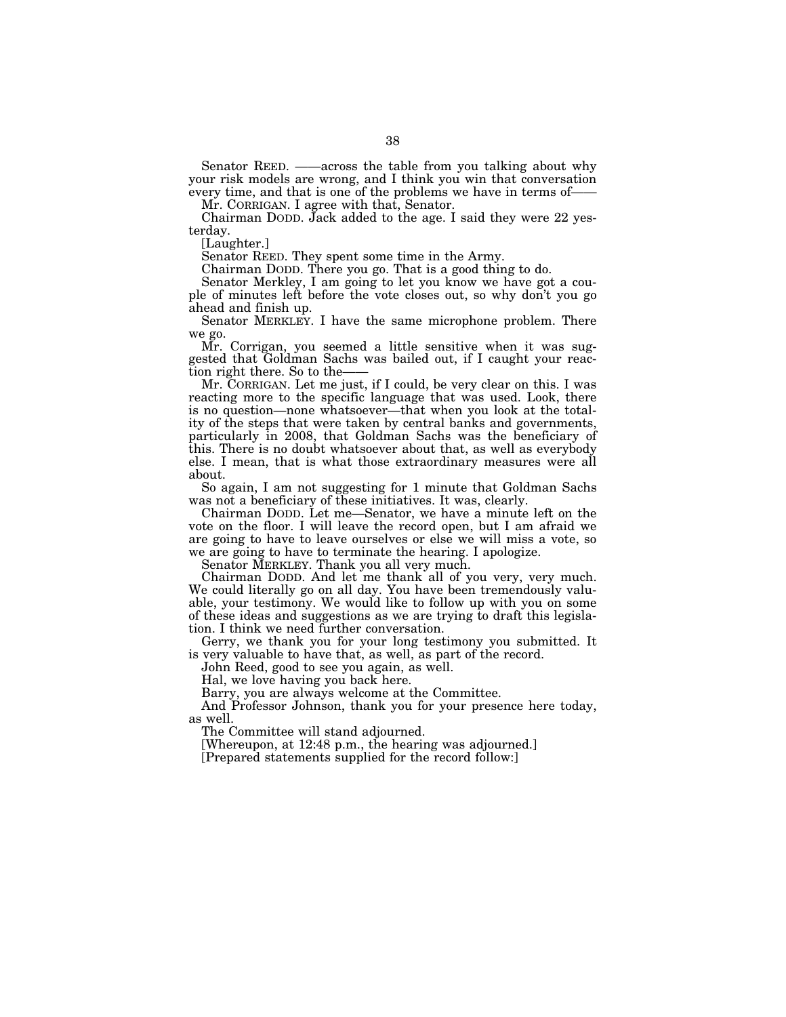Senator REED. ——across the table from you talking about why your risk models are wrong, and I think you win that conversation every time, and that is one of the problems we have in terms of——

Mr. CORRIGAN. I agree with that, Senator.

Chairman DODD. Jack added to the age. I said they were 22 yesterday.

[Laughter.]

Senator REED. They spent some time in the Army.

Chairman DODD. There you go. That is a good thing to do.

Senator Merkley, I am going to let you know we have got a couple of minutes left before the vote closes out, so why don't you go ahead and finish up.

Senator MERKLEY. I have the same microphone problem. There we go.

Mr. Corrigan, you seemed a little sensitive when it was suggested that Goldman Sachs was bailed out, if I caught your reaction right there. So to the-

Mr. CORRIGAN. Let me just, if I could, be very clear on this. I was reacting more to the specific language that was used. Look, there is no question—none whatsoever—that when you look at the totality of the steps that were taken by central banks and governments, particularly in 2008, that Goldman Sachs was the beneficiary of this. There is no doubt whatsoever about that, as well as everybody else. I mean, that is what those extraordinary measures were all about.

So again, I am not suggesting for 1 minute that Goldman Sachs was not a beneficiary of these initiatives. It was, clearly.

Chairman DODD. Let me—Senator, we have a minute left on the vote on the floor. I will leave the record open, but I am afraid we are going to have to leave ourselves or else we will miss a vote, so we are going to have to terminate the hearing. I apologize.

Senator MERKLEY. Thank you all very much.

Chairman DODD. And let me thank all of you very, very much. We could literally go on all day. You have been tremendously valuable, your testimony. We would like to follow up with you on some of these ideas and suggestions as we are trying to draft this legislation. I think we need further conversation.

Gerry, we thank you for your long testimony you submitted. It is very valuable to have that, as well, as part of the record.

John Reed, good to see you again, as well.

Hal, we love having you back here.

Barry, you are always welcome at the Committee.

And Professor Johnson, thank you for your presence here today, as well.

The Committee will stand adjourned.

[Whereupon, at 12:48 p.m., the hearing was adjourned.]

[Prepared statements supplied for the record follow:]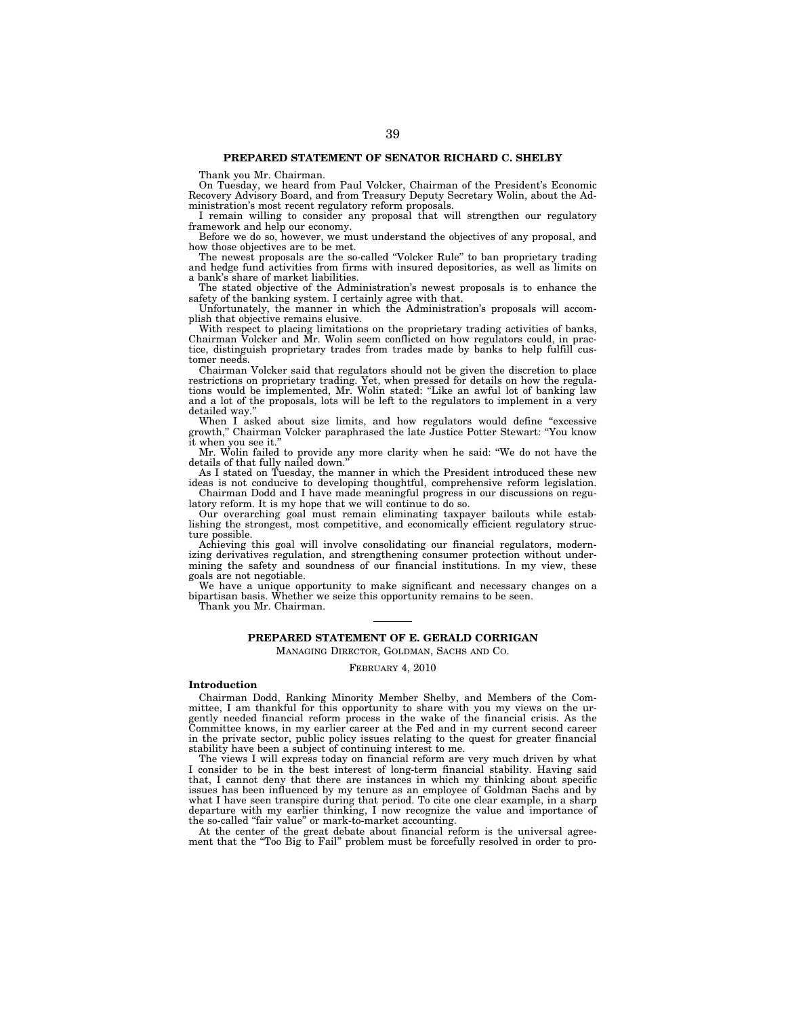Thank you Mr. Chairman.

On Tuesday, we heard from Paul Volcker, Chairman of the President's Economic Recovery Advisory Board, and from Treasury Deputy Secretary Wolin, about the Administration's most recent regulatory reform proposals.

I remain willing to consider any proposal that will strengthen our regulatory framework and help our economy.

Before we do so, however, we must understand the objectives of any proposal, and how those objectives are to be met.

The newest proposals are the so-called "Volcker Rule" to ban proprietary trading and hedge fund activities from firms with insured depositories, as well as limits on a bank's share of market liabilities.

The stated objective of the Administration's newest proposals is to enhance the safety of the banking system. I certainly agree with that.

Unfortunately, the manner in which the Administration's proposals will accomplish that objective remains elusive.

With respect to placing limitations on the proprietary trading activities of banks, Chairman Volcker and Mr. Wolin seem conflicted on how regulators could, in practice, distinguish proprietary trades from trades made by banks to help fulfill customer needs.

Chairman Volcker said that regulators should not be given the discretion to place restrictions on proprietary trading. Yet, when pressed for details on how the regulations would be implemented, Mr. Wolin stated: ''Like an awful lot of banking law and a lot of the proposals, lots will be left to the regulators to implement in a very detailed way.

When I asked about size limits, and how regulators would define "excessive growth,'' Chairman Volcker paraphrased the late Justice Potter Stewart: ''You know it when you see it.''

Mr. Wolin failed to provide any more clarity when he said: ''We do not have the details of that fully nailed down.''

As I stated on Tuesday, the manner in which the President introduced these new ideas is not conducive to developing thoughtful, comprehensive reform legislation.

Chairman Dodd and I have made meaningful progress in our discussions on regulatory reform. It is my hope that we will continue to do so.

Our overarching goal must remain eliminating taxpayer bailouts while establishing the strongest, most competitive, and economically efficient regulatory structure possible.

Achieving this goal will involve consolidating our financial regulators, modernizing derivatives regulation, and strengthening consumer protection without undermining the safety and soundness of our financial institutions. In my view, these goals are not negotiable.

We have a unique opportunity to make significant and necessary changes on a bipartisan basis. Whether we seize this opportunity remains to be seen.

Thank you Mr. Chairman.

# **PREPARED STATEMENT OF E. GERALD CORRIGAN**

MANAGING DIRECTOR, GOLDMAN, SACHS AND CO.

FEBRUARY 4, 2010

## **Introduction**

Chairman Dodd, Ranking Minority Member Shelby, and Members of the Committee, I am thankful for this opportunity to share with you my views on the urgently needed financial reform process in the wake of the financial crisis. As the Committee knows, in my earlier career at the Fed and in my current second career in the private sector, public policy issues relating to the quest for greater financial stability have been a subject of continuing interest to me.

The views I will express today on financial reform are very much driven by what I consider to be in the best interest of long-term financial stability. Having said that, I cannot deny that there are instances in which my thinking about specific issues has been influenced by my tenure as an employee of Goldman Sachs and by what I have seen transpire during that period. To cite one clear example, in a sharp departure with my earlier thinking, I now recognize the value and importance of the so-called ''fair value'' or mark-to-market accounting.

At the center of the great debate about financial reform is the universal agreement that the ''Too Big to Fail'' problem must be forcefully resolved in order to pro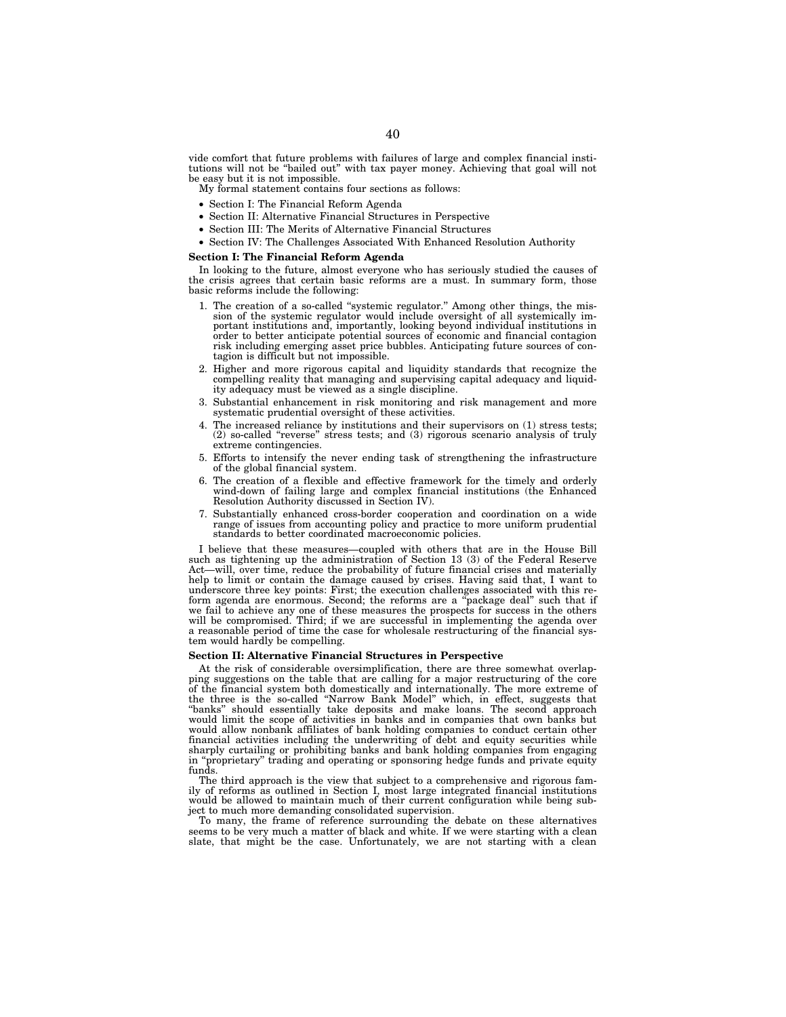vide comfort that future problems with failures of large and complex financial institutions will not be ''bailed out'' with tax payer money. Achieving that goal will not be easy but it is not impossible.

- My formal statement contains four sections as follows:
- Section I: The Financial Reform Agenda
- Section II: Alternative Financial Structures in Perspective
- Section III: The Merits of Alternative Financial Structures
- Section IV: The Challenges Associated With Enhanced Resolution Authority

#### **Section I: The Financial Reform Agenda**

In looking to the future, almost everyone who has seriously studied the causes of the crisis agrees that certain basic reforms are a must. In summary form, those basic reforms include the following:

- 1. The creation of a so-called ''systemic regulator.'' Among other things, the mission of the systemic regulator would include oversight of all systemically im-portant institutions and, importantly, looking beyond individual institutions in order to better anticipate potential sources of economic and financial contagion risk including emerging asset price bubbles. Anticipating future sources of contagion is difficult but not impossible.
- 2. Higher and more rigorous capital and liquidity standards that recognize the compelling reality that managing and supervising capital adequacy and liquidity adequacy must be viewed as a single discipline.
- 3. Substantial enhancement in risk monitoring and risk management and more systematic prudential oversight of these activities.
- 4. The increased reliance by institutions and their supervisors on (1) stress tests; (2) so-called ''reverse'' stress tests; and (3) rigorous scenario analysis of truly extreme contingencies.
- 5. Efforts to intensify the never ending task of strengthening the infrastructure of the global financial system.
- 6. The creation of a flexible and effective framework for the timely and orderly wind-down of failing large and complex financial institutions (the Enhanced Resolution Authority discussed in Section IV).
- 7. Substantially enhanced cross-border cooperation and coordination on a wide range of issues from accounting policy and practice to more uniform prudential standards to better coordinated macroeconomic policies.

I believe that these measures—coupled with others that are in the House Bill such as tightening up the administration of Section 13 (3) of the Federal Reserve Act—will, over time, reduce the probability of future financial crises and materially help to limit or contain the damage caused by crises. Having said that, I want to underscore three key points: First; the execution challenges associated with this reform agenda are enormous. Second; the reforms are a ''package deal'' such that if we fail to achieve any one of these measures the prospects for success in the others will be compromised. Third; if we are successful in implementing the agenda over a reasonable period of time the case for wholesale restructuring of the financial system would hardly be compelling.

#### **Section II: Alternative Financial Structures in Perspective**

At the risk of considerable oversimplification, there are three somewhat overlapping suggestions on the table that are calling for a major restructuring of the core of the financial system both domestically and internationally. The more extreme of the three is the so-called ''Narrow Bank Model'' which, in effect, suggests that ''banks'' should essentially take deposits and make loans. The second approach would limit the scope of activities in banks and in companies that own banks but would allow nonbank affiliates of bank holding companies to conduct certain other financial activities including the underwriting of debt and equity securities while sharply curtailing or prohibiting banks and bank holding companies from engaging in ''proprietary'' trading and operating or sponsoring hedge funds and private equity funds.

The third approach is the view that subject to a comprehensive and rigorous family of reforms as outlined in Section I, most large integrated financial institutions would be allowed to maintain much of their current configuration while being subject to much more demanding consolidated supervision.

To many, the frame of reference surrounding the debate on these alternatives seems to be very much a matter of black and white. If we were starting with a clean slate, that might be the case. Unfortunately, we are not starting with a clean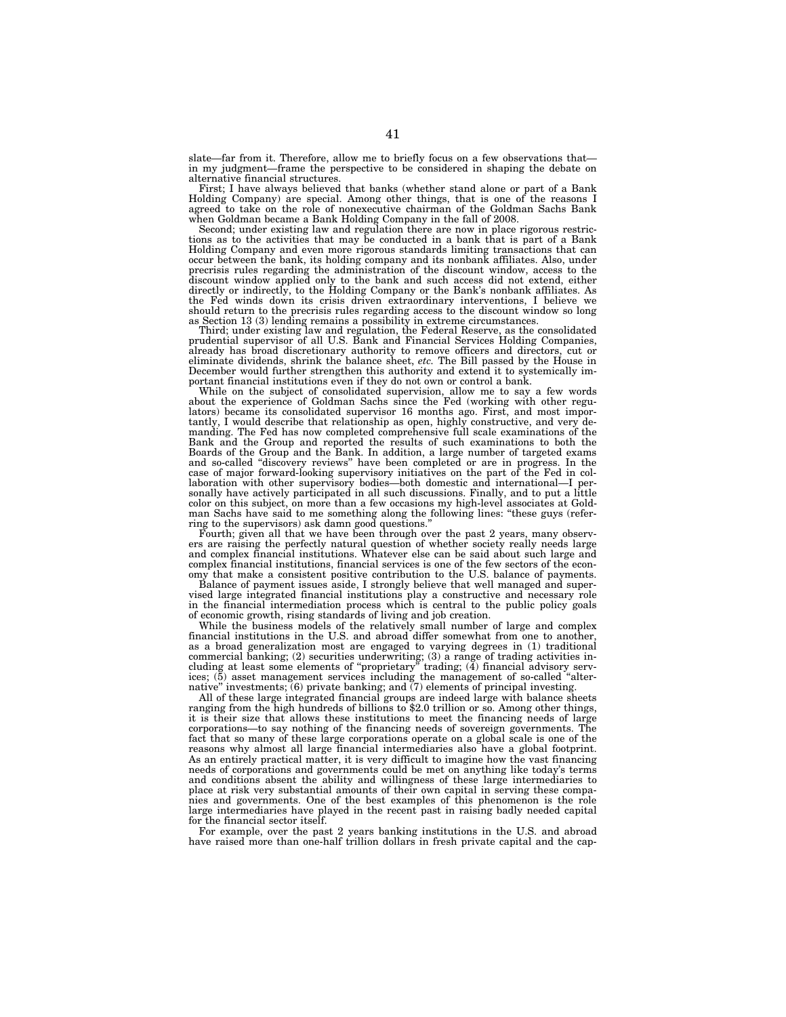slate—far from it. Therefore, allow me to briefly focus on a few observations that in my judgment—frame the perspective to be considered in shaping the debate on alternative financial structures.

First; I have always believed that banks (whether stand alone or part of a Bank Holding Company) are special. Among other things, that is one of the reasons I agreed to take on the role of nonexecutive chairman of the Goldman Sachs Bank when Goldman became a Bank Holding Company in the fall of 2008.

Second; under existing law and regulation there are now in place rigorous restrictions as to the activities that may be conducted in a bank that is part of a Bank Holding Company and even more rigorous standards limiting transactions that can occur between the bank, its holding company and its nonbank affiliates. Also, under precrisis rules regarding the administration of the discount window, access to the discount window applied only to the bank and such access did not extend, either directly or indirectly, to the Holding Company or the Bank's nonbank affiliates. As the Fed winds down its crisis driven extraordinary interventions, I believe we should return to the precrisis rules regarding access to the discount window so long as Section 13 (3) lending remains a possibility in extreme circumstances.

Third; under existing law and regulation, the Federal Reserve, as the consolidated prudential supervisor of all U.S. Bank and Financial Services Holding Companies, already has broad discretionary authority to remove officers and directors, cut or eliminate dividends, shrink the balance sheet, *etc.* The Bill passed by the House in December would further strengthen this authority and extend it to systemically important financial institutions even if they do not own or control a bank.

While on the subject of consolidated supervision, allow me to say a few words about the experience of Goldman Sachs since the Fed (working with other regulators) became its consolidated supervisor 16 months ago. First, and most importantly, I would describe that relationship as open, highly constructive, and very de-manding. The Fed has now completed comprehensive full scale examinations of the Bank and the Group and reported the results of such examinations to both the Boards of the Group and the Bank. In addition, a large number of targeted exams and so-called ''discovery reviews'' have been completed or are in progress. In the case of major forward-looking supervisory initiatives on the part of the Fed in collaboration with other supervisory bodies—both domestic and international—I personally have actively participated in all such discussions. Finally, and to put a little color on this subject, on more than a few occasions my high-level associates at Goldman Sachs have said to me something along the following lines: ''these guys (referring to the supervisors) ask damn good questions.''

Fourth; given all that we have been through over the past 2 years, many observers are raising the perfectly natural question of whether society really needs large and complex financial institutions. Whatever else can be said about such large and complex financial institutions, financial services is one of the few sectors of the economy that make a consistent positive contribution to the U.S. balance of payments.

Balance of payment issues aside, I strongly believe that well managed and supervised large integrated financial institutions play a constructive and necessary role in the financial intermediation process which is central to the public policy goals of economic growth, rising standards of living and job creation.

While the business models of the relatively small number of large and complex financial institutions in the U.S. and abroad differ somewhat from one to another, as a broad generalization most are engaged to varying degrees in (1) traditional commercial banking; (2) securities underwriting; (3) a range of trading activities including at least some elements of ''proprietary'' trading; (4) financial advisory services; (5) asset management services including the management of so-called ''alternative'' investments; (6) private banking; and (7) elements of principal investing.

All of these large integrated financial groups are indeed large with balance sheets ranging from the high hundreds of billions to \$2.0 trillion or so. Among other things, it is their size that allows these institutions to meet the financing needs of large corporations—to say nothing of the financing needs of sovereign governments. The fact that so many of these large corporations operate on a global scale is one of the reasons why almost all large financial intermediaries also have a global footprint. As an entirely practical matter, it is very difficult to imagine how the vast financing needs of corporations and governments could be met on anything like today's terms and conditions absent the ability and willingness of these large intermediaries to place at risk very substantial amounts of their own capital in serving these companies and governments. One of the best examples of this phenomenon is the role large intermediaries have played in the recent past in raising badly needed capital for the financial sector itself.

For example, over the past 2 years banking institutions in the U.S. and abroad have raised more than one-half trillion dollars in fresh private capital and the cap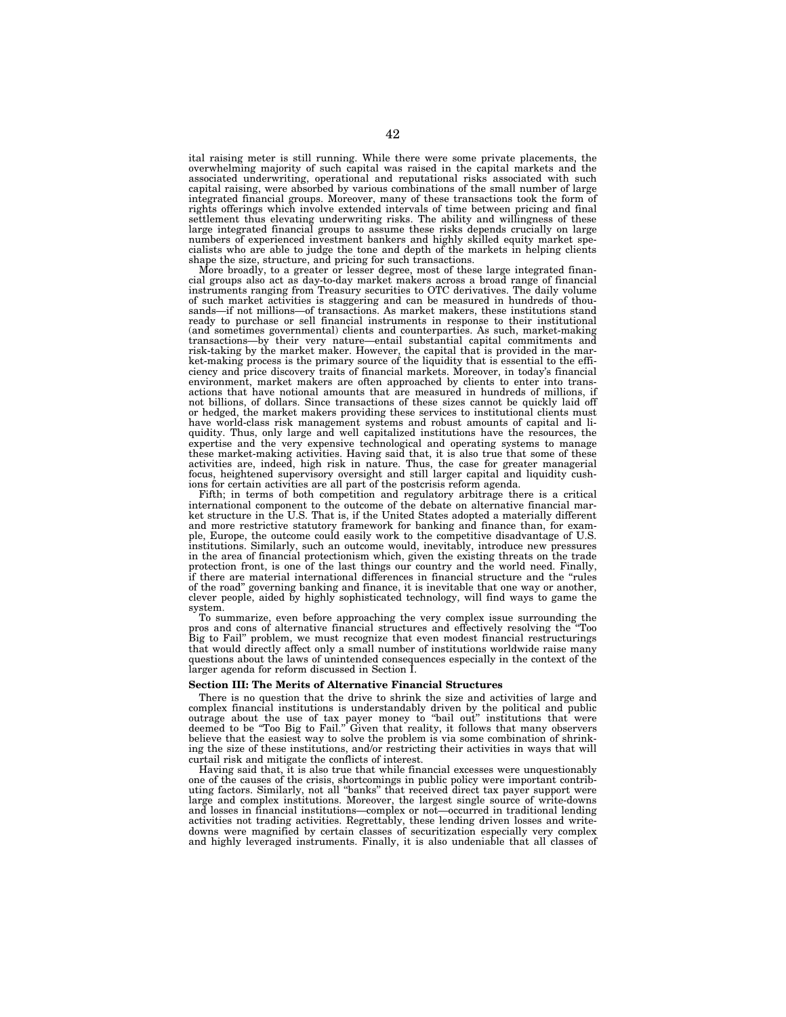ital raising meter is still running. While there were some private placements, the overwhelming majority of such capital was raised in the capital markets and the associated underwriting, operational and reputational risks associated with such capital raising, were absorbed by various combinations of the small number of large integrated financial groups. Moreover, many of these transactions took the form of rights offerings which involve extended intervals of time between pricing and final settlement thus elevating underwriting risks. The ability and willingness of these large integrated financial groups to assume these risks depends crucially on large numbers of experienced investment bankers and highly skilled equity market specialists who are able to judge the tone and depth of the markets in helping clients shape the size, structure, and pricing for such transactions.

More broadly, to a greater or lesser degree, most of these large integrated financial groups also act as day-to-day market makers across a broad range of financial instruments ranging from Treasury securities to OTC derivatives. The daily volume of such market activities is staggering and can be measured in hundreds of thousands—if not millions—of transactions. As market makers, these institutions stand ready to purchase or sell financial instruments in response to their institutional (and sometimes governmental) clients and counterparties. As such, market-making transactions—by their very nature—entail substantial capital commitments and risk-taking by the market maker. However, the capital that is provided in the market-making process is the primary source of the liquidity that is essential to the efficiency and price discovery traits of financial markets. Moreover, in today's financial environment, market makers are often approached by clients to enter into transactions that have notional amounts that are measured in hundreds of millions, if not billions, of dollars. Since transactions of these sizes cannot be quickly laid off or hedged, the market makers providing these services to institutional clients must have world-class risk management systems and robust amounts of capital and liquidity. Thus, only large and well capitalized institutions have the resources, the expertise and the very expensive technological and operating systems to manage these market-making activities. Having said that, it is also true that some of these activities are, indeed, high risk in nature. Thus, the case for greater managerial focus, heightened supervisory oversight and still larger capital and liquidity cushions for certain activities are all part of the postcrisis reform agenda.

Fifth; in terms of both competition and regulatory arbitrage there is a critical international component to the outcome of the debate on alternative financial market structure in the U.S. That is, if the United States adopted a materially different and more restrictive statutory framework for banking and finance than, for example, Europe, the outcome could easily work to the competitive disadvantage of U.S. institutions. Similarly, such an outcome would, inevitably, introduce new pressures in the area of financial protectionism which, given the existing threats on the trade protection front, is one of the last things our country and the world need. Finally, if there are material international differences in financial structure and the ''rules of the road'' governing banking and finance, it is inevitable that one way or another, clever people, aided by highly sophisticated technology, will find ways to game the system.

To summarize, even before approaching the very complex issue surrounding the pros and cons of alternative financial structures and effectively resolving the ''Too Big to Fail'' problem, we must recognize that even modest financial restructurings that would directly affect only a small number of institutions worldwide raise many questions about the laws of unintended consequences especially in the context of the larger agenda for reform discussed in Section I.

#### **Section III: The Merits of Alternative Financial Structures**

There is no question that the drive to shrink the size and activities of large and complex financial institutions is understandably driven by the political and public outrage about the use of tax payer money to "bail out" institutions that were deemed to be ''Too Big to Fail.'' Given that reality, it follows that many observers believe that the easiest way to solve the problem is via some combination of shrinking the size of these institutions, and/or restricting their activities in ways that will curtail risk and mitigate the conflicts of interest.

Having said that, it is also true that while financial excesses were unquestionably one of the causes of the crisis, shortcomings in public policy were important contributing factors. Similarly, not all ''banks'' that received direct tax payer support were large and complex institutions. Moreover, the largest single source of write-downs and losses in financial institutions—complex or not—occurred in traditional lending activities not trading activities. Regrettably, these lending driven losses and writedowns were magnified by certain classes of securitization especially very complex and highly leveraged instruments. Finally, it is also undeniable that all classes of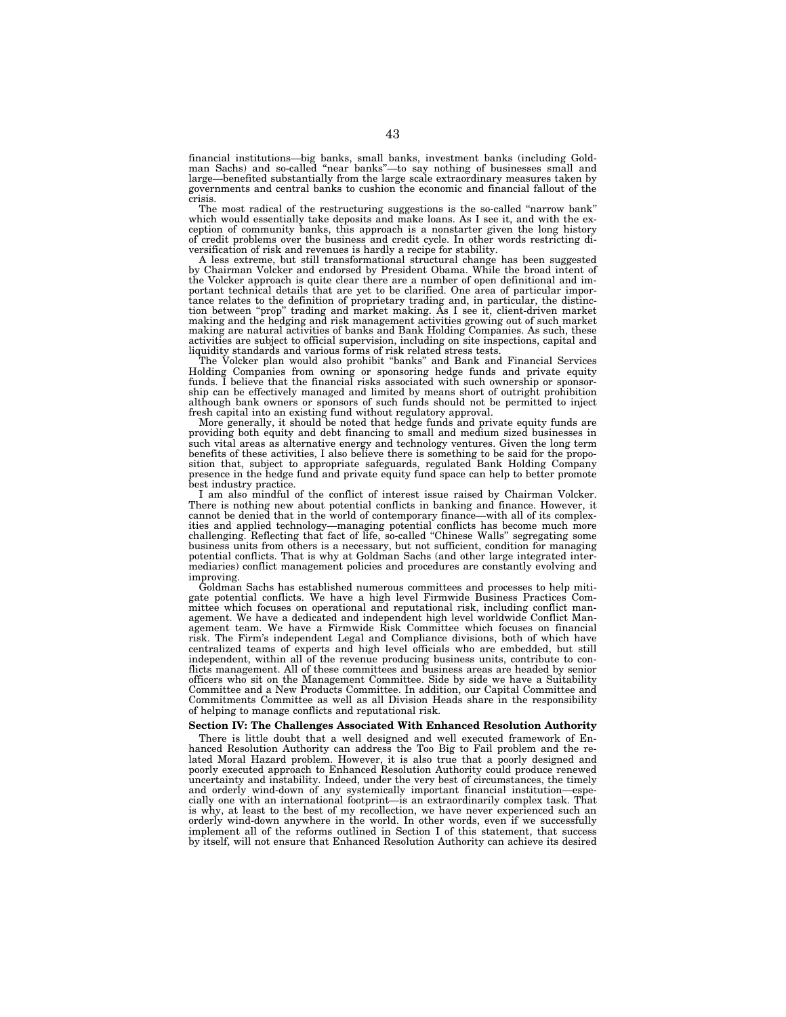financial institutions—big banks, small banks, investment banks (including Goldman Sachs) and so-called ''near banks''—to say nothing of businesses small and large—benefited substantially from the large scale extraordinary measures taken by governments and central banks to cushion the economic and financial fallout of the crisis.

The most radical of the restructuring suggestions is the so-called "narrow bank" which would essentially take deposits and make loans. As I see it, and with the exception of community banks, this approach is a nonstarter given the long history of credit problems over the business and credit cycle. In other words restricting diversification of risk and revenues is hardly a recipe for stability.

A less extreme, but still transformational structural change has been suggested by Chairman Volcker and endorsed by President Obama. While the broad intent of the Volcker approach is quite clear there are a number of open definitional and important technical details that are yet to be clarified. One area of particular importance relates to the definition of proprietary trading and, in particular, the distinction between ''prop'' trading and market making. As I see it, client-driven market making and the hedging and risk management activities growing out of such market making are natural activities of banks and Bank Holding Companies. As such, these activities are subject to official supervision, including on site inspections, capital and liquidity standards and various forms of risk related stress tests.

The Volcker plan would also prohibit ''banks'' and Bank and Financial Services Holding Companies from owning or sponsoring hedge funds and private equity funds. I believe that the financial risks associated with such ownership or sponsorship can be effectively managed and limited by means short of outright prohibition although bank owners or sponsors of such funds should not be permitted to inject fresh capital into an existing fund without regulatory approval.

More generally, it should be noted that hedge funds and private equity funds are providing both equity and debt financing to small and medium sized businesses in such vital areas as alternative energy and technology ventures. Given the long term benefits of these activities, I also believe there is something to be said for the proposition that, subject to appropriate safeguards, regulated Bank Holding Company presence in the hedge fund and private equity fund space can help to better promote best industry practice.

I am also mindful of the conflict of interest issue raised by Chairman Volcker. There is nothing new about potential conflicts in banking and finance. However, it cannot be denied that in the world of contemporary finance—with all of its complexities and applied technology—managing potential conflicts has become much more challenging. Reflecting that fact of life, so-called ''Chinese Walls'' segregating some business units from others is a necessary, but not sufficient, condition for managing potential conflicts. That is why at Goldman Sachs (and other large integrated intermediaries) conflict management policies and procedures are constantly evolving and improving.

Goldman Sachs has established numerous committees and processes to help mitigate potential conflicts. We have a high level Firmwide Business Practices Committee which focuses on operational and reputational risk, including conflict management. We have a dedicated and independent high level worldwide Conflict Management team. We have a Firmwide Risk Committee which focuses on financial risk. The Firm's independent Legal and Compliance divisions, both of which have centralized teams of experts and high level officials who are embedded, but still independent, within all of the revenue producing business units, contribute to conflicts management. All of these committees and business areas are headed by senior officers who sit on the Management Committee. Side by side we have a Suitability Committee and a New Products Committee. In addition, our Capital Committee and Commitments Committee as well as all Division Heads share in the responsibility of helping to manage conflicts and reputational risk.

# **Section IV: The Challenges Associated With Enhanced Resolution Authority**

There is little doubt that a well designed and well executed framework of Enhanced Resolution Authority can address the Too Big to Fail problem and the related Moral Hazard problem. However, it is also true that a poorly designed and poorly executed approach to Enhanced Resolution Authority could produce renewed uncertainty and instability. Indeed, under the very best of circumstances, the timely and orderly wind-down of any systemically important financial institution—especially one with an international footprint—is an extraordinarily complex task. That is why, at least to the best of my recollection, we have never experienced such an orderly wind-down anywhere in the world. In other words, even if we successfully implement all of the reforms outlined in Section I of this statement, that success by itself, will not ensure that Enhanced Resolution Authority can achieve its desired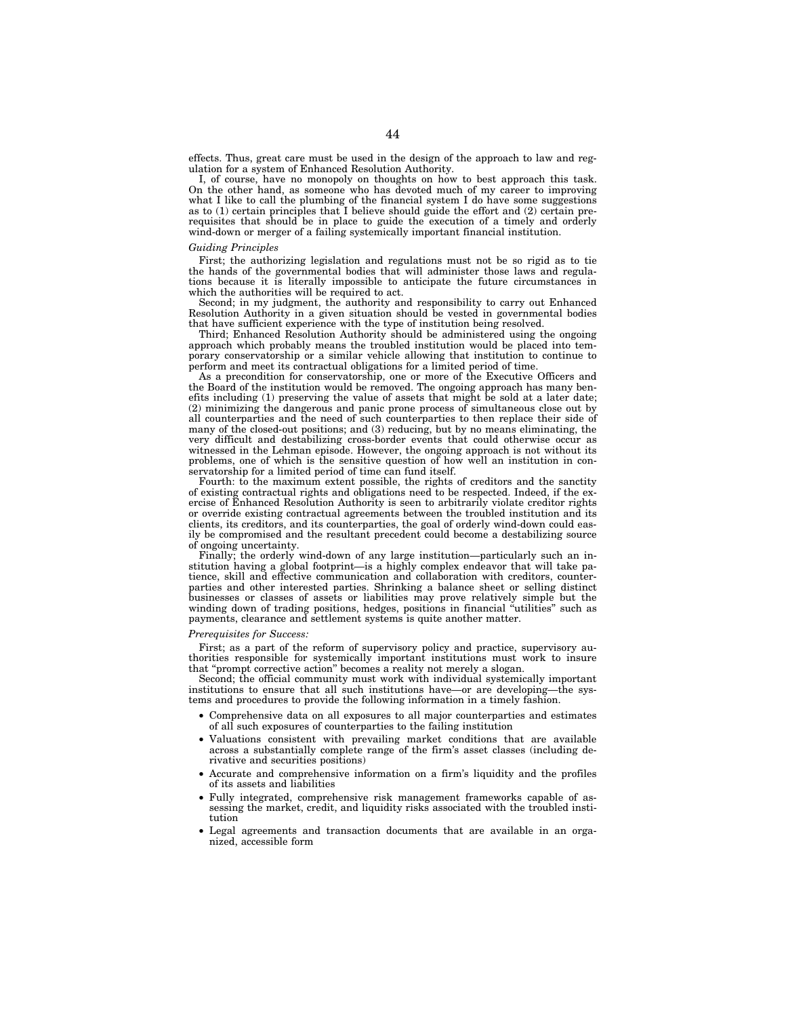effects. Thus, great care must be used in the design of the approach to law and regulation for a system of Enhanced Resolution Authority.

I, of course, have no monopoly on thoughts on how to best approach this task. On the other hand, as someone who has devoted much of my career to improving what I like to call the plumbing of the financial system I do have some suggestions as to (1) certain principles that I believe should guide the effort and (2) certain prerequisites that should be in place to guide the execution of a timely and orderly wind-down or merger of a failing systemically important financial institution.

#### *Guiding Principles*

First; the authorizing legislation and regulations must not be so rigid as to tie the hands of the governmental bodies that will administer those laws and regulations because it is literally impossible to anticipate the future circumstances in which the authorities will be required to act.

Second; in my judgment, the authority and responsibility to carry out Enhanced Resolution Authority in a given situation should be vested in governmental bodies that have sufficient experience with the type of institution being resolved.

Third; Enhanced Resolution Authority should be administered using the ongoing approach which probably means the troubled institution would be placed into temporary conservatorship or a similar vehicle allowing that institution to continue to perform and meet its contractual obligations for a limited period of time.

As a precondition for conservatorship, one or more of the Executive Officers and the Board of the institution would be removed. The ongoing approach has many benefits including (1) preserving the value of assets that might be sold at a later date; (2) minimizing the dangerous and panic prone process of simultaneous close out by all counterparties and the need of such counterparties to then replace their side of many of the closed-out positions; and (3) reducing, but by no means eliminating, the very difficult and destabilizing cross-border events that could otherwise occur as witnessed in the Lehman episode. However, the ongoing approach is not without its problems, one of which is the sensitive question of how well an institution in conservatorship for a limited period of time can fund itself.

Fourth: to the maximum extent possible, the rights of creditors and the sanctity of existing contractual rights and obligations need to be respected. Indeed, if the exercise of Enhanced Resolution Authority is seen to arbitrarily violate creditor rights or override existing contractual agreements between the troubled institution and its clients, its creditors, and its counterparties, the goal of orderly wind-down could easily be compromised and the resultant precedent could become a destabilizing source of ongoing uncertainty.

Finally; the orderly wind-down of any large institution—particularly such an institution having a global footprint—is a highly complex endeavor that will take patience, skill and effective communication and collaboration with creditors, counterparties and other interested parties. Shrinking a balance sheet or selling distinct businesses or classes of assets or liabilities may prove relatively simple but the winding down of trading positions, hedges, positions in financial "utilities" such as payments, clearance and settlement systems is quite another matter.

## *Prerequisites for Success:*

First; as a part of the reform of supervisory policy and practice, supervisory authorities responsible for systemically important institutions must work to insure that ''prompt corrective action'' becomes a reality not merely a slogan.

Second; the official community must work with individual systemically important institutions to ensure that all such institutions have—or are developing—the systems and procedures to provide the following information in a timely fashion.

- Comprehensive data on all exposures to all major counterparties and estimates of all such exposures of counterparties to the failing institution
- Valuations consistent with prevailing market conditions that are available across a substantially complete range of the firm's asset classes (including derivative and securities positions)
- Accurate and comprehensive information on a firm's liquidity and the profiles of its assets and liabilities
- Fully integrated, comprehensive risk management frameworks capable of assessing the market, credit, and liquidity risks associated with the troubled institution
- Legal agreements and transaction documents that are available in an organized, accessible form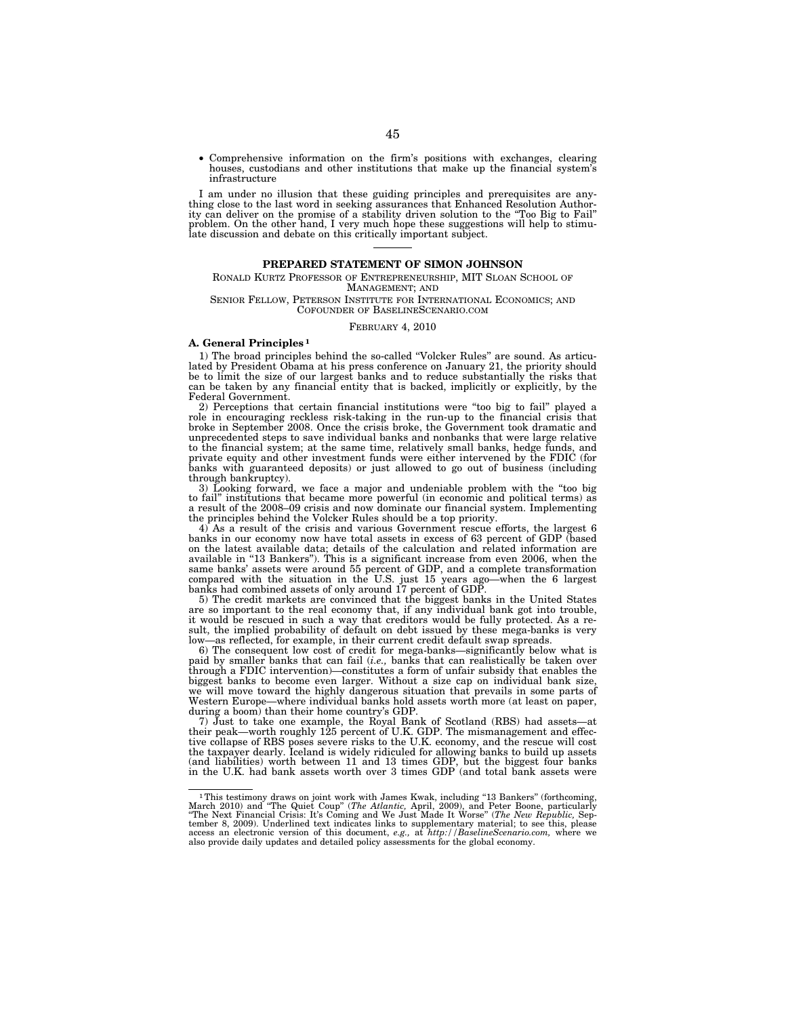• Comprehensive information on the firm's positions with exchanges, clearing houses, custodians and other institutions that make up the financial system's infrastructure

I am under no illusion that these guiding principles and prerequisites are anything close to the last word in seeking assurances that Enhanced Resolution Authority can deliver on the promise of a stability driven solution to the ''Too Big to Fail'' problem. On the other hand, I very much hope these suggestions will help to stimu-late discussion and debate on this critically important subject.

#### **PREPARED STATEMENT OF SIMON JOHNSON**

RONALD KURTZ PROFESSOR OF ENTREPRENEURSHIP, MIT SLOAN SCHOOL OF MANAGEMENT; AND

SENIOR FELLOW, PETERSON INSTITUTE FOR INTERNATIONAL ECONOMICS; AND COFOUNDER OF BASELINESCENARIO.COM

FEBRUARY 4, 2010

### **A. General Principles 1**

1) The broad principles behind the so-called ''Volcker Rules'' are sound. As articulated by President Obama at his press conference on January 21, the priority should be to limit the size of our largest banks and to reduce substantially the risks that can be taken by any financial entity that is backed, implicitly or explicitly, by the Federal Government.

2) Perceptions that certain financial institutions were ''too big to fail'' played a role in encouraging reckless risk-taking in the run-up to the financial crisis that broke in September 2008. Once the crisis broke, the Government took dramatic and unprecedented steps to save individual banks and nonbanks that were large relative to the financial system; at the same time, relatively small banks, hedge funds, and private equity and other investment funds were either intervened by the FDIC (for banks with guaranteed deposits) or just allowed to go out of business (including through bankruptcy).

3) Looking forward, we face a major and undeniable problem with the ''too big to fail'' institutions that became more powerful (in economic and political terms) as a result of the 2008–09 crisis and now dominate our financial system. Implementing the principles behind the Volcker Rules should be a top priority.

4) As a result of the crisis and various Government rescue efforts, the largest 6 banks in our economy now have total assets in excess of 63 percent of GDP (based on the latest available data; details of the calculation and related information are available in ''13 Bankers''). This is a significant increase from even 2006, when the same banks' assets were around 55 percent of GDP, and a complete transformation compared with the situation in the U.S. just 15 years ago—when the 6 largest

banks had combined assets of only around 17 percent of GDP. 5) The credit markets are convinced that the biggest banks in the United States are so important to the real economy that, if any individual bank got into trouble, it would be rescued in such a way that creditors would be fully protected. As a result, the implied probability of default on debt issued by these mega-banks is very as reflected, for example, in their current credit default swap spreads.

6) The consequent low cost of credit for mega-banks—significantly below what is paid by smaller banks that can fail (*i.e.,* banks that can realistically be taken over through a FDIC intervention)—constitutes a form of unfair subsidy that enables the biggest banks to become even larger. Without a size cap on individual bank size, we will move toward the highly dangerous situation that prevails in some parts of Western Europe—where individual banks hold assets worth more (at least on paper, during a boom) than their home country's GDP.

7) Just to take one example, the Royal Bank of Scotland (RBS) had assets—at their peak—worth roughly 125 percent of U.K. GDP. The mismanagement and effective collapse of RBS poses severe risks to the U.K. economy, and the rescue will cost the taxpayer dearly. Iceland is widely ridiculed for allowing banks to build up assets (and liabilities) worth between 11 and 13 times GDP, but the biggest four banks in the U.K. had bank assets worth over 3 times GDP (and total bank assets were

<sup>&</sup>lt;sup>1</sup> This testimony draws on joint work with James Kwak, including "13 Bankers" (forthcoming, March 2010) and "The Quiet Coup" (*The Atlantic*, April, 2009), and Peter Boone, particularly "The Next Financial Crisis: It's C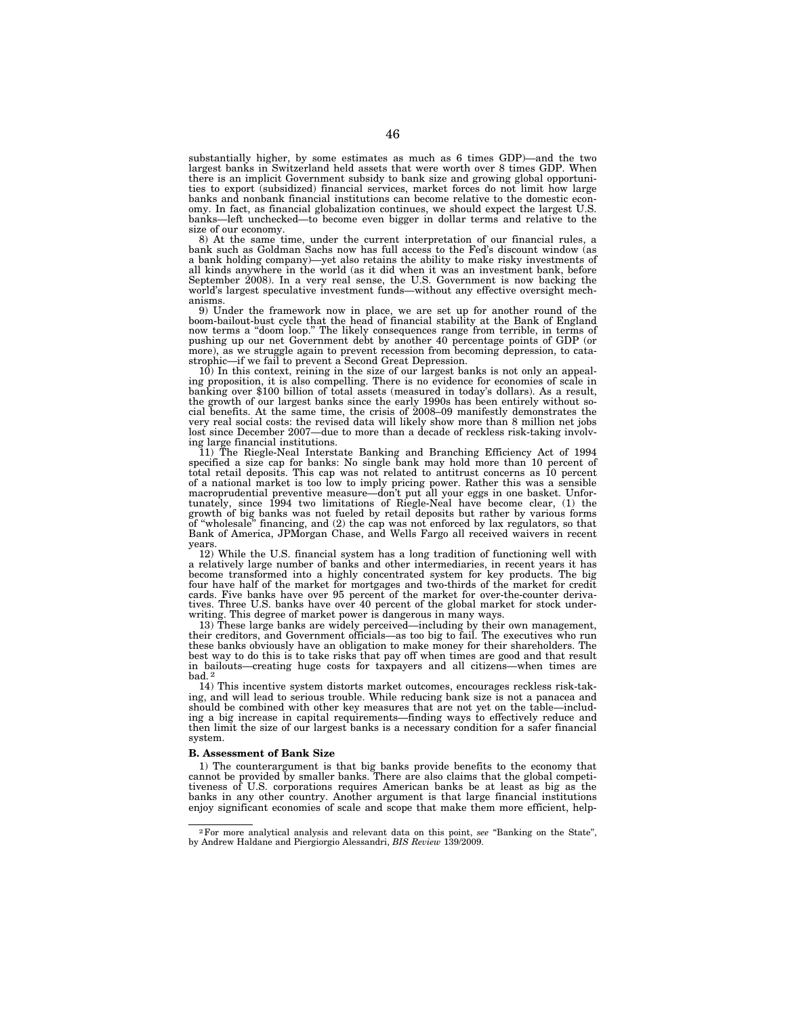substantially higher, by some estimates as much as 6 times GDP)—and the two largest banks in Switzerland held assets that were worth over 8 times GDP. When there is an implicit Government subsidy to bank size and growing global opportunities to export (subsidized) financial services, market forces do not limit how large banks and nonbank financial institutions can become relative to the domestic economy. In fact, as financial globalization continues, we should expect the largest U.S. banks—left unchecked—to become even bigger in dollar terms and relative to the

size of our economy. 8) At the same time, under the current interpretation of our financial rules, a bank such as Goldman Sachs now has full access to the Fed's discount window (as a bank holding company)—yet also retains the ability to make risky investments of all kinds anywhere in the world (as it did when it was an investment bank, before September 2008). In a very real sense, the U.S. Government is now backing the world's largest speculative investment funds—without any effective oversight mechanisms.

9) Under the framework now in place, we are set up for another round of the boom-bailout-bust cycle that the head of financial stability at the Bank of England now terms a ''doom loop.'' The likely consequences range from terrible, in terms of pushing up our net Government debt by another 40 percentage points of GDP (or more), as we struggle again to prevent recession from becoming depression, to catastrophic—if we fail to prevent a Second Great Depression.

10) In this context, reining in the size of our largest banks is not only an appealing proposition, it is also compelling. There is no evidence for economies of scale in banking over \$100 billion of total assets (measured in today's dollars). As a result, the growth of our largest banks since the early 1990s has been entirely without so-cial benefits. At the same time, the crisis of 2008–09 manifestly demonstrates the very real social costs: the revised data will likely show more than 8 million net jobs lost since December 2007—due to more than a decade of reckless risk-taking involv-

ing large financial institutions. 11) The Riegle-Neal Interstate Banking and Branching Efficiency Act of 1994 specified a size cap for banks: No single bank may hold more than 10 percent of total retail deposits. This cap was not related to antitrust concerns as 10 percent of a national market is too low to imply pricing power. Rather this was a sensible macroprudential preventive measure—don't put all your eggs in one basket. Unfor-tunately, since 1994 two limitations of Riegle-Neal have become clear, (1) the growth of big banks was not fueled by retail deposits but rather by various forms of ''wholesale'' financing, and (2) the cap was not enforced by lax regulators, so that Bank of America, JPMorgan Chase, and Wells Fargo all received waivers in recent years.

12) While the U.S. financial system has a long tradition of functioning well with a relatively large number of banks and other intermediaries, in recent years it has become transformed into a highly concentrated system for key products. The big four have half of the market for mortgages and two-thirds of the market for credit cards. Five banks have over 95 percent of the market for over-the-counter derivatives. Three U.S. banks have over 40 percent of the global market for stock underwriting. This degree of market power is dangerous in many ways.

13) These large banks are widely perceived—including by their own management, their creditors, and Government officials—as too big to fail. The executives who run these banks obviously have an obligation to make money for their shareholders. The best way to do this is to take risks that pay off when times are good and that result in bailouts—creating huge costs for taxpayers and all citizens—when times are bad. 2

14) This incentive system distorts market outcomes, encourages reckless risk-taking, and will lead to serious trouble. While reducing bank size is not a panacea and should be combined with other key measures that are not yet on the table—including a big increase in capital requirements—finding ways to effectively reduce and then limit the size of our largest banks is a necessary condition for a safer financial system.

#### **B. Assessment of Bank Size**

1) The counterargument is that big banks provide benefits to the economy that cannot be provided by smaller banks. There are also claims that the global competitiveness of U.S. corporations requires American banks be at least as big as the banks in any other country. Another argument is that large financial institutions enjoy significant economies of scale and scope that make them more efficient, help-

<sup>2</sup>For more analytical analysis and relevant data on this point, *see* ''Banking on the State'', by Andrew Haldane and Piergiorgio Alessandri, *BIS Review* 139/2009.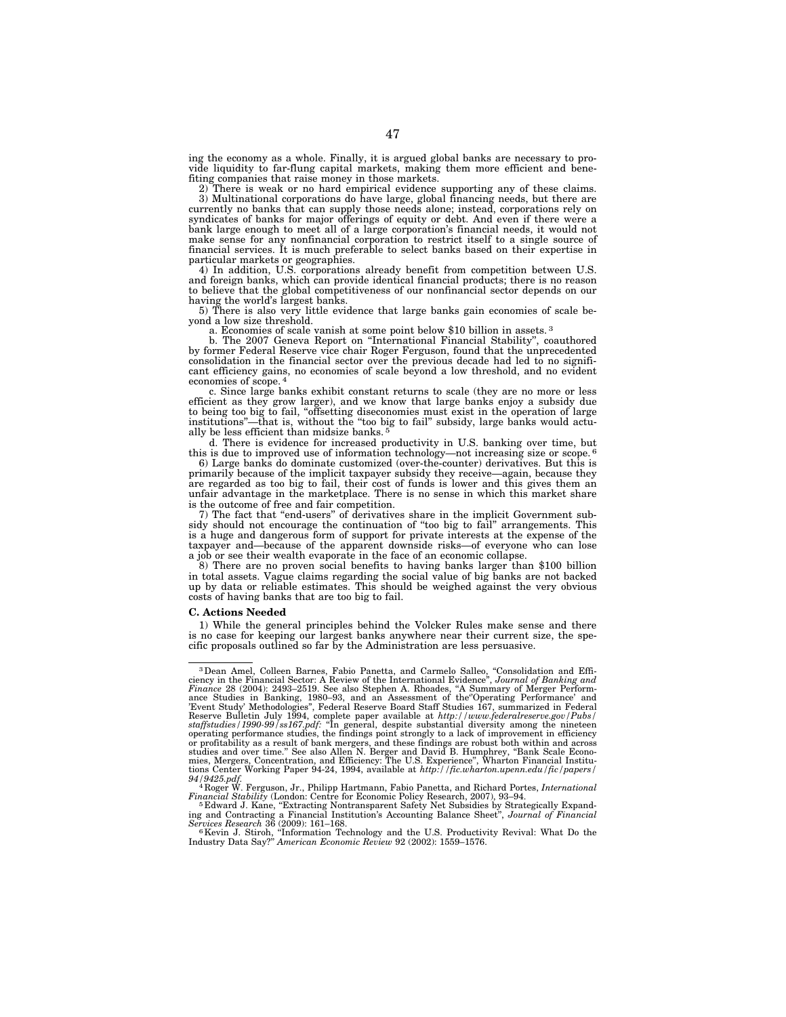ing the economy as a whole. Finally, it is argued global banks are necessary to provide liquidity to far-flung capital markets, making them more efficient and benefiting companies that raise money in those markets.

There is weak or no hard empirical evidence supporting any of these claims. 3) Multinational corporations do have large, global financing needs, but there are currently no banks that can supply those needs alone; instead, corporations rely on syndicates of banks for major offerings of equity or debt. And even if there were a bank large enough to meet all of a large corporation's financial needs, it would not make sense for any nonfinancial corporation to restrict itself to a single source of financial services. It is much preferable to select banks based on their expertise in particular markets or geographies.

4) In addition, U.S. corporations already benefit from competition between U.S. and foreign banks, which can provide identical financial products; there is no reason to believe that the global competitiveness of our nonfinancial sector depends on our having the world's largest banks.

5) There is also very little evidence that large banks gain economies of scale be-

a. Economies of scale vanish at some point below \$10 billion in assets. <sup>3</sup>

b. The 2007 Geneva Report on ''International Financial Stability'', coauthored by former Federal Reserve vice chair Roger Ferguson, found that the unprecedented consolidation in the financial sector over the previous decade had led to no significant efficiency gains, no economies of scale beyond a low threshold, and no evident economies of scope. 4

c. Since large banks exhibit constant returns to scale (they are no more or less efficient as they grow larger), and we know that large banks enjoy a subsidy due to being too big to fail, ''offsetting diseconomies must exist in the operation of large institutions''—that is, without the ''too big to fail'' subsidy, large banks would actually be less efficient than midsize banks. 5

d. There is evidence for increased productivity in U.S. banking over time, but this is due to improved use of information technology—not increasing size or scope. 6

6) Large banks do dominate customized (over-the-counter) derivatives. But this is primarily because of the implicit taxpayer subsidy they receive—again, because they are regarded as too big to fail, their cost of funds is lower and this gives them an unfair advantage in the marketplace. There is no sense in which this market share is the outcome of free and fair competition.

7) The fact that ''end-users'' of derivatives share in the implicit Government subsidy should not encourage the continuation of ''too big to fail'' arrangements. This is a huge and dangerous form of support for private interests at the expense of the taxpayer and—because of the apparent downside risks—of everyone who can lose a job or see their wealth evaporate in the face of an economic collapse.

8) There are no proven social benefits to having banks larger than \$100 billion in total assets. Vague claims regarding the social value of big banks are not backed up by data or reliable estimates. This should be weighed against the very obvious costs of having banks that are too big to fail.

#### **C. Actions Needed**

1) While the general principles behind the Volcker Rules make sense and there is no case for keeping our largest banks anywhere near their current size, the specific proposals outlined so far by the Administration are less persuasive.

<sup>&</sup>lt;sup>3</sup> Dean Amel, Colleen Barnes, Fabio Panetta, and Carmelo Salleo, "Consolidation and Efficiency in the Financial Sector: A Review of the International Evidence", *Journal of Banking and Finance* 28 (2004): 2493–2519. See or profitability as a result of bank mergers, and these findings are robust both within and across<br>studies and over time." See also Allen N. Berger and David B. Humphrey, "Bank Scale Econo-<br>mies, Mergers, Concentration, an *94/9425.pdf.* <sup>4</sup> Roger W. Ferguson, Jr., Philipp Hartmann, Fabio Panetta, and Richard Portes, *International* 

Financial Stability (London: Centre for Economic Policy Research, 2007), 93–94.<br><sup>5</sup> Edward J. Kane, "Extracting Nontransparent Safety Net Subsidies by Strategically Expanding and Contracting a Financial Institution's Acco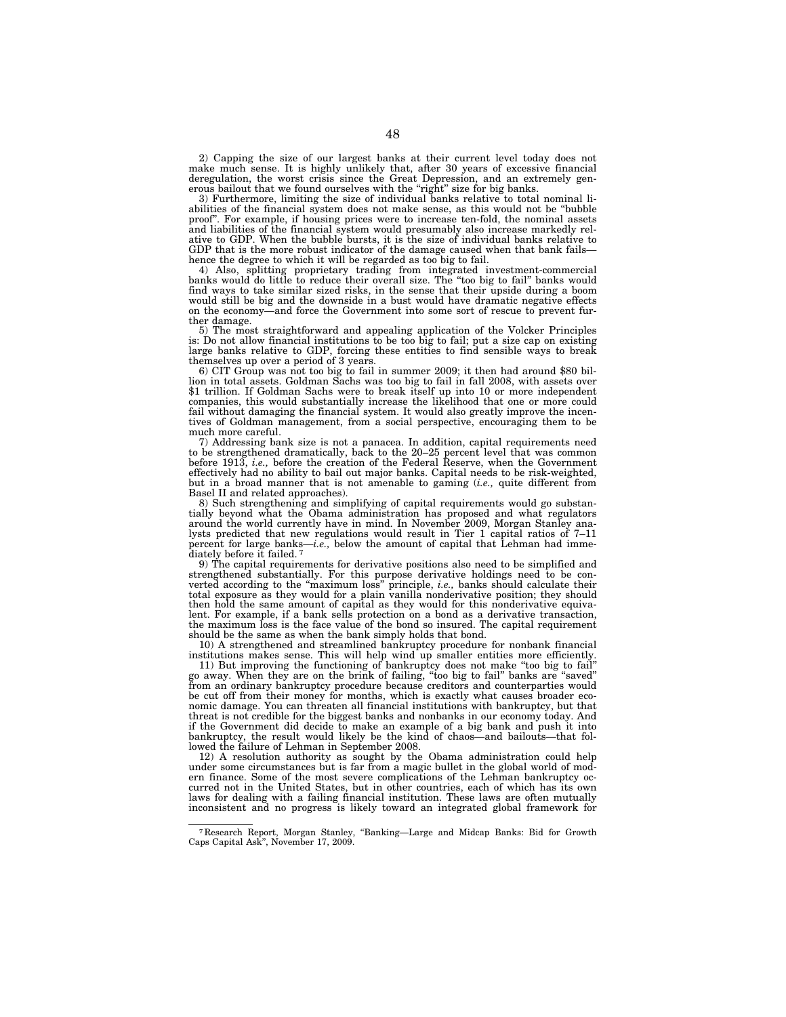2) Capping the size of our largest banks at their current level today does not make much sense. It is highly unlikely that, after 30 years of excessive financial deregulation, the worst crisis since the Great Depression, and an extremely generous bailout that we found ourselves with the "right" size for big banks.

3) Furthermore, limiting the size of individual banks relative to total nominal liabilities of the financial system does not make sense, as this would not be ''bubble proof''. For example, if housing prices were to increase ten-fold, the nominal assets and liabilities of the financial system would presumably also increase markedly relative to GDP. When the bubble bursts, it is the size of individual banks relative to GDP that is the more robust indicator of the damage caused when that bank fails hence the degree to which it will be regarded as too big to fail.

4) Also, splitting proprietary trading from integrated investment-commercial banks would do little to reduce their overall size. The ''too big to fail'' banks would find ways to take similar sized risks, in the sense that their upside during a boom would still be big and the downside in a bust would have dramatic negative effects on the economy—and force the Government into some sort of rescue to prevent further damage.

5) The most straightforward and appealing application of the Volcker Principles is: Do not allow financial institutions to be too big to fail; put a size cap on existing large banks relative to GDP, forcing these entities to find sensible ways to break themselves up over a period of 3 years. 6) CIT Group was not too big to fail in summer 2009; it then had around \$80 bil-

lion in total assets. Goldman Sachs was too big to fail in fall 2008, with assets over \$1 trillion. If Goldman Sachs were to break itself up into 10 or more independent companies, this would substantially increase the likelihood that one or more could fail without damaging the financial system. It would also greatly improve the incentives of Goldman management, from a social perspective, encouraging them to be much more careful.

7) Addressing bank size is not a panacea. In addition, capital requirements need to be strengthened dramatically, back to the 20–25 percent level that was common before 1913, *i.e.,* before the creation of the Federal Reserve, when the Government effectively had no ability to bail out major banks. Capital needs to be risk-weighted, but in a broad manner that is not amenable to gaming (*i.e.,* quite different from Basel II and related approaches).

8) Such strengthening and simplifying of capital requirements would go substan-tially beyond what the Obama administration has proposed and what regulators around the world currently have in mind. In November 2009, Morgan Stanley analysts predicted that new regulations would result in Tier 1 capital ratios of 7–11 percent for large banks—*i.e.,* below the amount of capital that Lehman had immediately before it failed.<sup>7</sup>

9) The capital requirements for derivative positions also need to be simplified and strengthened substantially. For this purpose derivative holdings need to be converted according to the ''maximum loss'' principle, *i.e.,* banks should calculate their total exposure as they would for a plain vanilla nonderivative position; they should then hold the same amount of capital as they would for this nonderivative equivalent. For example, if a bank sells protection on a bond as a derivative transaction, the maximum loss is the face value of the bond so insured. The capital requirement should be the same as when the bank simply holds that bond.

10) A strengthened and streamlined bankruptcy procedure for nonbank financial institutions makes sense. This will help wind up smaller entities more efficiently.

11) But improving the functioning of bankruptcy does not make ''too big to fail'' go away. When they are on the brink of failing, ''too big to fail'' banks are ''saved'' from an ordinary bankruptcy procedure because creditors and counterparties would be cut off from their money for months, which is exactly what causes broader economic damage. You can threaten all financial institutions with bankruptcy, but that threat is not credible for the biggest banks and nonbanks in our economy today. And if the Government did decide to make an example of a big bank and push it into bankruptcy, the result would likely be the kind of chaos—and bailouts—that followed the failure of Lehman in September 2008.

12) A resolution authority as sought by the Obama administration could help under some circumstances but is far from a magic bullet in the global world of modern finance. Some of the most severe complications of the Lehman bankruptcy occurred not in the United States, but in other countries, each of which has its own laws for dealing with a failing financial institution. These laws are often mutually inconsistent and no progress is likely toward an integrated global framework for

<sup>7</sup> Research Report, Morgan Stanley, ''Banking—Large and Midcap Banks: Bid for Growth Caps Capital Ask'', November 17, 2009.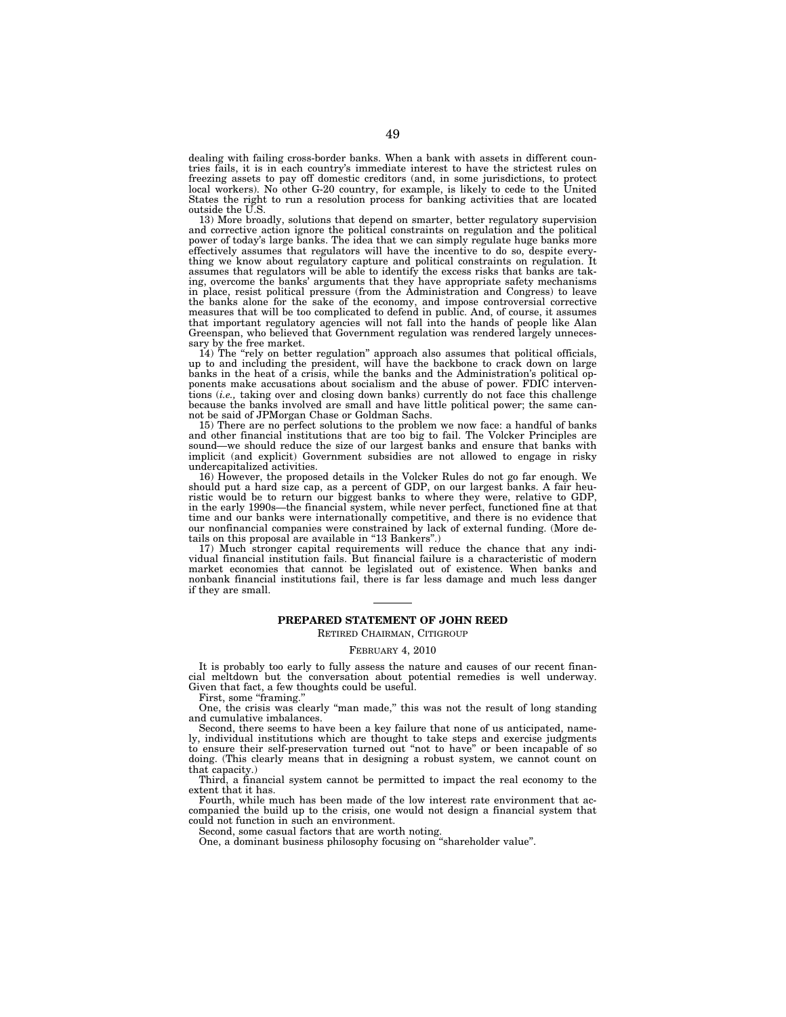dealing with failing cross-border banks. When a bank with assets in different countries fails, it is in each country's immediate interest to have the strictest rules on freezing assets to pay off domestic creditors (and, in some jurisdictions, to protect local workers). No other G-20 country, for example, is likely to cede to the United States the right to run a resolution process for banking activities that are located outside the U.S.

13) More broadly, solutions that depend on smarter, better regulatory supervision and corrective action ignore the political constraints on regulation and the political power of today's large banks. The idea that we can simply regulate huge banks more effectively assumes that regulators will have the incentive to do so, despite everything we know about regulatory capture and political constraints on regulation. It assumes that regulators will be able to identify the excess risks that banks are taking, overcome the banks' arguments that they have appropriate safety mechanisms in place, resist political pressure (from the Administration and Congress) to leave the banks alone for the sake of the economy, and impose controversial corrective measures that will be too complicated to defend in public. And, of course, it assumes that important regulatory agencies will not fall into the hands of people like Alan Greenspan, who believed that Government regulation was rendered largely unnecessary by the free market.

14) The ''rely on better regulation'' approach also assumes that political officials, up to and including the president, will have the backbone to crack down on large banks in the heat of a crisis, while the banks and the Administration's political opponents make accusations about socialism and the abuse of power. FDIC interventions (*i.e.,* taking over and closing down banks) currently do not face this challenge because the banks involved are small and have little political power; the same cannot be said of JPMorgan Chase or Goldman Sachs.

15) There are no perfect solutions to the problem we now face: a handful of banks and other financial institutions that are too big to fail. The Volcker Principles are sound—we should reduce the size of our largest banks and ensure that banks with implicit (and explicit) Government subsidies are not allowed to engage in risky undercapitalized activities.

16) However, the proposed details in the Volcker Rules do not go far enough. We should put a hard size cap, as a percent of GDP, on our largest banks. A fair heuristic would be to return our biggest banks to where they were, relative to GDP, in the early 1990s—the financial system, while never perfect, functioned fine at that time and our banks were internationally competitive, and there is no evidence that our nonfinancial companies were constrained by lack of external funding. (More details on this proposal are available in "13 Bankers".)

17) Much stronger capital requirements will reduce the chance that any individual financial institution fails. But financial failure is a characteristic of modern market economies that cannot be legislated out of existence. When banks and nonbank financial institutions fail, there is far less damage and much less danger if they are small.

# **PREPARED STATEMENT OF JOHN REED**

### RETIRED CHAIRMAN, CITIGROUP

#### FEBRUARY 4, 2010

It is probably too early to fully assess the nature and causes of our recent financial meltdown but the conversation about potential remedies is well underway. Given that fact, a few thoughts could be useful.

First, some "framing."

One, the crisis was clearly ''man made,'' this was not the result of long standing and cumulative imbalances.

Second, there seems to have been a key failure that none of us anticipated, namely, individual institutions which are thought to take steps and exercise judgments to ensure their self-preservation turned out ''not to have'' or been incapable of so doing. (This clearly means that in designing a robust system, we cannot count on that capacity.)

Third, a financial system cannot be permitted to impact the real economy to the extent that it has.

Fourth, while much has been made of the low interest rate environment that accompanied the build up to the crisis, one would not design a financial system that could not function in such an environment.

Second, some casual factors that are worth noting.

One, a dominant business philosophy focusing on ''shareholder value''.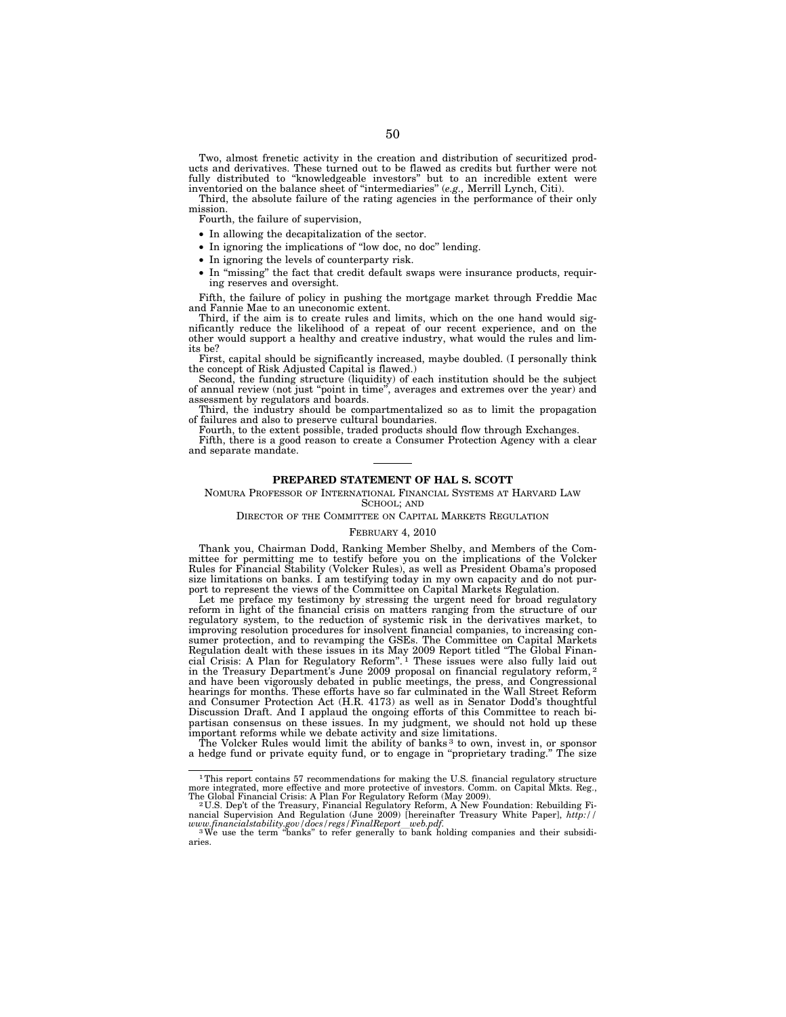Two, almost frenetic activity in the creation and distribution of securitized products and derivatives. These turned out to be flawed as credits but further were not fully distributed to ''knowledgeable investors'' but to an incredible extent were inventoried on the balance sheet of ''intermediaries'' (*e.g.,* Merrill Lynch, Citi).

Third, the absolute failure of the rating agencies in the performance of their only mission.

Fourth, the failure of supervision,

- In allowing the decapitalization of the sector.
- In ignoring the implications of ''low doc, no doc'' lending.
- In ignoring the levels of counterparty risk.
- In ''missing'' the fact that credit default swaps were insurance products, requiring reserves and oversight.

Fifth, the failure of policy in pushing the mortgage market through Freddie Mac and Fannie Mae to an uneconomic extent.

Third, if the aim is to create rules and limits, which on the one hand would significantly reduce the likelihood of a repeat of our recent experience, and on the other would support a healthy and creative industry, what would the rules and limits be?

First, capital should be significantly increased, maybe doubled. (I personally think the concept of Risk Adjusted Capital is flawed.)

Second, the funding structure (liquidity) of each institution should be the subject of annual review (not just ''point in time'', averages and extremes over the year) and assessment by regulators and boards.

Third, the industry should be compartmentalized so as to limit the propagation of failures and also to preserve cultural boundaries.

Fourth, to the extent possible, traded products should flow through Exchanges. Fifth, there is a good reason to create a Consumer Protection Agency with a clear and separate mandate.

#### **PREPARED STATEMENT OF HAL S. SCOTT**

NOMURA PROFESSOR OF INTERNATIONAL FINANCIAL SYSTEMS AT HARVARD LAW SCHOOL; AND

DIRECTOR OF THE COMMITTEE ON CAPITAL MARKETS REGULATION

#### FEBRUARY 4, 2010

Thank you, Chairman Dodd, Ranking Member Shelby, and Members of the Com-mittee for permitting me to testify before you on the implications of the Volcker Rules for Financial Stability (Volcker Rules), as well as President Obama's proposed size limitations on banks. I am testifying today in my own capacity and do not purport to represent the views of the Committee on Capital Markets Regulation.

Let me preface my testimony by stressing the urgent need for broad regulatory reform in light of the financial crisis on matters ranging from the structure of our regulatory system, to the reduction of systemic risk in the derivatives market, to improving resolution procedures for insolvent financial companies, to increasing consumer protection, and to revamping the GSEs. The Committee on Capital Markets Regulation dealt with these issues in its May 2009 Report titled ''The Global Finan-cial Crisis: A Plan for Regulatory Reform''. 1 These issues were also fully laid out in the Treasury Department's June 2009 proposal on financial regulatory reform, 2 and have been vigorously debated in public meetings, the press, and Congressional hearings for months. These efforts have so far culminated in the Wall Street Reform and Consumer Protection Act (H.R. 4173) as well as in Senator Dodd's thoughtful Discussion Draft. And I applaud the ongoing efforts of this Committee to reach bipartisan consensus on these issues. In my judgment, we should not hold up these important reforms while we debate activity and size limitations. The Volcker Rules would limit the ability of banks 3 to own, invest in, or sponsor

a hedge fund or private equity fund, or to engage in ''proprietary trading.'' The size

<sup>&</sup>lt;sup>1</sup>This report contains 57 recommendations for making the U.S. financial regulatory structure more integrated, more effective and more protective of investors. Comm. on Capital Mkts. Reg., The Global Financial Crisis: A Plan For Regulatory Reform (May 2009).

The Global Financial Crisis: A Plan For Regulatory Reform (May 2009).<br><sup>2</sup>U.S. Dep't of the Treasury, Financial Regulatory Reform, A New Foundation: Rebuilding Financial Supervision And Regulation (June 2009) [hereinafter

aries.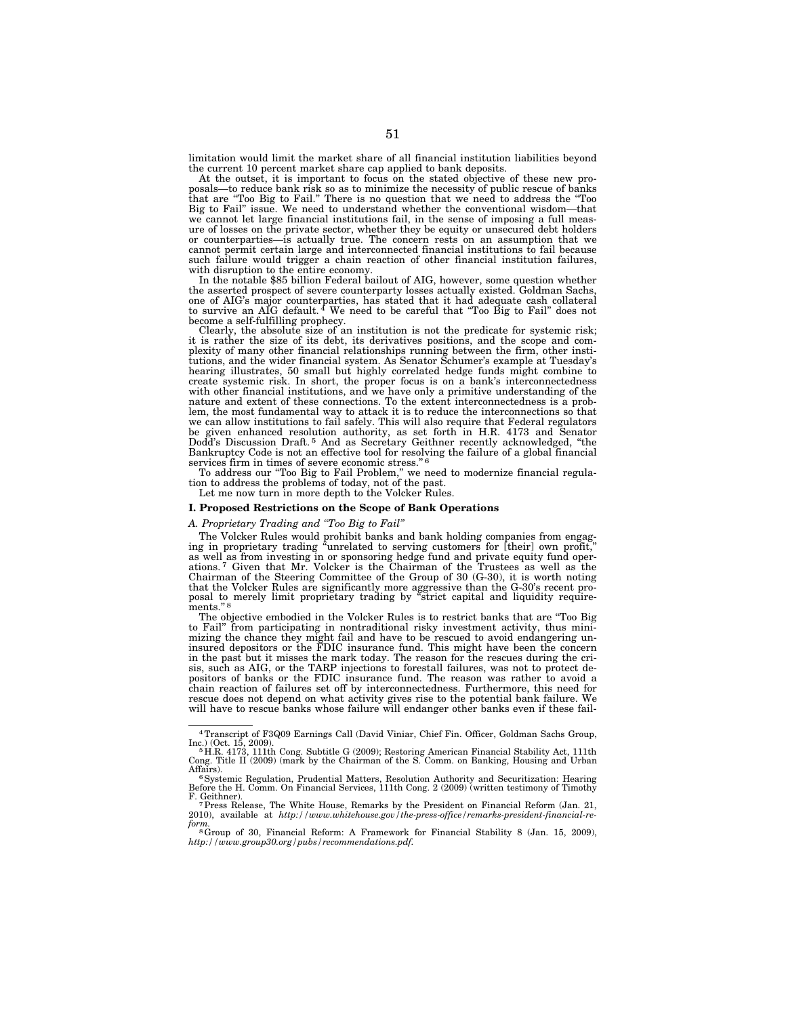limitation would limit the market share of all financial institution liabilities beyond the current 10 percent market share cap applied to bank deposits.

At the outset, it is important to focus on the stated objective of these new proposals—to reduce bank risk so as to minimize the necessity of public rescue of banks that are ''Too Big to Fail.'' There is no question that we need to address the ''Too Big to Fail'' issue. We need to understand whether the conventional wisdom—that we cannot let large financial institutions fail, in the sense of imposing a full measure of losses on the private sector, whether they be equity or unsecured debt holders or counterparties—is actually true. The concern rests on an assumption that we cannot permit certain large and interconnected financial institutions to fail because such failure would trigger a chain reaction of other financial institution failures, with disruption to the entire economy.

In the notable \$85 billion Federal bailout of AIG, however, some question whether the asserted prospect of severe counterparty losses actually existed. Goldman Sachs, one of AIG's major counterparties, has stated that it had adequate cash collateral to survive an AIG default. 4 We need to be careful that ''Too Big to Fail'' does not become a self-fulfilling prophecy.

Clearly, the absolute size of an institution is not the predicate for systemic risk; it is rather the size of its debt, its derivatives positions, and the scope and complexity of many other financial relationships running between the firm, other institutions, and the wider financial system. As Senator Schumer's example at Tuesday's hearing illustrates, 50 small but highly correlated hedge funds might combine to create systemic risk. In short, the proper focus is on a bank's interconnectedness with other financial institutions, and we have only a primitive understanding of the nature and extent of these connections. To the extent interconnectedness is a problem, the most fundamental way to attack it is to reduce the interconnections so that we can allow institutions to fail safely. This will also require that Federal regulators be given enhanced resolution authority, as set forth in H.R. 4173 and Senator Dodd's Discussion Draft. 5 And as Secretary Geithner recently acknowledged, ''the Bankruptcy Code is not an effective tool for resolving the failure of a global financial services firm in times of severe economic stress."<sup>6</sup>

To address our ''Too Big to Fail Problem,'' we need to modernize financial regula-tion to address the problems of today, not of the past.

Let me now turn in more depth to the Volcker Rules.

# **I. Proposed Restrictions on the Scope of Bank Operations**

# *A. Proprietary Trading and ''Too Big to Fail''*

The Volcker Rules would prohibit banks and bank holding companies from engag-ing in proprietary trading ''unrelated to serving customers for [their] own profit,'' as well as from investing in or sponsoring hedge fund and private equity fund oper-ations. 7 Given that Mr. Volcker is the Chairman of the Trustees as well as the Chairman of the Steering Committee of the Group of 30 (G-30), it is worth noting<br>that the Volcker Rules are significantly more aggressive than the G-30's recent pro-<br>posal to merely limit proprietary trading by "strict cap ments.

The objective embodied in the Volcker Rules is to restrict banks that are ''Too Big to Fail'' from participating in nontraditional risky investment activity, thus minimizing the chance they might fail and have to be rescued to avoid endangering un-insured depositors or the FDIC insurance fund. This might have been the concern in the past but it misses the mark today. The reason for the rescues during the cri-sis, such as AIG, or the TARP injections to forestall failures, was not to protect depositors of banks or the FDIC insurance fund. The reason was rather to avoid a chain reaction of failures set off by interconnectedness. Furthermore, this need for rescue does not depend on what activity gives rise to the potential bank failure. We will have to rescue banks whose failure will endanger other banks even if these fail-

<sup>4</sup>Transcript of F3Q09 Earnings Call (David Viniar, Chief Fin. Officer, Goldman Sachs Group,

Inc.) (Oct. 15, 2009).<br>「H.R. 4173, 111th Cong. Subtitle G (2009); Restoring American Financial Stability Act, 111th<br>Cong. Title II (2009) (mark by the Chairman of the S. Comm. on Banking, Housing and Urban

Affairs).<br>" Systemic Regulation, Prudential Matters, Resolution Authority and Securitization: Hearing<br>Before the H. Comm. On Financial Services, 111th Cong. 2 (2009) (written testimony of Timothy

F. Geithner).<br><sup>7</sup> Tress Release, The White House, Remarks by the President on Financial Reform (Jan. 21,<br>2010), available at *http://www.whitehouse.gov/the-press-office/remarks-president-financial-re-*

*form.* 8Group of 30, Financial Reform: A Framework for Financial Stability 8 (Jan. 15, 2009), *http://www.group30.org/pubs/recommendations.pdf.*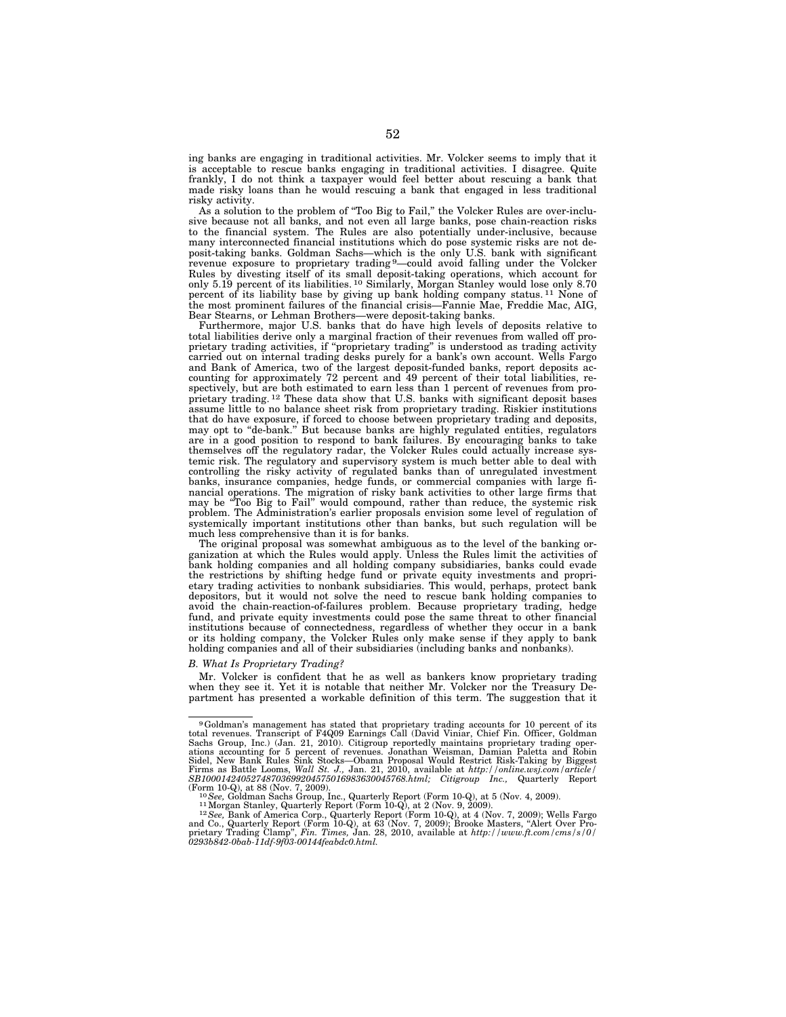ing banks are engaging in traditional activities. Mr. Volcker seems to imply that it is acceptable to rescue banks engaging in traditional activities. I disagree. Quite frankly, I do not think a taxpayer would feel better about rescuing a bank that made risky loans than he would rescuing a bank that engaged in less traditional risky activity.

As a solution to the problem of ''Too Big to Fail,'' the Volcker Rules are over-inclusive because not all banks, and not even all large banks, pose chain-reaction risks to the financial system. The Rules are also potentially under-inclusive, because many interconnected financial institutions which do pose systemic risks are not deposit-taking banks. Goldman Sachs—which is the only U.S. bank with significant revenue exposure to proprietary trading 9—could avoid falling under the Volcker Rules by divesting itself of its small deposit-taking operations, which account for only 5.19 percent of its liabilities. 10 Similarly, Morgan Stanley would lose only 8.70 percent of its liability base by giving up bank holding company status. 11 None of the most prominent failures of the financial crisis—Fannie Mae, Freddie Mac, AIG, Bear Stearns, or Lehman Brothers—were deposit-taking banks.

Furthermore, major U.S. banks that do have high levels of deposits relative to total liabilities derive only a marginal fraction of their revenues from walled off proprietary trading activities, if ''proprietary trading'' is understood as trading activity carried out on internal trading desks purely for a bank's own account. Wells Fargo and Bank of America, two of the largest deposit-funded banks, report deposits accounting for approximately 72 percent and 49 percent of their total liabilities, respectively, but are both estimated to earn less than 1 percent of revenues from proprietary trading. 12 These data show that U.S. banks with significant deposit bases assume little to no balance sheet risk from proprietary trading. Riskier institutions that do have exposure, if forced to choose between proprietary trading and deposits, may opt to ''de-bank.'' But because banks are highly regulated entities, regulators are in a good position to respond to bank failures. By encouraging banks to take themselves off the regulatory radar, the Volcker Rules could actually increase systemic risk. The regulatory and supervisory system is much better able to deal with controlling the risky activity of regulated banks than of unregulated investment banks, insurance companies, hedge funds, or commercial companies with large financial operations. The migration of risky bank activities to other large firms that may be ''Too Big to Fail'' would compound, rather than reduce, the systemic risk problem. The Administration's earlier proposals envision some level of regulation of systemically important institutions other than banks, but such regulation will be much less comprehensive than it is for banks.

The original proposal was somewhat ambiguous as to the level of the banking organization at which the Rules would apply. Unless the Rules limit the activities of bank holding companies and all holding company subsidiaries, banks could evade the restrictions by shifting hedge fund or private equity investments and proprietary trading activities to nonbank subsidiaries. This would, perhaps, protect bank depositors, but it would not solve the need to rescue bank holding companies to avoid the chain-reaction-of-failures problem. Because proprietary trading, hedge fund, and private equity investments could pose the same threat to other financial institutions because of connectedness, regardless of whether they occur in a bank or its holding company, the Volcker Rules only make sense if they apply to bank holding companies and all of their subsidiaries (including banks and nonbanks).

#### *B. What Is Proprietary Trading?*

Mr. Volcker is confident that he as well as bankers know proprietary trading when they see it. Yet it is notable that neither Mr. Volcker nor the Treasury Department has presented a workable definition of this term. The suggestion that it

<sup>&</sup>lt;sup>9</sup>Goldman's management has stated that proprietary trading accounts for 10 percent of its total revenues. Transcript of F4Q09 Earnings Call (David Viniar, Chief Fin. Officer, Goldman Scalis Sachs Group, Inc.) (Jan. 21, 2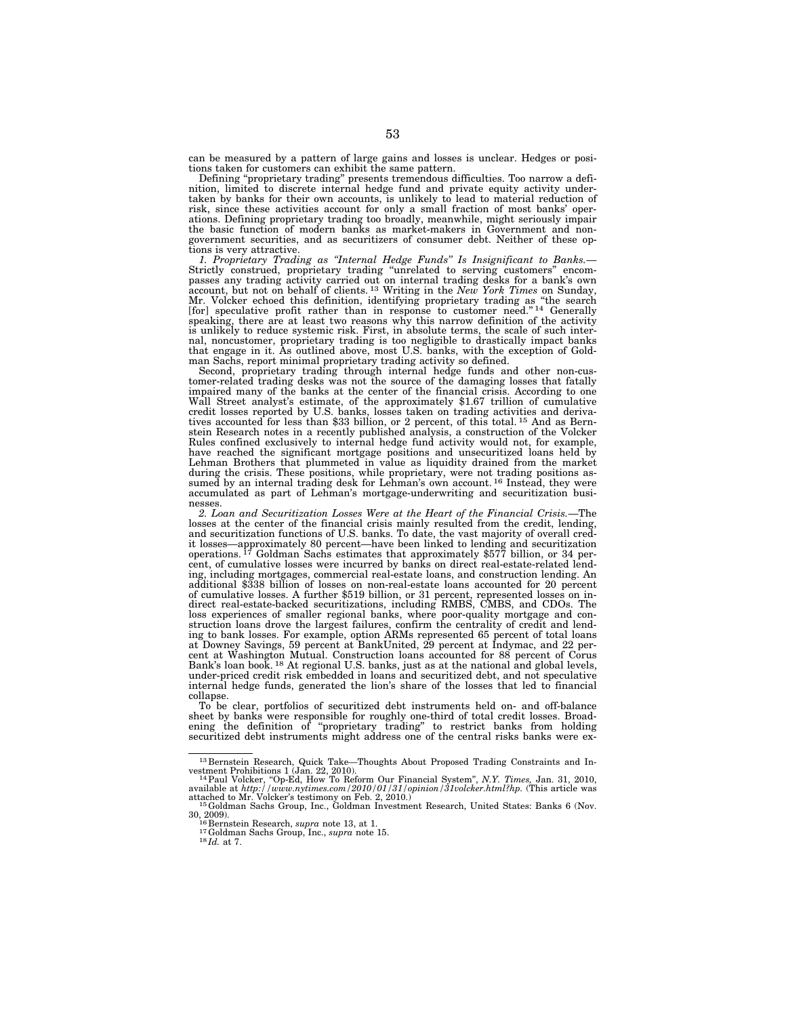can be measured by a pattern of large gains and losses is unclear. Hedges or positions taken for customers can exhibit the same pattern.

Defining ''proprietary trading'' presents tremendous difficulties. Too narrow a definition, limited to discrete internal hedge fund and private equity activity undertaken by banks for their own accounts, is unlikely to lead to material reduction of risk, since these activities account for only a small fraction of most banks' operations. Defining proprietary trading too broadly, meanwhile, might seriously impair the basic function of modern banks as market-makers in Government and nongovernment securities, and as securitizers of consumer debt. Neither of these options is very attractive.

*1. Proprietary Trading as ''Internal Hedge Funds'' Is Insignificant to Banks.*— Strictly construed, proprietary trading ''unrelated to serving customers'' encompasses any trading activity carried out on internal trading desks for a bank's own account, but not on behalf of clients. 13 Writing in the *New York Times* on Sunday, Mr. Volcker echoed this definition, identifying proprietary trading as "the search [for] speculative profit rather than in response to customer need."<sup>14</sup> Generally speaking, there are at least two reasons why this narrow definition of the activity is unlikely to reduce systemic risk. First, in absolute terms, the scale of such internal, noncustomer, proprietary trading is too negligible to drastically impact banks that engage in it. As outlined above, most U.S. banks, with the exception of Goldman Sachs, report minimal proprietary trading activity so defined.

Second, proprietary trading through internal hedge funds and other non-customer-related trading desks was not the source of the damaging losses that fatally impaired many of the banks at the center of the financial crisis. According to one Wall Street analyst's estimate, of the approximately \$1.67 trillion of cumulative credit losses reported by U.S. banks, losses taken on trading activities and derivatives accounted for less than \$33 billion, or 2 percent, of this total. 15 And as Bernstein Research notes in a recently published analysis, a construction of the Volcker Rules confined exclusively to internal hedge fund activity would not, for example, have reached the significant mortgage positions and unsecuritized loans held by Lehman Brothers that plummeted in value as liquidity drained from the market during the crisis. These positions, while proprietary, were not trading positions assumed by an internal trading desk for Lehman's own account. <sup>16</sup> Instead, they were accumulated as part of Lehman's mortgage-underwriting and securitization busi-

nesses. *2. Loan and Securitization Losses Were at the Heart of the Financial Crisis.*—The losses at the center of the financial crisis mainly resulted from the credit, lending, and securitization functions of U.S. banks. To date, the vast majority of overall credit losses—approximately 80 percent—have been linked to lending and securitization operations. 17 Goldman Sachs estimates that approximately \$577 billion, or 34 percent, of cumulative losses were incurred by banks on direct real-estate-related lending, including mortgages, commercial real-estate loans, and construction lending. An additional \$338 billion of losses on non-real-estate loans accounted for 20 percent of cumulative losses. A further \$519 billion, or 31 percent, represented losses on in-direct real-estate-backed securitizations, including RMBS, CMBS, and CDOs. The loss experiences of smaller regional banks, where poor-quality mortgage and construction loans drove the largest failures, confirm the centrality of credit and lend-ing to bank losses. For example, option ARMs represented 65 percent of total loans at Downey Savings, 59 percent at BankUnited, 29 percent at Indymac, and 22 per-cent at Washington Mutual. Construction loans accounted for 88 percent of Corus Bank's loan book. <sup>18</sup> At regional U.S. banks, just as at the national and global levels, under-priced credit risk embedded in loans and securitized debt, and not speculative internal hedge funds, generated the lion's share of the losses that led to financial collapse.

To be clear, portfolios of securitized debt instruments held on- and off-balance sheet by banks were responsible for roughly one-third of total credit losses. Broadening the definition of ''proprietary trading'' to restrict banks from holding securitized debt instruments might address one of the central risks banks were ex-

 $^{13}$  Bernstein Research, Quick Take—Thoughts About Proposed Trading Constraints and Investment Prohibitions 1 (Jan. 22, 2010).

vestment Prohibitions 1 (Jan. 22, 2010).<br><sup>14</sup> Paul Volcker, "Op-Ed, How To Reform Our Financial System", *N.Y. Times*, Jan. 31, 2010,<br>available at *http://www.nytimes.com/2010/01/31/opinion/31volcker.html?hp*. (This articl

 $^{15}$ Goldman Sachs Group, Inc., Goldman Investment Research, United States: Banks 6 (Nov. 30, 2009).

<sup>30, 2009). 16</sup> Bernstein Research, *supra* note 13, at 1. 17Goldman Sachs Group, Inc., *supra* note 15. 18 *Id.* at 7.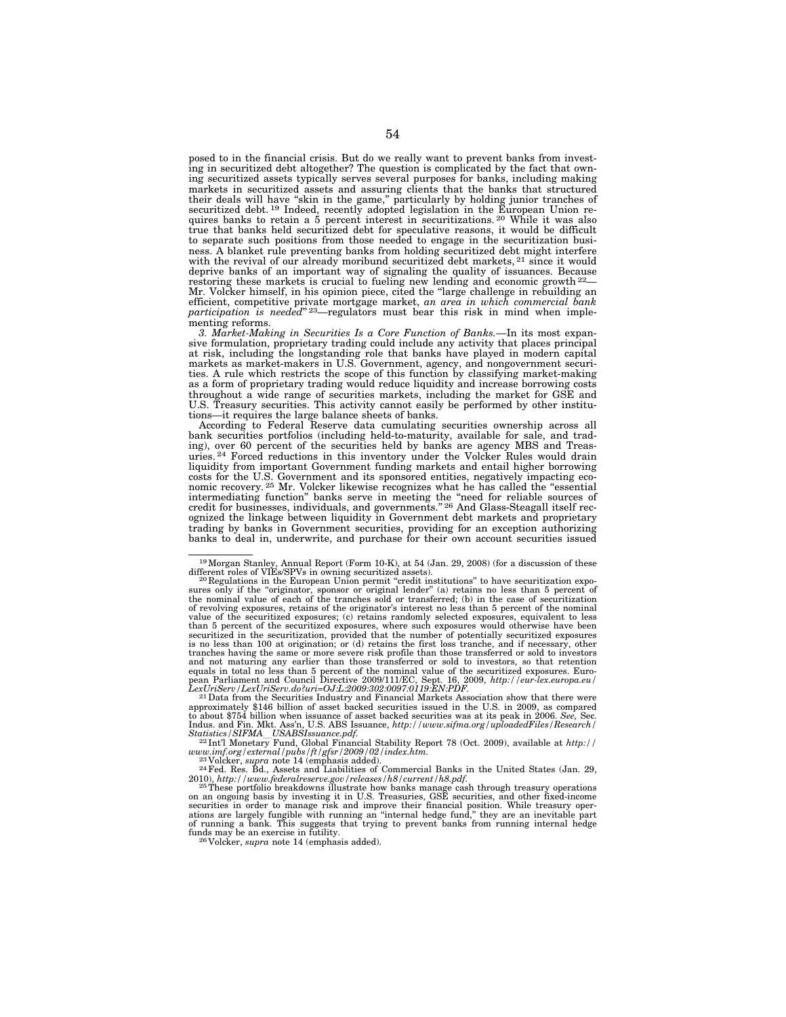posed to in the financial crisis. But do we really want to prevent banks from investing in securitized debt altogether? The question is complicated by the fact that owning securitized assets typically serves several purposes for banks, including making markets in securitized assets and assuring clients that the banks that structured their deals will have "skin in the game," particularly by holding junior tranches of securitized debt.<sup>19</sup> Indeed, recently adopted legislation in the European Union requires banks to retain a 5 percent interest in securitizations. 20 While it was also true that banks held securitized debt for speculative reasons, it would be difficult to separate such positions from those needed to engage in the securitization business. A blanket rule preventing banks from holding securitized debt might interfere with the revival of our already moribund securitized debt markets, <sup>21</sup> since it would deprive banks of an important way of signaling the quality of issuances. Because restoring these markets is crucial to fueling new lending and economic growth <sup>22</sup>-Mr. Volcker himself, in his opinion piece, cited the ''large challenge in rebuilding an efficient, competitive private mortgage market, *an area in which commercial bank participation is needed*" 23—regulators must bear this risk in mind when implementing reforms.

*3. Market-Making in Securities Is a Core Function of Banks.*—In its most expansive formulation, proprietary trading could include any activity that places principal at risk, including the longstanding role that banks have played in modern capital markets as market-makers in U.S. Government, agency, and nongovernment securities. A rule which restricts the scope of this function by classifying market-making as a form of proprietary trading would reduce liquidity and increase borrowing costs throughout a wide range of securities markets, including the market for GSE and U.S. Treasury securities. This activity cannot easily be performed by other institutions—it requires the large balance sheets of banks.

According to Federal Reserve data cumulating securities ownership across all bank securities portfolios (including held-to-maturity, available for sale, and trading), over 60 percent of the securities held by banks are agency MBS and Treas-uries. 24 Forced reductions in this inventory under the Volcker Rules would drain liquidity from important Government funding markets and entail higher borrowing costs for the U.S. Government and its sponsored entities, negatively impacting eco-<br>nomic recovery.<sup>25</sup> Mr. Volcker likewise recognizes what he has called the "essential intermediating function" banks serve in meeting the "need for reliable sources of credit for businesses, individuals, and governments." 26 And Glass-Steagall itself recognized the linkage between liquidity in Government debt markets and proprietary trading by banks in Government securities, providing for an exception authorizing banks to deal in, underwrite, and purchase for their own account securities issued

 $^{21}$ Data from the Securities Industry and Financial Markets Association show that there were approximately \$146 billion of asset backed securities issued in the U.S. in 2009, as compared to about \$754 billion when issuance of asset backed securities was at its peak in 2006. See, Sec.<br>Indus. and Fin. Mkt. Ass'n, U.S. ABS Issuance, http://www.sifma.org/uploadedFiles/Research/<br>Statistics/SIFMA\_USABSIssuance.p

*www.imf.org/external/pubs/ft/gfsr/2009/02/index.htm.*<br><sup>23</sup> Volcker, *supra* note 14 (emphasis added). <sup>24</sup>Fed. Res. Bd., Assets and Liabilities of Commercial Banks in the United States (Jan. 29,

2010), http://www.federalreserve.gov/releases/h8/current/h8.pdf.<br><sup>25</sup>These portfolio breakdowns illustrate how banks manage cash through treasury operations<br>on an ongoing basis by investing it in U.S. Treasuries, GSE secu funds may be an exercise in futility. 26 Volcker, *supra* note 14 (emphasis added).

<sup>&</sup>lt;sup>19</sup>Morgan Stanley, Annual Report (Form 10-K), at 54 (Jan. 29, 2008) (for a discussion of these different roles of VIEs/SPVs in owning securitized assets).<br><sup>20</sup> Regulations in the European Union permit "credit institution of revolving exposures, retains of the originator's interest no less than 5 percent of the nominal<br>value of the securitized exposures; (c) retains randomly selected exposures, equivalent to less<br>than 5 percent of the secur securitized in the securitization, provided that the number of potentially securitized exposures is no less than 100 at origination; or (d) retains the first loss tranche, and if necessary, other tranches having the same or more severe risk profile than those transferred or sold to investors and not maturing any earlier than those transferred or sold to investors, so that retention<br>equals in total no less than 5 percent of the nominal value of the securitized exposures. Euro-<br>pean Parliament and Council Direct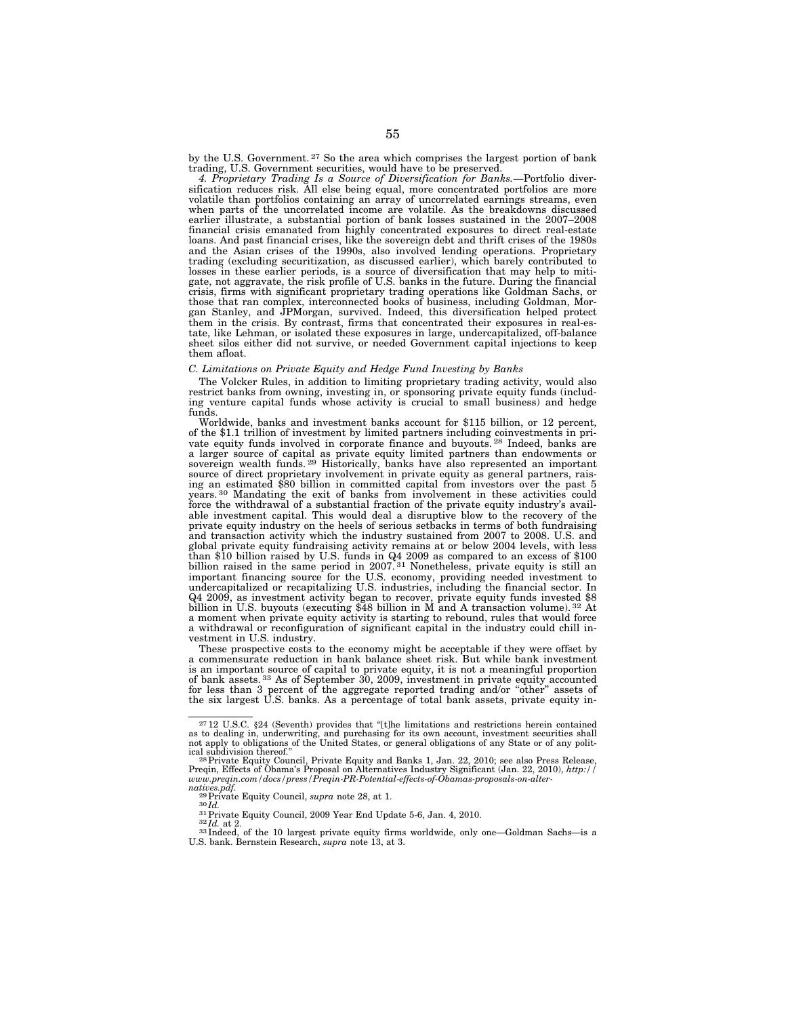by the U.S. Government.<sup>27</sup> So the area which comprises the largest portion of bank trading, U.S. Government securities, would have to be preserved.

*4. Proprietary Trading Is a Source of Diversification for Banks.*—Portfolio diversification reduces risk. All else being equal, more concentrated portfolios are more volatile than portfolios containing an array of uncorrelated earnings streams, even when parts of the uncorrelated income are volatile. As the breakdowns discussed earlier illustrate, a substantial portion of bank losses sustained in the 2007–2008 financial crisis emanated from highly concentrated exposures to direct real-estate loans. And past financial crises, like the sovereign debt and thrift crises of the 1980s and the Asian crises of the 1990s, also involved lending operations. Proprietary trading (excluding securitization, as discussed earlier), which barely contributed to losses in these earlier periods, is a source of diversification that may help to mitigate, not aggravate, the risk profile of U.S. banks in the future. During the financial crisis, firms with significant proprietary trading operations like Goldman Sachs, or those that ran complex, interconnected books of business, including Goldman, Morgan Stanley, and JPMorgan, survived. Indeed, this diversification helped protect them in the crisis. By contrast, firms that concentrated their exposures in real-estate, like Lehman, or isolated these exposures in large, undercapitalized, off-balance sheet silos either did not survive, or needed Government capital injections to keep them afloat.

#### *C. Limitations on Private Equity and Hedge Fund Investing by Banks*

The Volcker Rules, in addition to limiting proprietary trading activity, would also restrict banks from owning, investing in, or sponsoring private equity funds (including venture capital funds whose activity is crucial to small business) and hedge funds.

Worldwide, banks and investment banks account for \$115 billion, or 12 percent, of the \$1.1 trillion of investment by limited partners including coinvestments in private equity funds involved in corporate finance and buyouts.<sup>28</sup> Indeed, banks are a larger source of capital as private equity limited partners than endowments or sovereign wealth funds. 29 Historically, banks have also represented an important source of direct proprietary involvement in private equity as general partners, raising an estimated \$80 billion in committed capital from investors over the past 5 years. 30 Mandating the exit of banks from involvement in these activities could force the withdrawal of a substantial fraction of the private equity industry's available investment capital. This would deal a disruptive blow to the recovery of the private equity industry on the heels of serious setbacks in terms of both fundraising and transaction activity which the industry sustained from 2007 to 2008. U.S. and global private equity fundraising activity remains at or below 2004 levels, with less than \$10 billion raised by U.S. funds in Q4 2009 as compared to an excess of \$100 billion raised in the same period in 2007. 31 Nonetheless, private equity is still an important financing source for the U.S. economy, providing needed investment to undercapitalized or recapitalizing U.S. industries, including the financial sector. In Q4 2009, as investment activity began to recover, private equity funds invested \$8 billion in U.S. buyouts (executing \$48 billion in M and A transaction volume). 32 At a moment when private equity activity is starting to rebound, rules that would force a withdrawal or reconfiguration of significant capital in the industry could chill investment in U.S. industry.

These prospective costs to the economy might be acceptable if they were offset by a commensurate reduction in bank balance sheet risk. But while bank investment is an important source of capital to private equity, it is not a meaningful proportion of bank assets. 33 As of September 30, 2009, investment in private equity accounted for less than 3 percent of the aggregate reported trading and/or ''other'' assets of the six largest U.S. banks. As a percentage of total bank assets, private equity in-

<sup>&</sup>lt;sup>27</sup> 12 U.S.C. §24 (Seventh) provides that "[t]he limitations and restrictions herein contained as to dealing in, underwriting, and purchasing for its own account, investment securities shall not apply to obligations of the United States, or general obligations of any State or of any polit-

ical subdivision thereof."<br><sup>28</sup> Private Equity and Banks 1, Jan. 22, 2010; see also Press Release,<br>Preqin, Effects of Obama's Proposal on Alternatives Industry Significant (Jan. 22, 2010), *http:*//<br>*www.preqin.com/docs/pr* 

natives.pdf.<br>
<sup>29</sup> Private Equity Council, *supra* note 28, at 1.<br>
<sup>30</sup>Id.<br>
<sup>31</sup> Private Equity Council, 2009 Year End Update 5-6, Jan. 4, 2010.<br>
<sup>32</sup>Id. at 2.<br>
<sup>32</sup>Id. at 2.<br>
U.S. bank. Bernstein Research, *supra* note 1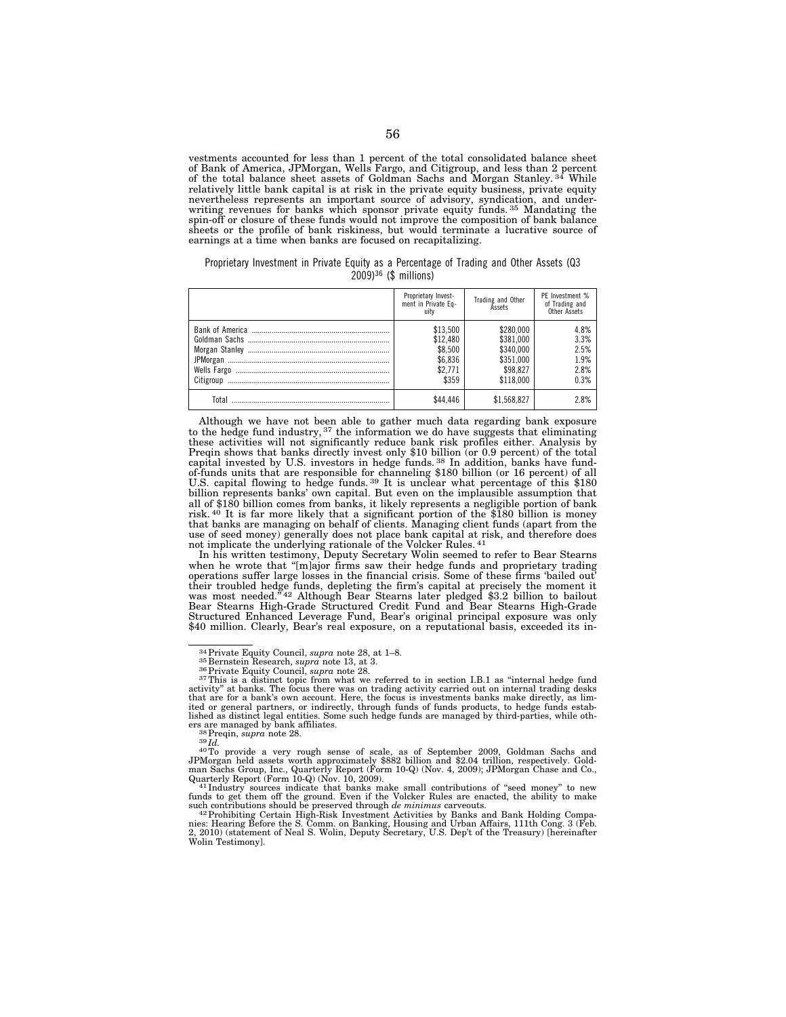vestments accounted for less than 1 percent of the total consolidated balance sheet of Bank of America, JPMorgan, Wells Fargo, and Citigroup, and less than 2 percent of the total balance sheet assets of Goldman Sachs and Morgan Stanley. 34 While relatively little bank capital is at risk in the private equity business, private equity nevertheless represents an important source of advisory, syndication, and under-writing revenues for banks which sponsor private equity funds. 35 Mandating the spin-off or closure of these funds would not improve the composition of bank balance sheets or the profile of bank riskiness, but would terminate a lucrative source of earnings at a time when banks are focused on recapitalizing.

Proprietary Investment in Private Equity as a Percentage of Trading and Other Assets (Q3 2009)36 (\$ millions)

|           | Proprietary Invest-<br>ment in Private Eq-<br>uitv             | Trading and Other<br><b>Assets</b>                                        | PF Investment %<br>of Trading and<br>Other Assets |
|-----------|----------------------------------------------------------------|---------------------------------------------------------------------------|---------------------------------------------------|
| Citigroup | \$13,500<br>\$12,480<br>\$8,500<br>\$6,836<br>\$2.771<br>\$359 | \$280,000<br>\$381,000<br>\$340,000<br>\$351,000<br>\$98,827<br>\$118,000 | 4.8%<br>3.3%<br>2.5%<br>1.9%<br>2.8%<br>0.3%      |
| Total     | \$44.446                                                       | \$1.568.827                                                               | 28%                                               |

Although we have not been able to gather much data regarding bank exposure to the hedge fund industry, <sup>37</sup> the information we do have suggests that eliminating these activities will not significantly reduce bank risk profiles either. Analysis by Preqin shows that banks directly invest only \$10 billion (or 0.9 percent) of the total capital invested by U.S. investors in hedge funds.<sup>38</sup> In addition, banks have fundof-funds units that are responsible for channeling \$180 billion (or 16 percent) of all U.S. capital flowing to hedge funds. 39 It is unclear what percentage of this \$180 billion represents banks' own capital. But even on the implausible assumption that all of \$180 billion comes from banks, it likely represents a negligible portion of bank risk. 40 It is far more likely that a significant portion of the \$180 billion is money that banks are managing on behalf of clients. Managing client funds (apart from the use of seed money) generally does not place bank capital at risk, and therefore does not implicate the underlying rationale of the Volcker Rules. 41

In his written testimony, Deputy Secretary Wolin seemed to refer to Bear Stearns when he wrote that "[m]ajor firms saw their hedge funds and proprietary trading operations suffer large losses in the financial crisis. Some of these firms 'bailed out' their troubled hedge funds, depleting the firm's capital at precisely the moment it was most needed.'' 42 Although Bear Stearns later pledged \$3.2 billion to bailout Bear Stearns High-Grade Structured Credit Fund and Bear Stearns High-Grade Structured Enhanced Leverage Fund, Bear's original principal exposure was only \$40 million. Clearly, Bear's real exposure, on a reputational basis, exceeded its in-

such contributions should be preserved through *de minimus* carveouts.<br><sup>42</sup> Prohibiting Certain High-Risk Investment Activities by Banks and Bank Holding Compa-<br>nies: Hearing Before the S. Comm. on Banking, Housing and Urb Wolin Testimony].

<sup>&</sup>lt;sup>34</sup> Private Equity Council, *supra* note 28, at 1–8.<br><sup>35</sup> Bernstein Research, *supra* note 13, at 3.<br><sup>36</sup> Private Equity Council, *supra* note 28.<br><sup>36</sup> Private Equity Council, *supra* note 28.<br><sup>36</sup> This is a distinct top that are for a bank's own account. Here, the focus is investments banks make directly, as lim-ited or general partners, or indirectly, through funds of funds products, to hedge funds established as distinct legal entities. Some such hedge funds are managed by third-parties, while others are managed by bank affiliates.<br><sup>38</sup> Preqin, *supra* note 28.

ers are managed by bank affiliates.<br>
<sup>38</sup> Preqin, *supra* note 28.<br>
<sup>39</sup> Id.<br>
<sup>40</sup>To provide a very rough sense of scale, as of September 2009, Goldman Sachs and<br>
<sup>40</sup>To provide a very rough sense of scale, as of Septembe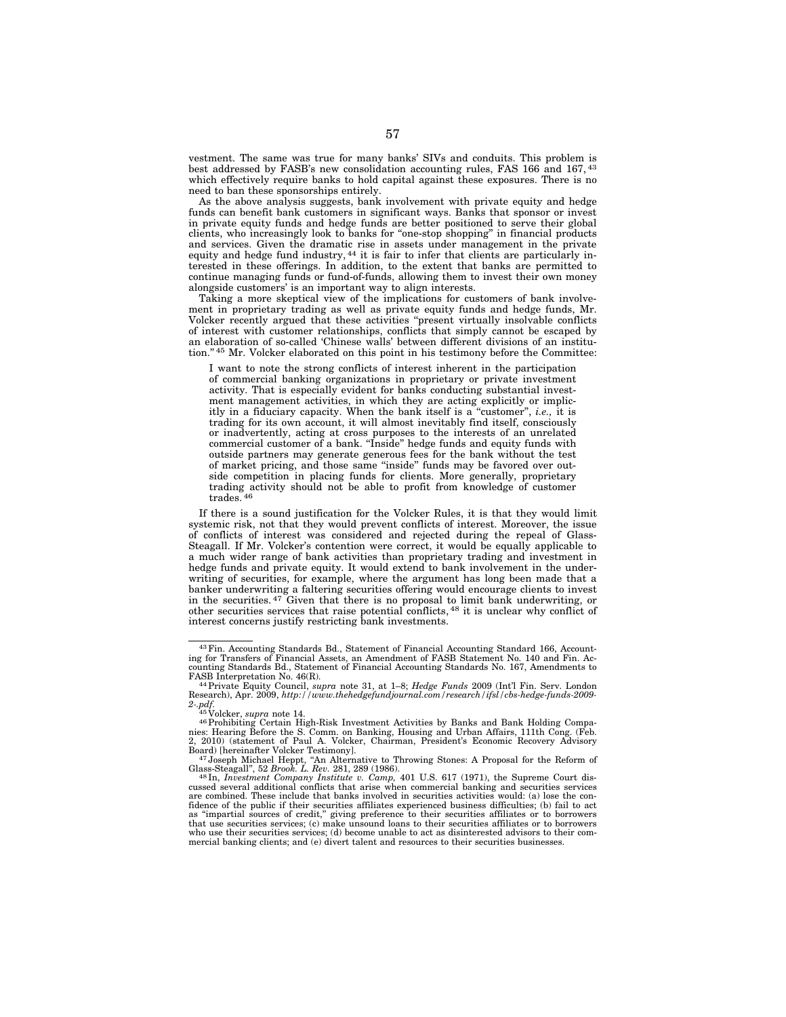vestment. The same was true for many banks' SIVs and conduits. This problem is best addressed by FASB's new consolidation accounting rules, FAS 166 and 167, 43 which effectively require banks to hold capital against these exposures. There is no need to ban these sponsorships entirely.

As the above analysis suggests, bank involvement with private equity and hedge funds can benefit bank customers in significant ways. Banks that sponsor or invest in private equity funds and hedge funds are better positioned to serve their global clients, who increasingly look to banks for ''one-stop shopping'' in financial products and services. Given the dramatic rise in assets under management in the private equity and hedge fund industry, <sup>44</sup> it is fair to infer that clients are particularly interested in these offerings. In addition, to the extent that banks are permitted to continue managing funds or fund-of-funds, allowing them to invest their own money alongside customers' is an important way to align interests.

Taking a more skeptical view of the implications for customers of bank involvement in proprietary trading as well as private equity funds and hedge funds, Mr. Volcker recently argued that these activities ''present virtually insolvable conflicts of interest with customer relationships, conflicts that simply cannot be escaped by an elaboration of so-called 'Chinese walls' between different divisions of an institution."<sup>45</sup> Mr. Volcker elaborated on this point in his testimony before the Committee:

I want to note the strong conflicts of interest inherent in the participation of commercial banking organizations in proprietary or private investment activity. That is especially evident for banks conducting substantial investment management activities, in which they are acting explicitly or implicitly in a fiduciary capacity. When the bank itself is a ''customer'', *i.e.,* it is trading for its own account, it will almost inevitably find itself, consciously or inadvertently, acting at cross purposes to the interests of an unrelated commercial customer of a bank. "Inside" hedge funds and equity funds with outside partners may generate generous fees for the bank without the test of market pricing, and those same ''inside'' funds may be favored over outside competition in placing funds for clients. More generally, proprietary trading activity should not be able to profit from knowledge of customer trades. 46

If there is a sound justification for the Volcker Rules, it is that they would limit systemic risk, not that they would prevent conflicts of interest. Moreover, the issue of conflicts of interest was considered and rejected during the repeal of Glass-Steagall. If Mr. Volcker's contention were correct, it would be equally applicable to a much wider range of bank activities than proprietary trading and investment in hedge funds and private equity. It would extend to bank involvement in the underwriting of securities, for example, where the argument has long been made that a banker underwriting a faltering securities offering would encourage clients to invest in the securities.  $47$  Given that there is no proposal to limit bank underwriting, or other securities services that raise potential conflicts, 48 it is unclear why conflict of interest concerns justify restricting bank investments.

<sup>43</sup>Fin. Accounting Standards Bd., Statement of Financial Accounting Standard 166, Accounting for Transfers of Financial Assets, an Amendment of FASB Statement No. 140 and Fin. Ac-counting Standards Bd., Statement of Financial Accounting Standards No. 167, Amendments to FASB Interpretation No. 46(R). 44Private Equity Council, *supra* note 31, at 1–8; *Hedge Funds* 2009 (Int'l Fin. Serv. London

Research), Apr. 2009, *http://www.thehedgefundjournal.com/research/ifsl/cbs-hedge-funds-2009-*<br>2-*pdf.*<br><sup>45</sup> Volcker, *supra* note 14.

<sup>2.</sup> pdf.<br><sup>46</sup> Volcker, *supra* note 14.<br><sup>46</sup> Prohibiting Certain High-Risk Investment Activities by Banks and Bank Holding Compa-<br>nies: Hearing Before the S. Comm. on Banking, Housing and Urban Affairs, 111th Cong. (Feb. 2, 2010) (statement of Paul A. Volcker, Chairman, President's Economic Recovery Advisory

Board) [hereinafter Volcker Testimony].<br><sup>47</sup> Joseph Michael Heppt, "An Alternative to Throwing Stones: A Proposal for the Reform of Glass-Steagall", 52 *Brook. L. Rev.* 281, 289 (1986).

Glass-Steagall", 52 Brook. L. Rev. 281, 289 (1986).<br><sup>48</sup> In, *Investment Company Institute v. Camp*, 401 U.S. 617 (1971), the Supreme Court dis-<br>cussed several additional conflicts that arise when commercial banking and se are combined. These include that banks involved in securities activities would: (a) lose the confidence of the public if their securities affiliates experienced business difficulties; (b) fail to act<br>as "impartial sources of credit," giving preference to their securities affiliates or to borrowers<br>that use securities who use their securities services; (d) become unable to act as disinterested advisors to their com-mercial banking clients; and (e) divert talent and resources to their securities businesses.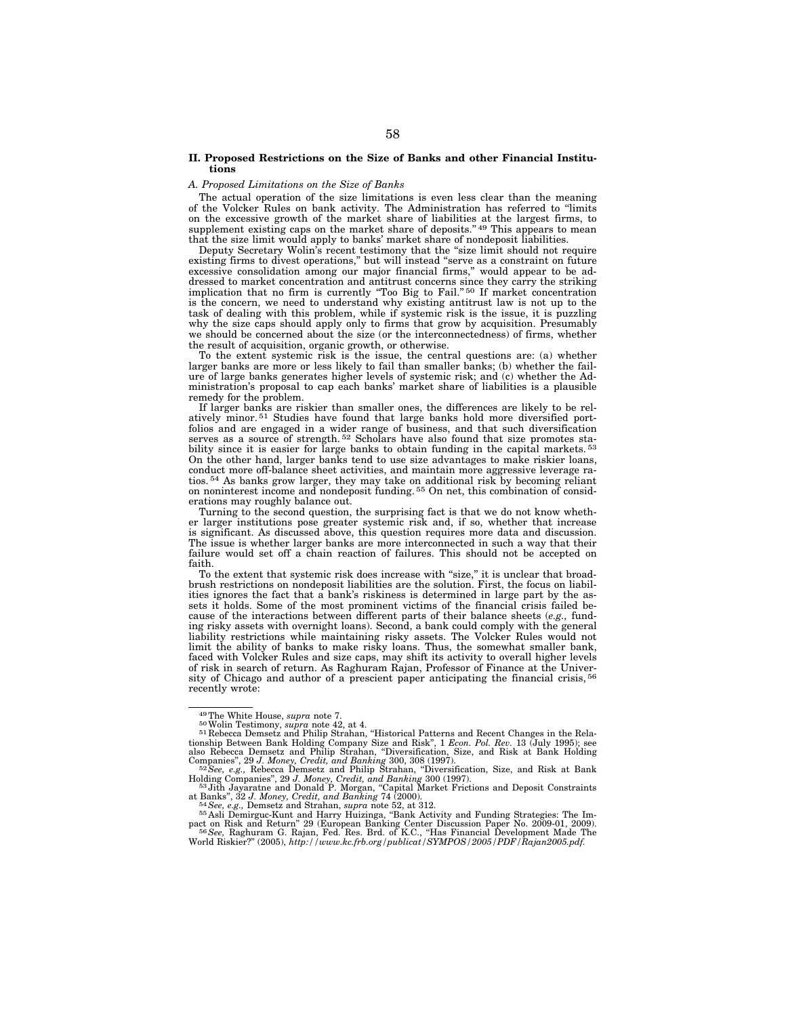#### **II. Proposed Restrictions on the Size of Banks and other Financial Institutions**

#### *A. Proposed Limitations on the Size of Banks*

The actual operation of the size limitations is even less clear than the meaning of the Volcker Rules on bank activity. The Administration has referred to ''limits on the excessive growth of the market share of liabilities at the largest firms, to supplement existing caps on the market share of deposits."<sup>49</sup> This appears to mean that the size limit would apply to banks' market share of nondeposit liabilities.

Deputy Secretary Wolin's recent testimony that the "size limit should not require existing firms to divest operations,'' but will instead ''serve as a constraint on future excessive consolidation among our major financial firms,'' would appear to be addressed to market concentration and antitrust concerns since they carry the striking implication that no firm is currently ''Too Big to Fail.'' 50 If market concentration is the concern, we need to understand why existing antitrust law is not up to the task of dealing with this problem, while if systemic risk is the issue, it is puzzling why the size caps should apply only to firms that grow by acquisition. Presumably we should be concerned about the size (or the interconnectedness) of firms, whether the result of acquisition, organic growth, or otherwise.

To the extent systemic risk is the issue, the central questions are: (a) whether larger banks are more or less likely to fail than smaller banks; (b) whether the failure of large banks generates higher levels of systemic risk; and (c) whether the Administration's proposal to cap each banks' market share of liabilities is a plausible remedy for the problem.

If larger banks are riskier than smaller ones, the differences are likely to be relatively minor.<sup>51</sup> Studies have found that large banks hold more diversified portfolios and are engaged in a wider range of business, and that such diversification serves as a source of strength.<sup>52</sup> Scholars have also found that size promotes stability since it is easier for large banks to obtain funding in the capital markets.<sup>53</sup> On the other hand, larger banks tend to use size advantages to make riskier loans, conduct more off-balance sheet activities, and maintain more aggressive leverage ratios. 54 As banks grow larger, they may take on additional risk by becoming reliant on noninterest income and nondeposit funding. 55 On net, this combination of considerations may roughly balance out.

Turning to the second question, the surprising fact is that we do not know whether larger institutions pose greater systemic risk and, if so, whether that increase is significant. As discussed above, this question requires more data and discussion. The issue is whether larger banks are more interconnected in such a way that their failure would set off a chain reaction of failures. This should not be accepted on faith.

To the extent that systemic risk does increase with "size," it is unclear that broadbrush restrictions on nondeposit liabilities are the solution. First, the focus on liabilities ignores the fact that a bank's riskiness is determined in large part by the assets it holds. Some of the most prominent victims of the financial crisis failed because of the interactions between different parts of their balance sheets (*e.g.,* funding risky assets with overnight loans). Second, a bank could comply with the general liability restrictions while maintaining risky assets. The Volcker Rules would not limit the ability of banks to make risky loans. Thus, the somewhat smaller bank, faced with Volcker Rules and size caps, may shift its activity to overall higher levels of risk in search of return. As Raghuram Rajan, Professor of Finance at the University of Chicago and author of a prescient paper anticipating the financial crisis, 56 recently wrote:

<sup>&</sup>lt;sup>49</sup>The White House, *supra* note 7.<br><sup>50</sup>Wolin Testimony, *supra* note 42, at 4.<br><sup>51</sup> Rebecca Demsetz and Philip Strahan, "Historical Patterns and Recent Changes in the Rela-<br><sup>51</sup> Rebecca Demsetz and Philip Strahan, "Histo tionship Between Bank Holding Company Size and Risk", 1 *Econ. Pol. Rev.* 13 (July 1995); see also Rebecca Demsetz and Philip Strahan, "Diversification, Size, and Risk at Bank Holding Companies", 29 J. Money, Credit, and

Holding Companies'', 29 *J. Money, Credit, and Banking* 300 (1997). 53 Jith Jayaratne and Donald P. Morgan, ''Capital Market Frictions and Deposit Constraints

at Banks", 32 *J. Money, Credit, and Banking 7*4 (2000).<br><sup>54</sup> *See, e.g., Demsetz and Strahan, supra note 52, at 312.*<br><sup>55</sup> Asli Demirguc-Kunt and Harry Huizinga, "Bank Activity and Funding Strategies: The Im-

pact on Risk and Return" 29 (European Banking Center Discussion Paper No. 2009-01, 2009).<br><sup>56</sup>*See,* Raghuram G. Rajan, Fed. Res. Brd. of K.C., "Has Financial Development Made The<br>World Riskier?" (2005), *http://www.kc.frb*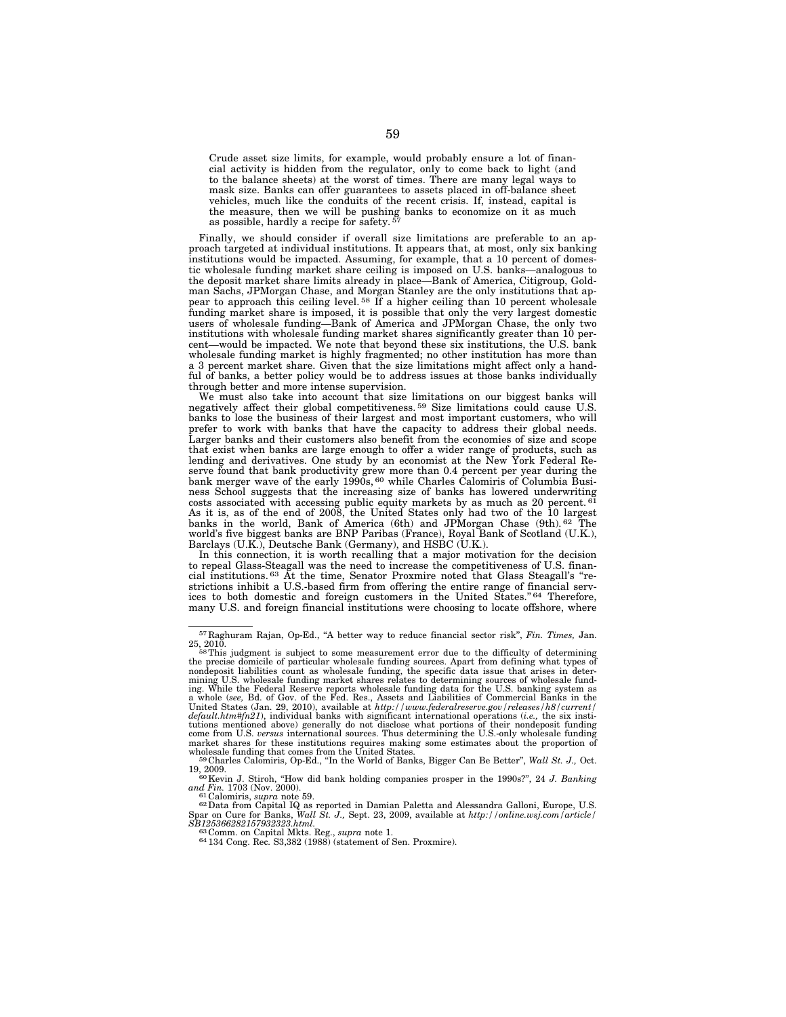Crude asset size limits, for example, would probably ensure a lot of financial activity is hidden from the regulator, only to come back to light (and to the balance sheets) at the worst of times. There are many legal ways to mask size. Banks can offer guarantees to assets placed in off-balance sheet vehicles, much like the conduits of the recent crisis. If, instead, capital is the measure, then we will be pushing banks to economize on it as much as possible, hardly a recipe for safety. 57

Finally, we should consider if overall size limitations are preferable to an approach targeted at individual institutions. It appears that, at most, only six banking institutions would be impacted. Assuming, for example, that a 10 percent of domestic wholesale funding market share ceiling is imposed on U.S. banks—analogous to the deposit market share limits already in place—Bank of America, Citigroup, Goldman Sachs, JPMorgan Chase, and Morgan Stanley are the only institutions that appear to approach this ceiling level.<sup>58</sup> If a higher ceiling than 10 percent wholesale funding market share is imposed, it is possible that only the very largest domestic users of wholesale funding—Bank of America and JPMorgan Chase, the only two institutions with wholesale funding market shares significantly greater than  $10$  percent—would be impacted. We note that beyond these six institutions, the U.S. bank wholesale funding market is highly fragmented; no other institution has more than a 3 percent market share. Given that the size limitations might affect only a handful of banks, a better policy would be to address issues at those banks individually through better and more intense supervision.

We must also take into account that size limitations on our biggest banks will negatively affect their global competitiveness.<sup>59</sup> Size limitations could cause U.S. banks to lose the business of their largest and most important customers, who will prefer to work with banks that have the capacity to address their global needs. Larger banks and their customers also benefit from the economies of size and scope that exist when banks are large enough to offer a wider range of products, such as lending and derivatives. One study by an economist at the New York Federal Reserve found that bank productivity grew more than 0.4 percent per year during the<br>bank merger wave of the early 1990s, <sup>60</sup> while Charles Calomiris of Columbia Business School suggests that the increasing size of banks has lowered underwriting costs associated with accessing public equity markets by as much as 20 percent.  $61$ As it is, as of the end of 2008, the United States only had two of the 10 largest banks in the world, Bank of America (6th) and JPMorgan Chase (9th). 62 The world's five biggest banks are BNP Paribas (France), Royal Bank of Scotland (U.K.), Barclays (U.K.), Deutsche Bank (Germany), and HSBC (U.K.).

In this connection, it is worth recalling that a major motivation for the decision to repeal Glass-Steagall was the need to increase the competitiveness of U.S. financial institutions. 63 At the time, Senator Proxmire noted that Glass Steagall's ''restrictions inhibit a U.S.-based firm from offering the entire range of financial services to both domestic and foreign customers in the United States."<sup>64</sup> Therefore, many U.S. and foreign financial institutions were choosing to locate offshore, where

<sup>57</sup> Raghuram Rajan, Op-Ed., ''A better way to reduce financial sector risk'', *Fin. Times,* Jan.

<sup>25, 2010.&</sup>lt;br>
<sup>58</sup>This judgment is subject to some measurement error due to the difficulty of determining<br>
<sup>58</sup>This judgment is subject to some measurement error due to the difficulty of determining the precise domicile of particular wholesale funding sources. Apart from defining what types of<br>nondeposit liabilities count as wholesale funding, the specific data issue that arises in deter-<br>mining U.S. wholesale funding ing. While the Federal Reserve reports wholesale funding data for the U.S. banking system as<br>a whole (see, Bd. of Gov. of the Fed. Res., Assets and Liabilities of Commercial Banks in the<br>United States (Jan. 29, 2010), avai  $default.html#fn21$ , individual banks with significant international operations (i.e., the six institutions mentioned above) generally do not disclose what formed and the comparation of the comparation of the comparation of the com market shares for these institutions requires making some estimates about the proportion of wholesale funding that comes from the United States.<br><sup>59</sup>Charles Calomiris, Op-Ed., "In the World of Banks, Bigger Can Be Better"

<sup>19, 2009. 60</sup>Kevin J. Stiroh, ''How did bank holding companies prosper in the 1990s?'', 24 *J. Banking* 

*and Fin.* 1703 (Nov. 2000).<br><sup>61</sup> Calomiris, *supra* note 59.<br><sup>62</sup> Data from Capital IQ as reported in Damian Paletta and Alessandra Galloni, Europe, U.S.

<sup>&</sup>lt;sup>61</sup> Calomiris, *supra* note 59.<br>
<sup>62</sup> Data from Capital IQ as reported in Damian Paletta and Alessandra Galloni, Europe, U.S.<br>
Spar on Cure for Banks, *Wall St. J.*, Sept. 23, 2009, available at *http://online.wsj.com/art* 

*SB125366282157932323.html.* <sup>63</sup> Comm. on Capital Mkts. Reg., *supra* note 1. 64 134 Cong. Rec. S3,382 (1988) (statement of Sen. Proxmire).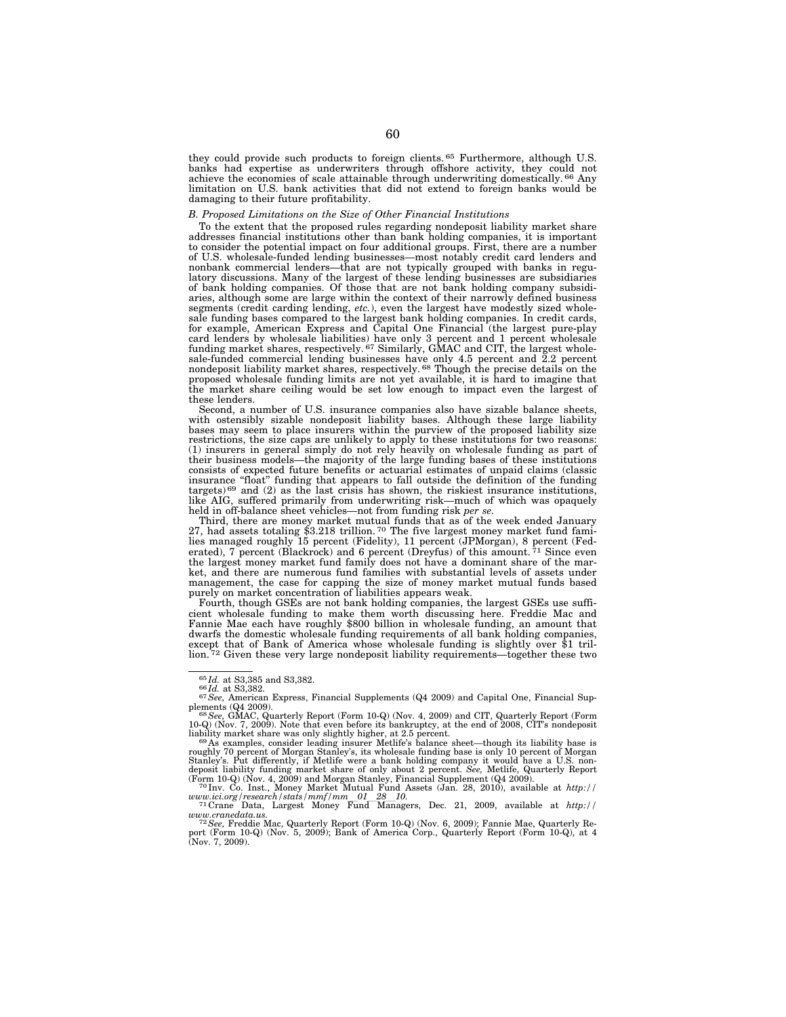they could provide such products to foreign clients. 65 Furthermore, although U.S. banks had expertise as underwriters through offshore activity, they could not achieve the economies of scale attainable through underwriting domestically. 66 Any limitation on U.S. bank activities that did not extend to foreign banks would be damaging to their future profitability.

# *B. Proposed Limitations on the Size of Other Financial Institutions*

To the extent that the proposed rules regarding nondeposit liability market share addresses financial institutions other than bank holding companies, it is important to consider the potential impact on four additional groups. First, there are a number of U.S. wholesale-funded lending businesses—most notably credit card lenders and nonbank commercial lenders—that are not typically grouped with banks in regulatory discussions. Many of the largest of these lending businesses are subsidiaries of bank holding companies. Of those that are not bank holding company subsidiaries, although some are large within the context of their narrowly defined business segments (credit carding lending, *etc.*), even the largest have modestly sized wholesale funding bases compared to the largest bank holding companies. In credit cards, for example, American Express and Capital One Financial (the largest pure-play card lenders by wholesale liabilities) have only 3 percent and 1 percent wholesale<br>funding market shares, respectively.<sup>67</sup> Similarly, GMAC and CIT, the largest whole-<br>sale-funded commercial lending businesses have only 4. proposed wholesale funding limits are not yet available, it is hard to imagine that the market share ceiling would be set low enough to impact even the largest of these lenders.

Second, a number of U.S. insurance companies also have sizable balance sheets, with ostensibly sizable nondeposit liability bases. Although these large liability bases may seem to place insurers within the purview of the proposed liability size restrictions, the size caps are unlikely to apply to these institutions for two reasons: (1) insurers in general simply do not rely heavily on wholesale funding as part of their business models—the majority of the large funding bases of these institutions consists of expected future benefits or actuarial estimates of unpaid claims (classic insurance "float" funding that appears to fall outside the definition of the funding targets)<sup>69</sup> and (2) as the last crisis has shown, the riskiest insurance institutions, like AIG, suffered primarily from underwriting risk—much of which was opaquely held in off-balance sheet vehicles—not from funding risk *per se.* 

Third, there are money market mutual funds that as of the week ended January 27, had assets totaling \$3.218 trillion.<sup>70</sup> The five largest money market fund families managed roughly 15 percent (Fidelity), 11 percent (JPMorgan), 8 percent (Fed-<br>erated), 7 percent (Blackrock) and 6 percent (Dreyfus) of this amount. <sup>71</sup> Since even the largest money market fund family does not have a dominant share of the market, and there are numerous fund families with substantial levels of assets under management, the case for capping the size of money market mutual funds based purely on market concentration of liabilities appears weak.

Fourth, though GSEs are not bank holding companies, the largest GSEs use sufficient wholesale funding to make them worth discussing here. Freddie Mac and Fannie Mae each have roughly \$800 billion in wholesale funding, an amount that dwarfs the domestic wholesale funding requirements of all bank holding companies, except that of Bank of America whose wholesale funding is slightly over \$1 tril-lion. 72 Given these very large nondeposit liability requirements—together these two

<sup>65</sup> *Id.* at S3,385 and S3,382. 66 *Id.* at S3,382. 67*See,* American Express, Financial Supplements (Q4 2009) and Capital One, Financial Sup-

plements (Q4 2009).<br>
<sup>68</sup> See, GMAC, Quarterly Report (Form 10-Q) (Nov. 4, 2009) and CIT, Quarterly Report (Form<br>
<sup>68</sup> See, GMAC, Quarterly Report (Form 10-Q) (Nov. 4, 2009) and CIT, Quarterly Report (Form<br>
<sup>69</sup> As exampl

*www.ici.org/research/stats/mmf/mm*l*01*l*28*l*10.* <sup>71</sup> Crane Data, Largest Money Fund Managers, Dec. 21, 2009, available at *http://* 

www.cranedata.us.<br><sup>72</sup>See, Freddie Mac, Quarterly Report (Form 10-Q) (Nov. 6, 2009); Fannie Mae, Quarterly Report (Form 10-Q) (Nov. 5, 2009); Bank of America Corp., Quarterly Report (Form 10-Q), at 4<br>(Nov. 7, 2009).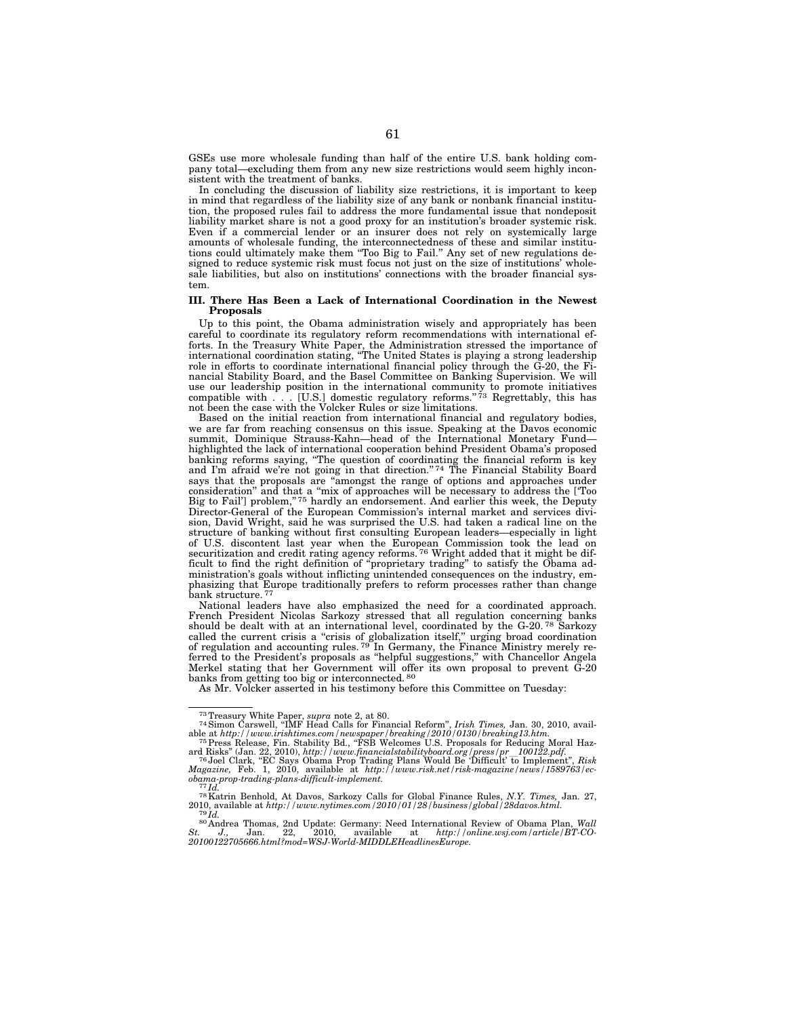GSEs use more wholesale funding than half of the entire U.S. bank holding company total—excluding them from any new size restrictions would seem highly inconsistent with the treatment of banks.

In concluding the discussion of liability size restrictions, it is important to keep in mind that regardless of the liability size of any bank or nonbank financial institution, the proposed rules fail to address the more fundamental issue that nondeposit liability market share is not a good proxy for an institution's broader systemic risk. Even if a commercial lender or an insurer does not rely on systemically large amounts of wholesale funding, the interconnectedness of these and similar institutions could ultimately make them ''Too Big to Fail.'' Any set of new regulations designed to reduce systemic risk must focus not just on the size of institutions' wholesale liabilities, but also on institutions' connections with the broader financial system.

#### **III. There Has Been a Lack of International Coordination in the Newest Proposals**

Up to this point, the Obama administration wisely and appropriately has been careful to coordinate its regulatory reform recommendations with international efforts. In the Treasury White Paper, the Administration stressed the importance of international coordination stating, ''The United States is playing a strong leadership role in efforts to coordinate international financial policy through the  $\tilde{G}$ -20, the Financial Stability Board, and the Basel Committee on Banking Supervision. We will use our leadership position in the international community to promote initiatives compatible with . . . [U.S.] domestic regulatory reforms."<sup>73</sup> Regrettably, this has not been the case with the Volcker Rules or size limitations.

Based on the initial reaction from international financial and regulatory bodies, we are far from reaching consensus on this issue. Speaking at the Davos economic summit, Dominique Strauss-Kahn—head of the International Monetary Fund highlighted the lack of international cooperation behind President Obama's proposed banking reforms saying, ''The question of coordinating the financial reform is key and I'm afraid we're not going in that direction."<sup>74</sup> The Financial Stability Board says that the proposals are ''amongst the range of options and approaches under consideration'' and that a ''mix of approaches will be necessary to address the ['Too Big to Fail'] problem,"<sup>75</sup> hardly an endorsement. And earlier this week, the Deputy Director-General of the European Commission's internal market and services division, David Wright, said he was surprised the U.S. had taken a radical line on the structure of banking without first consulting European leaders—especially in light of U.S. discontent last year when the European Commission took the lead on securitization and credit rating agency reforms.<sup>76</sup> Wright added that it might be difficult to find the right definition of ''proprietary trading'' to satisfy the Obama administration's goals without inflicting unintended consequences on the industry, emphasizing that Europe traditionally prefers to reform processes rather than change bank structure. 77

National leaders have also emphasized the need for a coordinated approach. French President Nicolas Sarkozy stressed that all regulation concerning banks should be dealt with at an international level, coordinated by the G-20. 78 Sarkozy called the current crisis a "crisis of globalization itself," urging broad coordination of regulation and accounting rules.<sup>79</sup> In Germany, the Finance Ministry merely referred to the President's proposals as "helpful suggestions," with Chancellor Angela Merkel stating that her Government will offer its own proposal to prevent  $\ddot{G}$ -20 banks from getting too big or interconnected. 80

As Mr. Volcker asserted in his testimony before this Committee on Tuesday:

<sup>&</sup>lt;sup>73</sup> Treasury White Paper, *supra* note 2, at 80.<br><sup>74</sup> Simon Carswell, "IMF Head Calls for Financial Reform", *Irish Times,* Jan. 30, 2010, available at *http://www.irishtimes.com/newspaper/breaking/2010/0130/breaking13.htm.* 75Press Release, Fin. Stability Bd., ''FSB Welcomes U.S. Proposals for Reducing Moral Haz-

ard Risks" (Jan. 22, 2010), http://www.financialstabilityboard.org/press/pr\_\_100122.pdf.<br><sup>76</sup> Joel Clark, "EC Says Obama Prop Trading Plans Would Be 'Difficult' to Implement", *Risk*<br>Magazine, Feb. 1, 2010, available

*obama-prop-trading-plans-difficult-implement.* <sup>77</sup> *Id.* 78Katrin Benhold, At Davos, Sarkozy Calls for Global Finance Rules, *N.Y. Times,* Jan. 27,

<sup>2010,</sup> available at *http://www.nytimes.com/2010/01/28/business/global/28davos.html.* <sup>79</sup> *Id.* <sup>80</sup> Andrea Thomas, 2nd Update: Germany: Need International Review of Obama Plan, *Wall* 

*St. J.,* Jan. 22, 2010, available at *http://online.wsj.com/article/BT-CO-20100122705666.html?mod=WSJ-World-MIDDLEHeadlinesEurope.*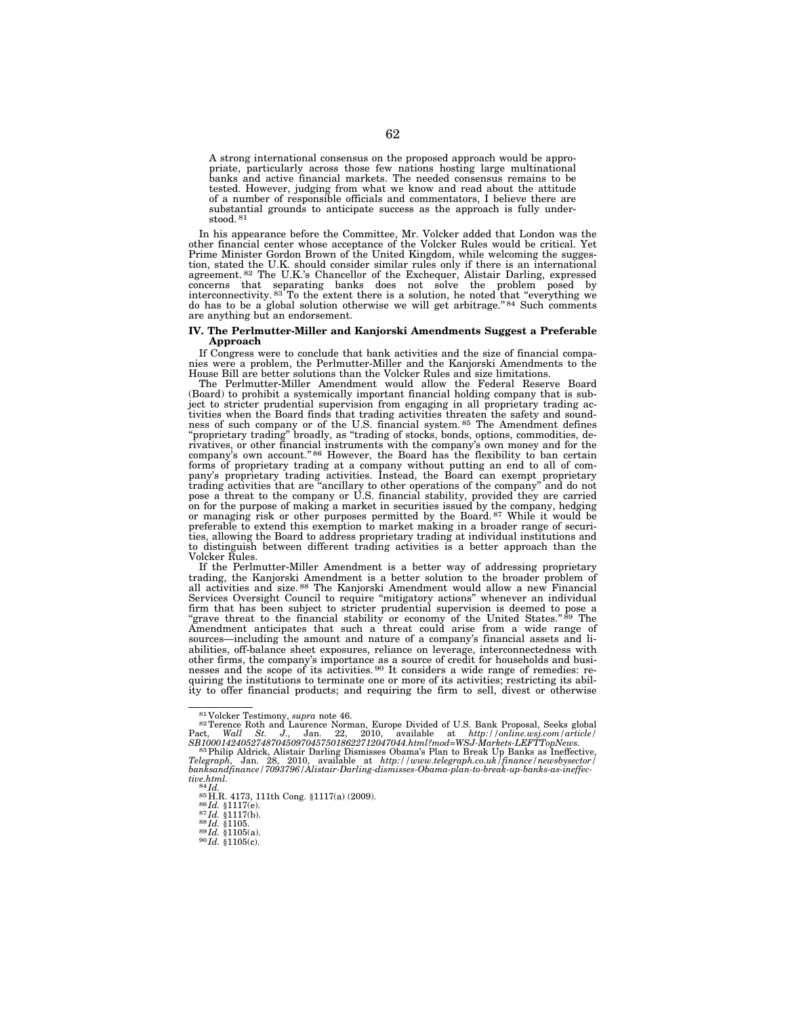A strong international consensus on the proposed approach would be appropriate, particularly across those few nations hosting large multinational banks and active financial markets. The needed consensus remains to be tested. However, judging from what we know and read about the attitude of a number of responsible officials and commentators, I believe there are substantial grounds to anticipate success as the approach is fully understood. 81

In his appearance before the Committee, Mr. Volcker added that London was the other financial center whose acceptance of the Volcker Rules would be critical. Yet<br>Prime Minister Gordon Brown of the United Kingdom, while wel tion, stated the U.K. should consider similar rules only if there is an international agreement. 82 The U.K.'s Chancellor of the Exchequer, Alistair Darling, expressed concerns that separating banks does not solve the problem posed by interconnectivity.<sup>83</sup> To the extent there is a solution, he noted that "everything we do has to be a global solution otherwise we will get arbitrage."<sup>84</sup> Such comments are anything but an endorsement.

#### **IV. The Perlmutter-Miller and Kanjorski Amendments Suggest a Preferable Approach**

If Congress were to conclude that bank activities and the size of financial compa-nies were a problem, the Perlmutter-Miller and the Kanjorski Amendments to the

House Bill are better solutions than the Volcker Rules and size limitations. The Perlmutter-Miller Amendment would allow the Federal Reserve Board (Board) to prohibit a systemically important financial holding company that is subject to stricter prudential supervision from engaging in all proprietary trading activities when the Board finds that trading activities threaten the safety and soundness of such company or of the U.S. financial system. 85 The Amendment defines 'proprietary trading" broadly, as "trading of stocks, bonds, options, commodities, derivatives, or other financial instruments with the company's own money and for the company's own account."<sup>86</sup> However, the Board has the flexibility to ban certain forms of proprietary trading at a company without putting pany's proprietary trading activities. Instead, the Board can exempt proprietary trading activities that are "ancillary to other operations of the company" and do not pose a threat to the company or U.S. financial stabilit or managing risk or other purposes permitted by the Board.<sup>87</sup> While it would be preferable to extend this exemption to market making in a broader range of securities, allowing the Board to address proprietary trading at individual institutions and to distinguish between different trading activities is a better approach than the Volcker Rules.

If the Perlmutter-Miller Amendment is a better way of addressing proprietary trading, the Kanjorski Amendment is a better solution to the broader problem of all activities and size. 88 The Kanjorski Amendment would allow a new Financial Services Oversight Council to require ''mitigatory actions'' whenever an individual firm that has been subject to stricter prudential supervision is deemed to pose a "grave threat to the financial stability or economy of the United States."<sup>89</sup> The Amendment anticipates that such a threat could arise from a wide range of sources—including the amount and nature of a company's financial assets and liabilities, off-balance sheet exposures, reliance on leverage, interconnectedness with other firms, the company's importance as a source of credit for households and busi-<br>nesses and the scope of its activities.<sup>90</sup> It considers a wide range of remedies: requiring the institutions to terminate one or more of its activities; restricting its ability to offer financial products; and requiring the firm to sell, divest or otherwise

<sup>81</sup> Volcker Testimony, *supra* note 46. 82Terence Roth and Laurence Norman, Europe Divided of U.S. Bank Proposal, Seeks global Pact, *Wall St. J.,* Jan. 22, 2010, available at *http://online.wsj.com/article/* 

*SB10001424052748704509704575018622712047044.html?mod=WSJ-Markets-LEFTTopNews.* 83Philip Aldrick, Alistair Darling Dismisses Obama's Plan to Break Up Banks as Ineffective, *Telegraph,* Jan. 28, 2010, available at *http://www.telegraph.co.uk/finance/newsbysector/ banksandfinance/7093796/Alistair-Darling-dismisses-Obama-plan-to-break-up-banks-as-ineffec-*

*tive.html.*<br>
<sup>84</sup> *Id.* <sup>85</sup> H.R. 4173, 111th Cong. §1117(a) (2009).<br>
<sup>86</sup> *Id.* §1117(e).<br>
<sup>87</sup>*Id.* §1117(b).<br>
88 *Id.* §1105.<br>
89 *Id.* §1105(a).<br>
90 *Id.* §1105(c).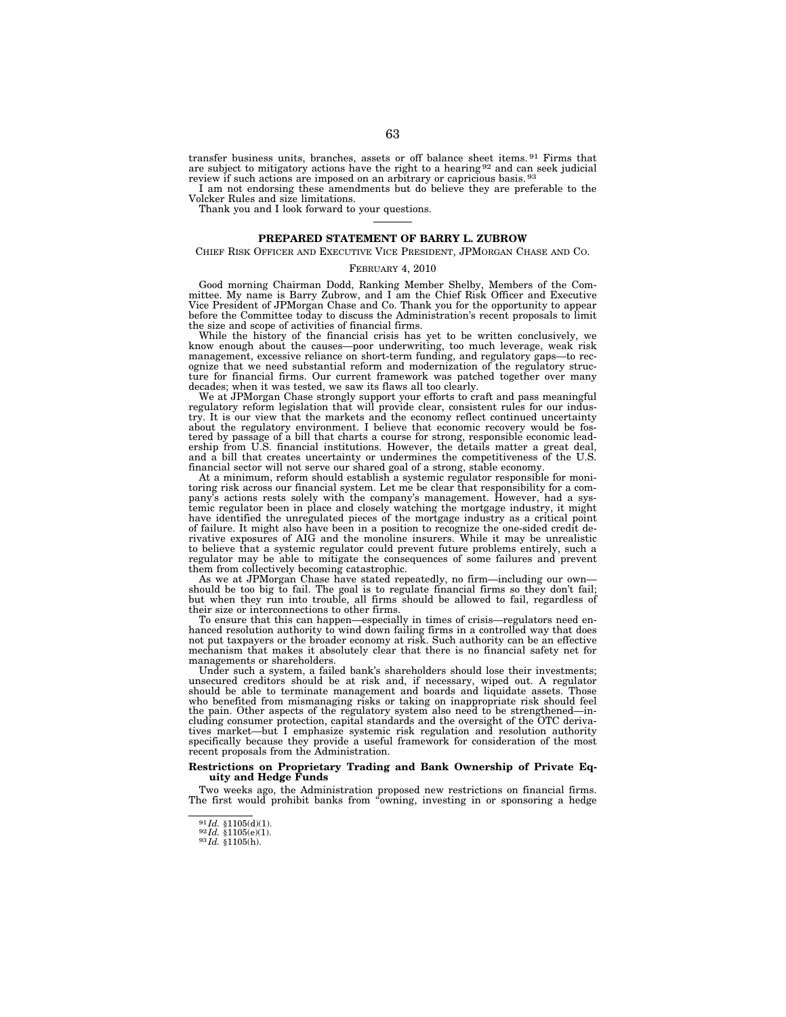transfer business units, branches, assets or off balance sheet items. 91 Firms that are subject to mitigatory actions have the right to a hearing 92 and can seek judicial review if such actions are imposed on an arbitrary or capricious basis. <sup>93</sup>

I am not endorsing these amendments but do believe they are preferable to the Volcker Rules and size limitations.

Thank you and I look forward to your questions.

# **PREPARED STATEMENT OF BARRY L. ZUBROW**

# CHIEF RISK OFFICER AND EXECUTIVE VICE PRESIDENT, JPMORGAN CHASE AND CO.

# FEBRUARY 4, 2010

Good morning Chairman Dodd, Ranking Member Shelby, Members of the Com-mittee. My name is Barry Zubrow, and I am the Chief Risk Officer and Executive Vice President of JPMorgan Chase and Co. Thank you for the opportunity to appear before the Committee today to discuss the Administration's recent proposals to limit the size and scope of activities of financial firms.

While the history of the financial crisis has yet to be written conclusively, we know enough about the causes—poor underwriting, too much leverage, weak risk management, excessive reliance on short-term funding, and regulatory gaps—to recognize that we need substantial reform and modernization of the regulatory structure for financial firms. Our current framework was patched together over many decades; when it was tested, we saw its flaws all too clearly.

We at JPMorgan Chase strongly support your efforts to craft and pass meaningful regulatory reform legislation that will provide clear, consistent rules for our industry. It is our view that the markets and the economy reflect continued uncertainty about the regulatory environment. I believe that economic recovery would be fostered by passage of a bill that charts a course for strong, responsible economic lead-ership from U.S. financial institutions. However, the details matter a great deal, and a bill that creates uncertainty or undermines the competitiveness of the U.S. financial sector will not serve our shared goal of a strong, stable economy.

At a minimum, reform should establish a systemic regulator responsible for monitoring risk across our financial system. Let me be clear that responsibility for a company's actions rests solely with the company's management. However, had a systemic regulator been in place and closely watching the mortgage industry, it might have identified the unregulated pieces of the mortgage industr of failure. It might also have been in a position to recognize the one-sided credit derivative exposures of AIG and the monoline insurers. While it may be unrealistic to believe that a systemic regulator could prevent future problems entirely, such a regulator may be able to mitigate the consequences of some failures and prevent them from collectively becoming catastrophic.

As we at JPMorgan Chase have stated repeatedly, no firm—including our own should be too big to fail. The goal is to regulate financial firms so they don't fail; but when they run into trouble, all firms should be allowed to fail, regardless of their size or interconnections to other firms.

To ensure that this can happen—especially in times of crisis—regulators need enhanced resolution authority to wind down failing firms in a controlled way that does not put taxpayers or the broader economy at risk. Such authority can be an effective mechanism that makes it absolutely clear that there is no financial safety net for managements or shareholders.

Under such a system, a failed bank's shareholders should lose their investments; unsecured creditors should be at risk and, if necessary, wiped out. A regulator should be able to terminate management and boards and liquidate assets. who benefited from mismanaging risks or taking on inappropriate risk should feel the pain. Other aspects of the regulatory system also need to be strengthened—including consumer protection, capital standards and the oversight of the OTC derivatives market—but I emphasize systemic risk regulation and resolution authority specifically because they provide a useful framework for consideration of the most recent proposals from the Administration.

#### **Restrictions on Proprietary Trading and Bank Ownership of Private Equity and Hedge Funds**

Two weeks ago, the Administration proposed new restrictions on financial firms.<br>The first would prohibit banks from "owning, investing in or sponsoring a hedge

<sup>91</sup> *Id.* §1105(d)(1). 92 *Id.* §1105(e)(1). 93 *Id.* §1105(h).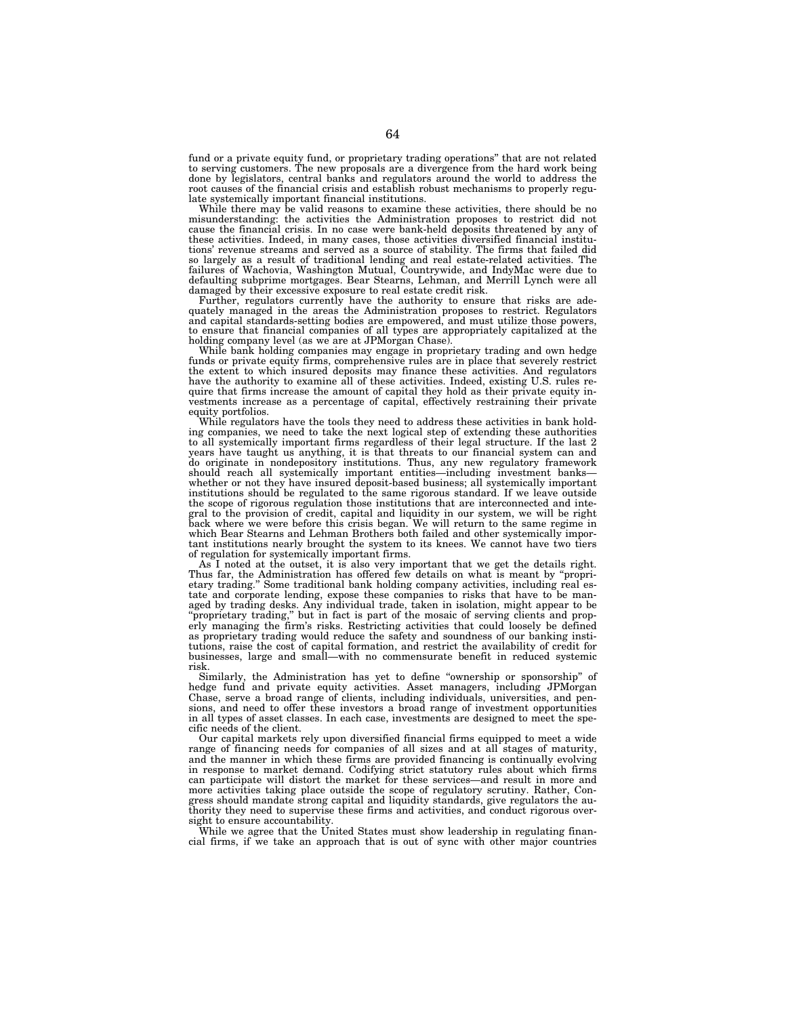fund or a private equity fund, or proprietary trading operations'' that are not related to serving customers. The new proposals are a divergence from the hard work being done by legislators, central banks and regulators around the world to address the root causes of the financial crisis and establish robust mechanisms to properly regulate systemically important financial institutions.

While there may be valid reasons to examine these activities, there should be no misunderstanding: the activities the Administration proposes to restrict did not cause the financial crisis. In no case were bank-held deposits threatened by any of these activities. Indeed, in many cases, those activities diversified financial institutions' revenue streams and served as a source of stability. The firms that failed did so largely as a result of traditional lending and real estate-related activities. The failures of Wachovia, Washington Mutual, Countrywide, and IndyMac were due to defaulting subprime mortgages. Bear Stearns, Lehman, and Merrill Lynch were all damaged by their excessive exposure to real estate credit risk.

Further, regulators currently have the authority to ensure that risks are adequately managed in the areas the Administration proposes to restrict. Regulators and capital standards-setting bodies are empowered, and must utilize those powers, to ensure that financial companies of all types are appropriately capitalized at the holding company level (as we are at JPMorgan Chase).

While bank holding companies may engage in proprietary trading and own hedge funds or private equity firms, comprehensive rules are in place that severely restrict the extent to which insured deposits may finance these activities. And regulators have the authority to examine all of these activities. Indeed, existing U.S. rules require that firms increase the amount of capital they hold as their private equity investments increase as a percentage of capital, effectively restraining their private equity portfolios.

While regulators have the tools they need to address these activities in bank holding companies, we need to take the next logical step of extending these authorities to all systemically important firms regardless of their legal structure. If the last 2 years have taught us anything, it is that threats to our financial system can and do originate in nondepository institutions. Thus, any new regulatory framework should reach all systemically important entities—including investment banks whether or not they have insured deposit-based business; all systemically important institutions should be regulated to the same rigorous standard. If we leave outside the scope of rigorous regulation those institutions that are interconnected and integral to the provision of credit, capital and liquidity in our system, we will be right back where we were before this crisis began. We will return to the same regime in which Bear Stearns and Lehman Brothers both failed and other systemically important institutions nearly brought the system to its knees. We cannot have two tiers of regulation for systemically important firms.

As I noted at the outset, it is also very important that we get the details right. Thus far, the Administration has offered few details on what is meant by ''proprietary trading.'' Some traditional bank holding company activities, including real estate and corporate lending, expose these companies to risks that have to be managed by trading desks. Any individual trade, taken in isolation, might appear to be ''proprietary trading,'' but in fact is part of the mosaic of serving clients and properly managing the firm's risks. Restricting activities that could loosely be defined as proprietary trading would reduce the safety and soundness of our banking institutions, raise the cost of capital formation, and restrict the availability of credit for businesses, large and small—with no commensurate benefit in reduced systemic risk.

Similarly, the Administration has yet to define ''ownership or sponsorship'' of hedge fund and private equity activities. Asset managers, including JPMorgan Chase, serve a broad range of clients, including individuals, universities, and pensions, and need to offer these investors a broad range of investment opportunities in all types of asset classes. In each case, investments are designed to meet the specific needs of the client.

Our capital markets rely upon diversified financial firms equipped to meet a wide range of financing needs for companies of all sizes and at all stages of maturity, and the manner in which these firms are provided financing is continually evolving in response to market demand. Codifying strict statutory rules about which firms can participate will distort the market for these services—and result in more and more activities taking place outside the scope of regulatory scrutiny. Rather, Congress should mandate strong capital and liquidity standards, give regulators the authority they need to supervise these firms and activities, and conduct rigorous oversight to ensure accountability.

While we agree that the United States must show leadership in regulating financial firms, if we take an approach that is out of sync with other major countries